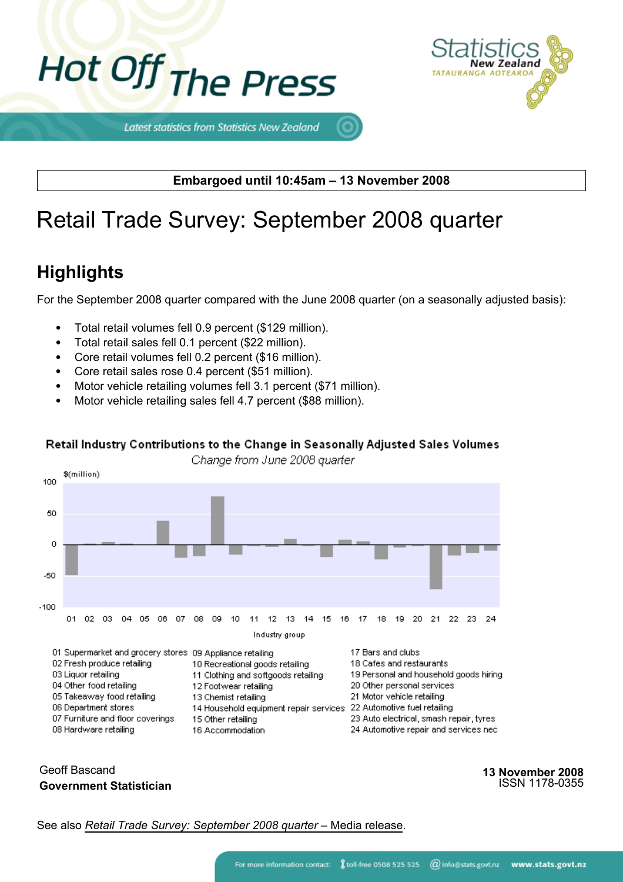



Latest statistics from Statistics New Zealand

**Embargoed until 10:45am – 13 November 2008**

# Retail Trade Survey: September 2008 quarter

# **Highlights**

For the September 2008 quarter compared with the June 2008 quarter (on a seasonally adjusted basis):

- Total retail volumes fell 0.9 percent (\$129 million).
- Total retail sales fell 0.1 percent (\$22 million).
- Core retail volumes fell 0.2 percent (\$16 million).
- Core retail sales rose 0.4 percent (\$51 million).
- Motor vehicle retailing volumes fell 3.1 percent (\$71 million).
- Motor vehicle retailing sales fell 4.7 percent (\$88 million).

#### Retail Industry Contributions to the Change in Seasonally Adjusted Sales Volumes

Change from June 2008 quarter



#### Geoff Bascand **Government Statistician**

**13 November 2008** ISSN 1178-0355

See also *[Retail Trade Survey:](http://www.stats.govt.nz/products-and-services/media-releases/retail-trade-survey/) [September 2008 quarter](http://www.stats.govt.nz/products-and-services/media-releases/retail-trade-survey/)* [– Media release.](http://www.stats.govt.nz/products-and-services/media-releases/retail-trade-survey/)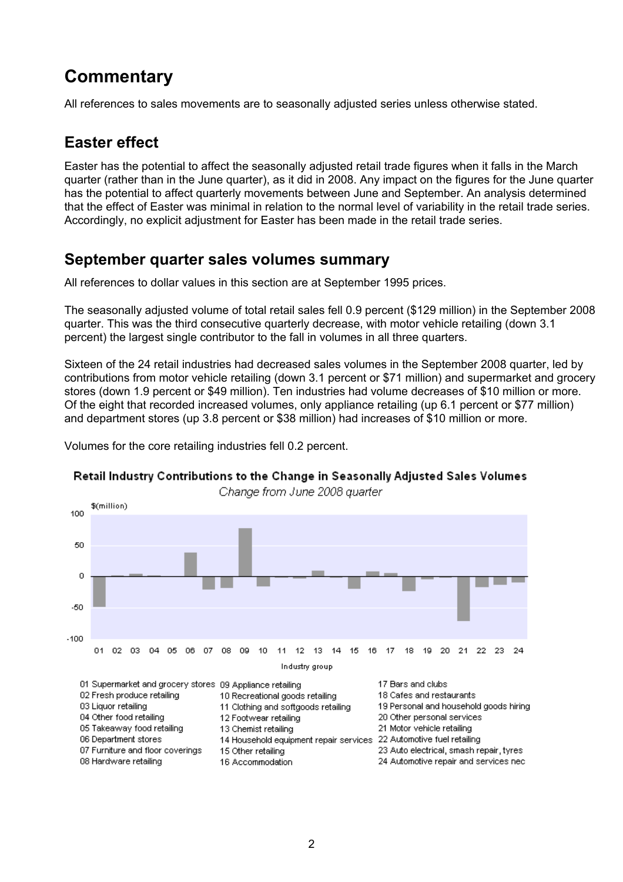# **Commentary**

All references to sales movements are to seasonally adjusted series unless otherwise stated.

# **Easter effect**

Easter has the potential to affect the seasonally adjusted retail trade figures when it falls in the March quarter (rather than in the June quarter), as it did in 2008. Any impact on the figures for the June quarter has the potential to affect quarterly movements between June and September. An analysis determined that the effect of Easter was minimal in relation to the normal level of variability in the retail trade series. Accordingly, no explicit adjustment for Easter has been made in the retail trade series.

### **September quarter sales volumes summary**

All references to dollar values in this section are at September 1995 prices.

The seasonally adjusted volume of total retail sales fell 0.9 percent (\$129 million) in the September 2008 quarter. This was the third consecutive quarterly decrease, with motor vehicle retailing (down 3.1 percent) the largest single contributor to the fall in volumes in all three quarters.

Sixteen of the 24 retail industries had decreased sales volumes in the September 2008 quarter, led by contributions from motor vehicle retailing (down 3.1 percent or \$71 million) and supermarket and grocery stores (down 1.9 percent or \$49 million). Ten industries had volume decreases of \$10 million or more. Of the eight that recorded increased volumes, only appliance retailing (up 6.1 percent or \$77 million) and department stores (up 3.8 percent or \$38 million) had increases of \$10 million or more.





#### Retail Industry Contributions to the Change in Seasonally Adjusted Sales Volumes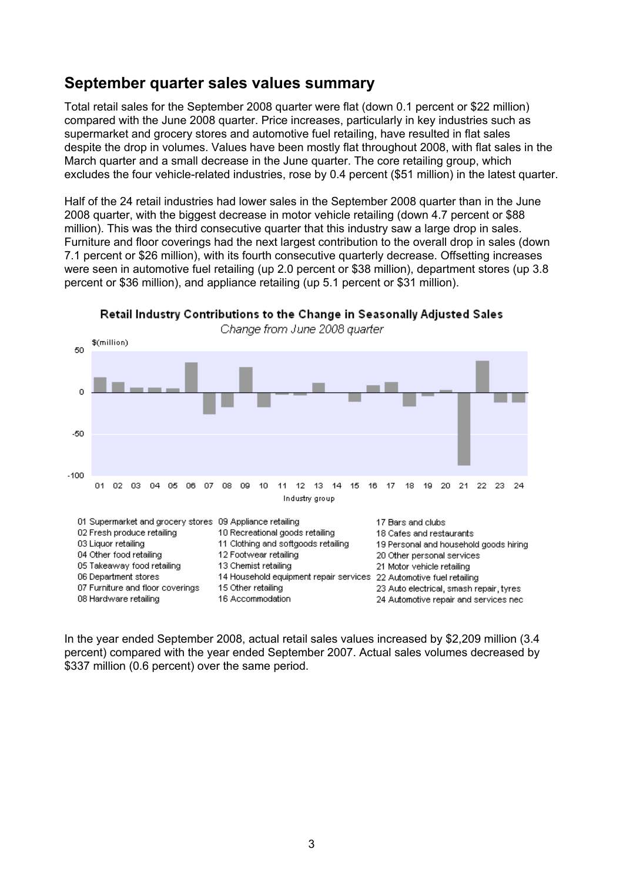### **September quarter sales values summary**

Total retail sales for the September 2008 quarter were flat (down 0.1 percent or \$22 million) compared with the June 2008 quarter. Price increases, particularly in key industries such as supermarket and grocery stores and automotive fuel retailing, have resulted in flat sales despite the drop in volumes. Values have been mostly flat throughout 2008, with flat sales in the March quarter and a small decrease in the June quarter. The core retailing group, which excludes the four vehicle-related industries, rose by 0.4 percent (\$51 million) in the latest quarter.

Half of the 24 retail industries had lower sales in the September 2008 quarter than in the June 2008 quarter, with the biggest decrease in motor vehicle retailing (down 4.7 percent or \$88 million). This was the third consecutive quarter that this industry saw a large drop in sales. Furniture and floor coverings had the next largest contribution to the overall drop in sales (down 7.1 percent or \$26 million), with its fourth consecutive quarterly decrease. Offsetting increases were seen in automotive fuel retailing (up 2.0 percent or \$38 million), department stores (up 3.8 percent or \$36 million), and appliance retailing (up 5.1 percent or \$31 million).



In the year ended September 2008, actual retail sales values increased by \$2,209 million (3.4 percent) compared with the year ended September 2007. Actual sales volumes decreased by \$337 million (0.6 percent) over the same period.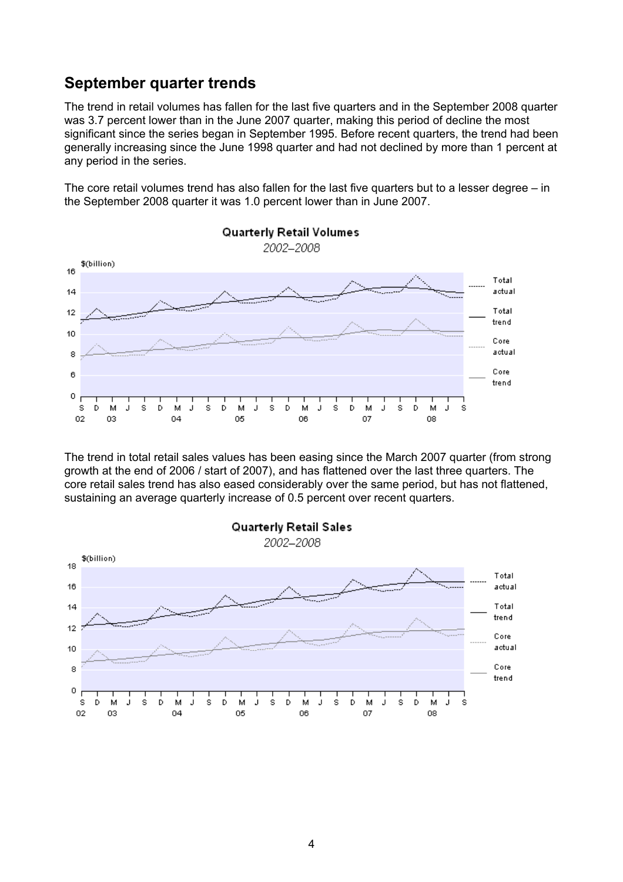### **September quarter trends**

The trend in retail volumes has fallen for the last five quarters and in the September 2008 quarter was 3.7 percent lower than in the June 2007 quarter, making this period of decline the most significant since the series began in September 1995. Before recent quarters, the trend had been generally increasing since the June 1998 quarter and had not declined by more than 1 percent at any period in the series.

The core retail volumes trend has also fallen for the last five quarters but to a lesser degree – in the September 2008 quarter it was 1.0 percent lower than in June 2007.



The trend in total retail sales values has been easing since the March 2007 quarter (from strong growth at the end of 2006 / start of 2007), and has flattened over the last three quarters. The core retail sales trend has also eased considerably over the same period, but has not flattened, sustaining an average quarterly increase of 0.5 percent over recent quarters.

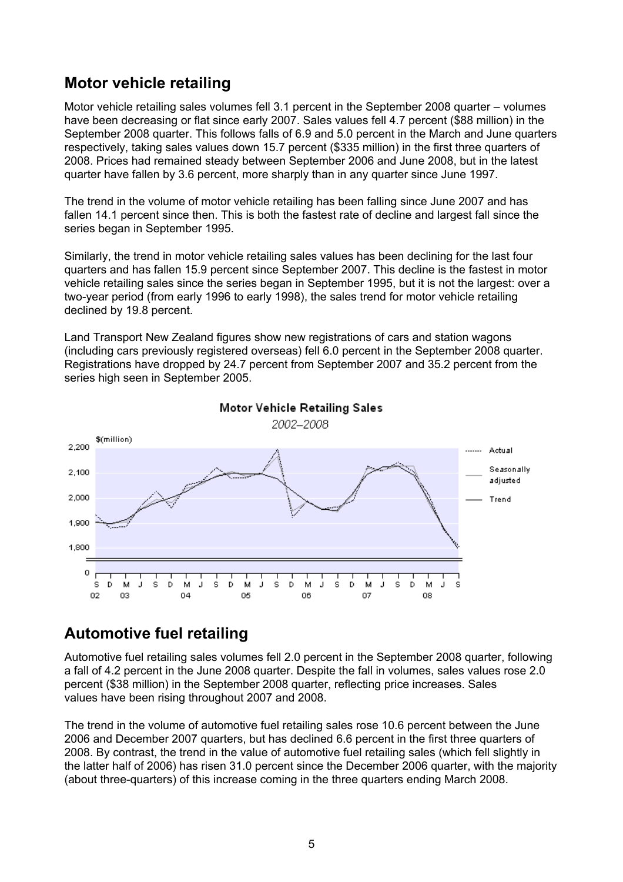### **Motor vehicle retailing**

Motor vehicle retailing sales volumes fell 3.1 percent in the September 2008 quarter – volumes have been decreasing or flat since early 2007. Sales values fell 4.7 percent (\$88 million) in the September 2008 quarter. This follows falls of 6.9 and 5.0 percent in the March and June quarters respectively, taking sales values down 15.7 percent (\$335 million) in the first three quarters of 2008. Prices had remained steady between September 2006 and June 2008, but in the latest quarter have fallen by 3.6 percent, more sharply than in any quarter since June 1997.

The trend in the volume of motor vehicle retailing has been falling since June 2007 and has fallen 14.1 percent since then. This is both the fastest rate of decline and largest fall since the series began in September 1995.

Similarly, the trend in motor vehicle retailing sales values has been declining for the last four quarters and has fallen 15.9 percent since September 2007. This decline is the fastest in motor vehicle retailing sales since the series began in September 1995, but it is not the largest: over a two-year period (from early 1996 to early 1998), the sales trend for motor vehicle retailing declined by 19.8 percent.

Land Transport New Zealand figures show new registrations of cars and station wagons (including cars previously registered overseas) fell 6.0 percent in the September 2008 quarter. Registrations have dropped by 24.7 percent from September 2007 and 35.2 percent from the series high seen in September 2005.



## **Automotive fuel retailing**

Automotive fuel retailing sales volumes fell 2.0 percent in the September 2008 quarter, following a fall of 4.2 percent in the June 2008 quarter. Despite the fall in volumes, sales values rose 2.0 percent (\$38 million) in the September 2008 quarter, reflecting price increases. Sales values have been rising throughout 2007 and 2008.

The trend in the volume of automotive fuel retailing sales rose 10.6 percent between the June 2006 and December 2007 quarters, but has declined 6.6 percent in the first three quarters of 2008. By contrast, the trend in the value of automotive fuel retailing sales (which fell slightly in the latter half of 2006) has risen 31.0 percent since the December 2006 quarter, with the majority (about three-quarters) of this increase coming in the three quarters ending March 2008.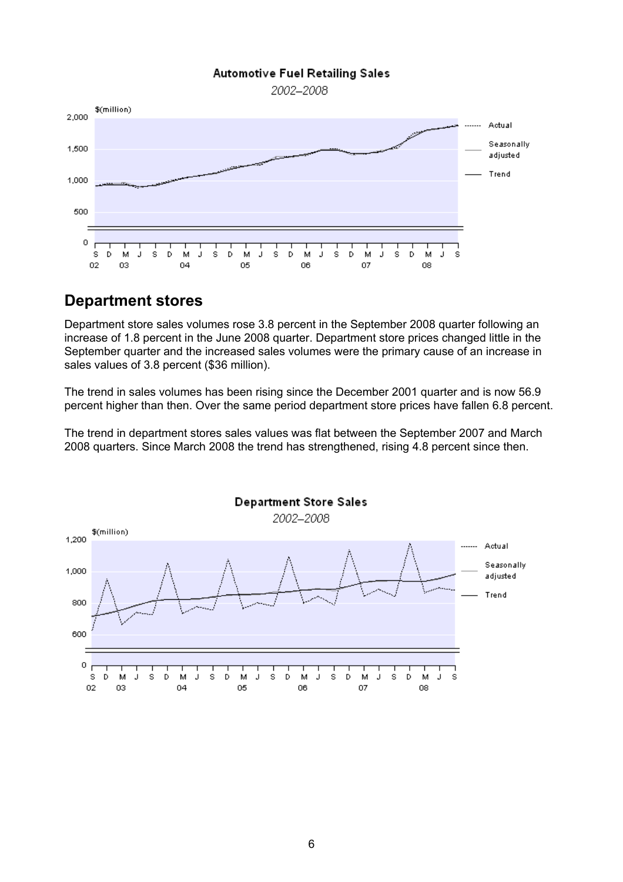#### **Automotive Fuel Retailing Sales**

2002-2008



### **Department stores**

Department store sales volumes rose 3.8 percent in the September 2008 quarter following an increase of 1.8 percent in the June 2008 quarter. Department store prices changed little in the September quarter and the increased sales volumes were the primary cause of an increase in sales values of 3.8 percent (\$36 million).

The trend in sales volumes has been rising since the December 2001 quarter and is now 56.9 percent higher than then. Over the same period department store prices have fallen 6.8 percent.

The trend in department stores sales values was flat between the September 2007 and March 2008 quarters. Since March 2008 the trend has strengthened, rising 4.8 percent since then.

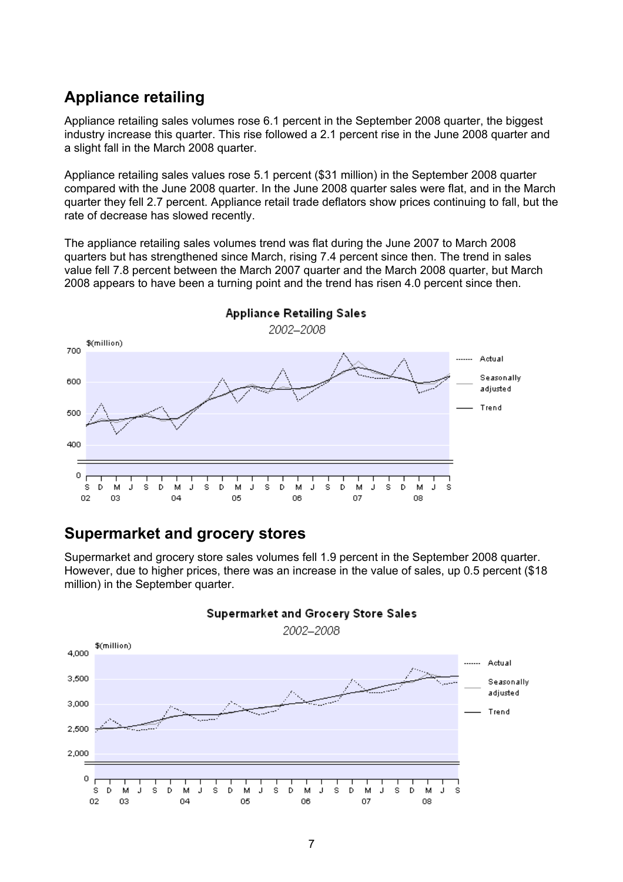### **Appliance retailing**

Appliance retailing sales volumes rose 6.1 percent in the September 2008 quarter, the biggest industry increase this quarter. This rise followed a 2.1 percent rise in the June 2008 quarter and a slight fall in the March 2008 quarter.

Appliance retailing sales values rose 5.1 percent (\$31 million) in the September 2008 quarter compared with the June 2008 quarter. In the June 2008 quarter sales were flat, and in the March quarter they fell 2.7 percent. Appliance retail trade deflators show prices continuing to fall, but the rate of decrease has slowed recently.

The appliance retailing sales volumes trend was flat during the June 2007 to March 2008 quarters but has strengthened since March, rising 7.4 percent since then. The trend in sales value fell 7.8 percent between the March 2007 quarter and the March 2008 quarter, but March 2008 appears to have been a turning point and the trend has risen 4.0 percent since then.



### **Supermarket and grocery stores**

Supermarket and grocery store sales volumes fell 1.9 percent in the September 2008 quarter. However, due to higher prices, there was an increase in the value of sales, up 0.5 percent (\$18 million) in the September quarter.

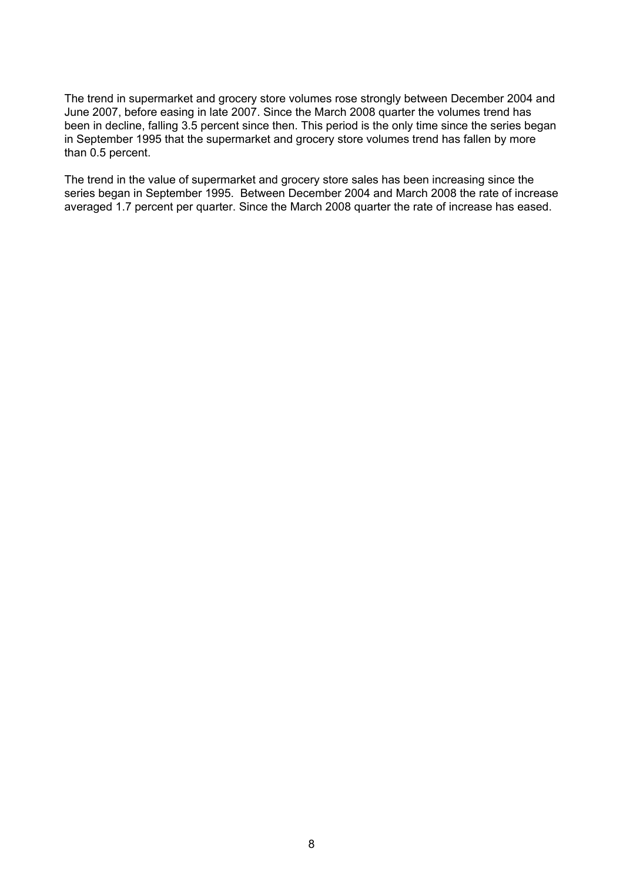The trend in supermarket and grocery store volumes rose strongly between December 2004 and June 2007, before easing in late 2007. Since the March 2008 quarter the volumes trend has been in decline, falling 3.5 percent since then. This period is the only time since the series began in September 1995 that the supermarket and grocery store volumes trend has fallen by more than 0.5 percent.

The trend in the value of supermarket and grocery store sales has been increasing since the series began in September 1995. Between December 2004 and March 2008 the rate of increase averaged 1.7 percent per quarter. Since the March 2008 quarter the rate of increase has eased.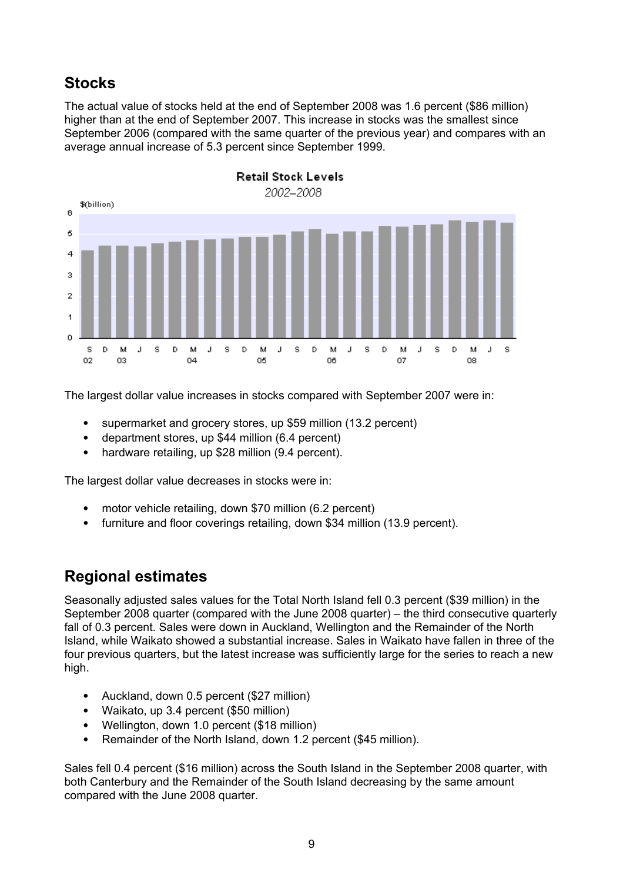# **Stocks**

The actual value of stocks held at the end of September 2008 was 1.6 percent (\$86 million) higher than at the end of September 2007. This increase in stocks was the smallest since September 2006 (compared with the same quarter of the previous year) and compares with an average annual increase of 5.3 percent since September 1999.



The largest dollar value increases in stocks compared with September 2007 were in:

- supermarket and grocery stores, up \$59 million (13.2 percent)
- department stores, up \$44 million (6.4 percent)
- hardware retailing, up \$28 million (9.4 percent).

The largest dollar value decreases in stocks were in:

- motor vehicle retailing, down \$70 million (6.2 percent)
- furniture and floor coverings retailing, down \$34 million (13.9 percent).

### **Regional estimates**

Seasonally adjusted sales values for the Total North Island fell 0.3 percent (\$39 million) in the September 2008 quarter (compared with the June 2008 quarter) – the third consecutive quarterly fall of 0.3 percent. Sales were down in Auckland, Wellington and the Remainder of the North Island, while Waikato showed a substantial increase. Sales in Waikato have fallen in three of the four previous quarters, but the latest increase was sufficiently large for the series to reach a new high.

- Auckland, down 0.5 percent (\$27 million)
- Waikato, up 3.4 percent (\$50 million)
- Wellington, down 1.0 percent (\$18 million)
- Remainder of the North Island, down 1.2 percent (\$45 million).

Sales fell 0.4 percent (\$16 million) across the South Island in the September 2008 quarter, with both Canterbury and the Remainder of the South Island decreasing by the same amount compared with the June 2008 quarter.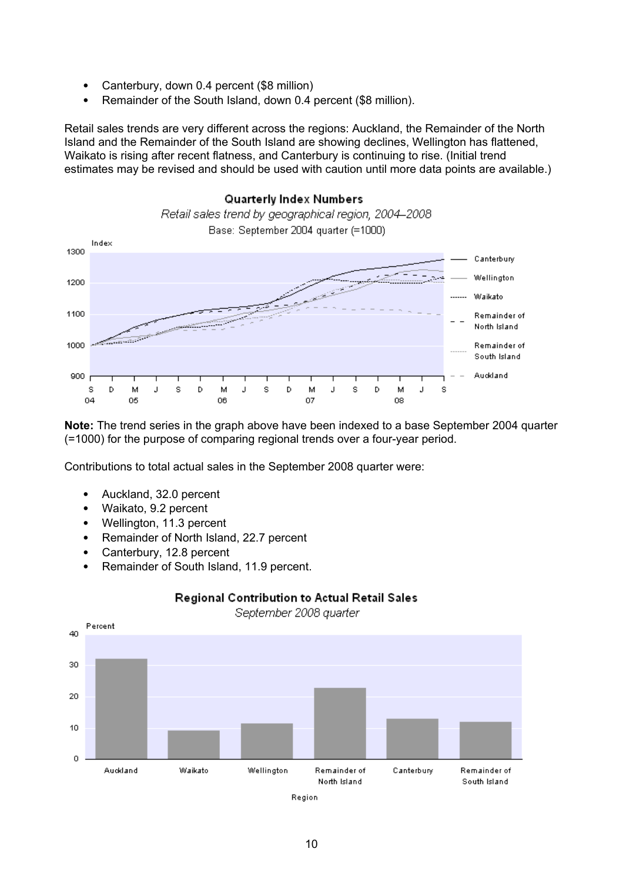- Canterbury, down 0.4 percent (\$8 million)
- Remainder of the South Island, down 0.4 percent (\$8 million).

Retail sales trends are very different across the regions: Auckland, the Remainder of the North Island and the Remainder of the South Island are showing declines, Wellington has flattened, Waikato is rising after recent flatness, and Canterbury is continuing to rise. (Initial trend estimates may be revised and should be used with caution until more data points are available.)



**Note:** The trend series in the graph above have been indexed to a base September 2004 quarter (=1000) for the purpose of comparing regional trends over a four-year period.

Contributions to total actual sales in the September 2008 quarter were:

- Auckland, 32.0 percent
- Waikato, 9.2 percent
- Wellington, 11.3 percent
- Remainder of North Island, 22.7 percent
- Canterbury, 12.8 percent
- Remainder of South Island, 11.9 percent.



#### Regional Contribution to Actual Retail Sales

September 2008 quarter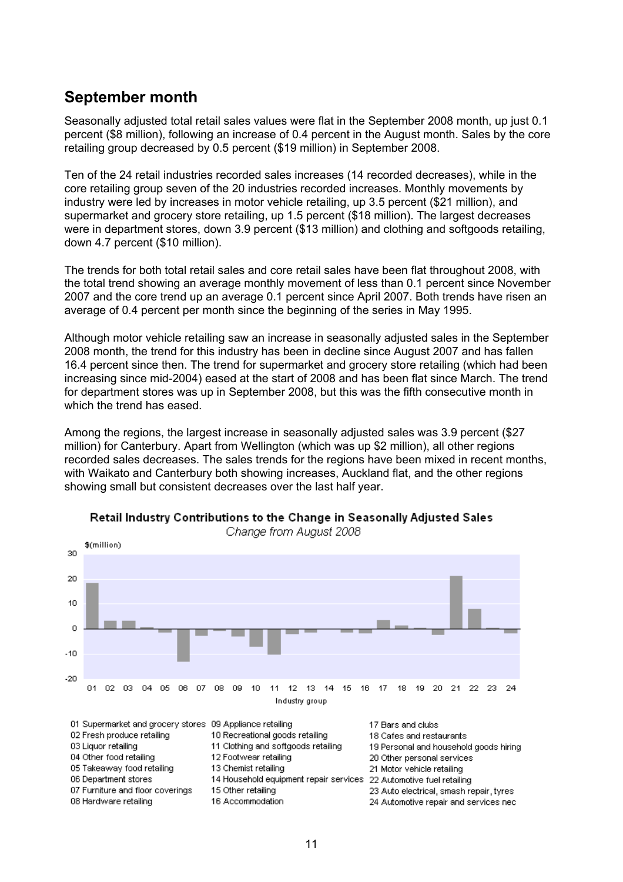### **September month**

Seasonally adjusted total retail sales values were flat in the September 2008 month, up just 0.1 percent (\$8 million), following an increase of 0.4 percent in the August month. Sales by the core retailing group decreased by 0.5 percent (\$19 million) in September 2008.

Ten of the 24 retail industries recorded sales increases (14 recorded decreases), while in the core retailing group seven of the 20 industries recorded increases. Monthly movements by industry were led by increases in motor vehicle retailing, up 3.5 percent (\$21 million), and supermarket and grocery store retailing, up 1.5 percent (\$18 million). The largest decreases were in department stores, down 3.9 percent (\$13 million) and clothing and softgoods retailing, down 4.7 percent (\$10 million).

The trends for both total retail sales and core retail sales have been flat throughout 2008, with the total trend showing an average monthly movement of less than 0.1 percent since November 2007 and the core trend up an average 0.1 percent since April 2007. Both trends have risen an average of 0.4 percent per month since the beginning of the series in May 1995.

Although motor vehicle retailing saw an increase in seasonally adjusted sales in the September 2008 month, the trend for this industry has been in decline since August 2007 and has fallen 16.4 percent since then. The trend for supermarket and grocery store retailing (which had been increasing since mid-2004) eased at the start of 2008 and has been flat since March. The trend for department stores was up in September 2008, but this was the fifth consecutive month in which the trend has eased.

Among the regions, the largest increase in seasonally adjusted sales was 3.9 percent (\$27 million) for Canterbury. Apart from Wellington (which was up \$2 million), all other regions recorded sales decreases. The sales trends for the regions have been mixed in recent months, with Waikato and Canterbury both showing increases, Auckland flat, and the other regions showing small but consistent decreases over the last half year.



Retail Industry Contributions to the Change in Seasonally Adjusted Sales Change from August 2008

19 Personal and household goods hiring 05 Takeaway food retailing 13 Chemist retailing 21 Motor vehicle retailing 06 Department stores 14 Household equipment repair services 22 Automotive fuel retailing 07 Furniture and floor coverings 15 Other retailing 23 Auto electrical, smash repair, tyres 16 Accommodation 08 Hardware retailing 24 Automotive repair and services nec-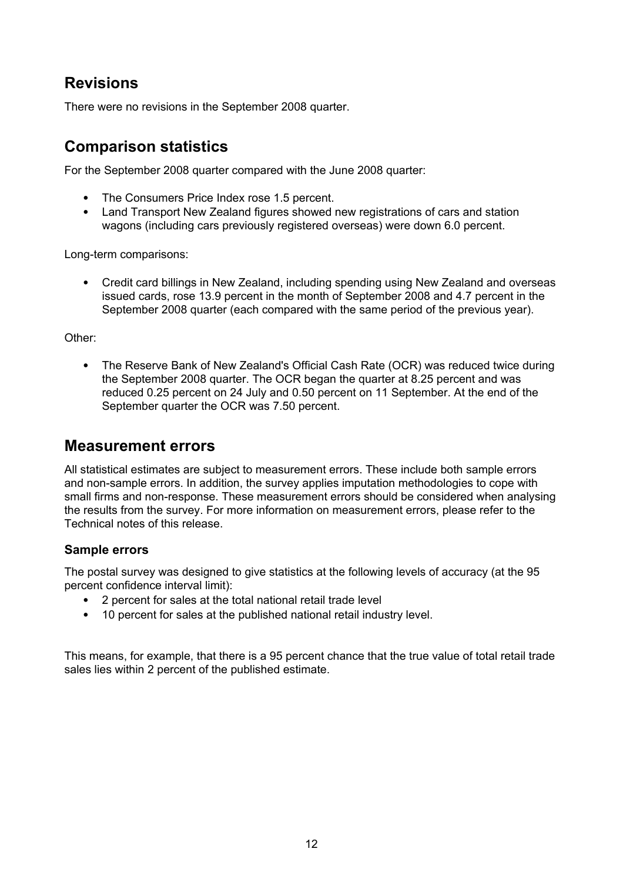# **Revisions**

There were no revisions in the September 2008 quarter.

# **Comparison statistics**

For the September 2008 quarter compared with the June 2008 quarter:

- The Consumers Price Index rose 1.5 percent.
- Land Transport New Zealand figures showed new registrations of cars and station wagons (including cars previously registered overseas) were down 6.0 percent.

Long-term comparisons:

• Credit card billings in New Zealand, including spending using New Zealand and overseas issued cards, rose 13.9 percent in the month of September 2008 and 4.7 percent in the September 2008 quarter (each compared with the same period of the previous year).

Other:

• The Reserve Bank of New Zealand's Official Cash Rate (OCR) was reduced twice during the September 2008 quarter. The OCR began the quarter at 8.25 percent and was reduced 0.25 percent on 24 July and 0.50 percent on 11 September. At the end of the September quarter the OCR was 7.50 percent.

### **Measurement errors**

All statistical estimates are subject to measurement errors. These include both sample errors and non-sample errors. In addition, the survey applies imputation methodologies to cope with small firms and non-response. These measurement errors should be considered when analysing the results from the survey. For more information on measurement errors, please refer to the Technical notes of this release.

#### **Sample errors**

The postal survey was designed to give statistics at the following levels of accuracy (at the 95 percent confidence interval limit):

- 2 percent for sales at the total national retail trade level
- 10 percent for sales at the published national retail industry level.

This means, for example, that there is a 95 percent chance that the true value of total retail trade sales lies within 2 percent of the published estimate.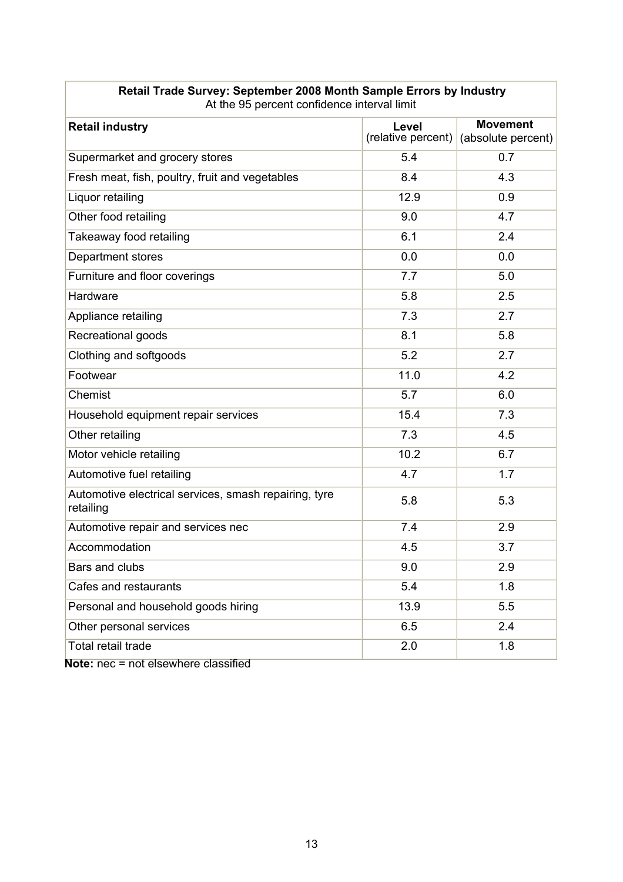| <b>Retail industry</b>                                             | Level<br>(relative percent) | <b>Movement</b><br>(absolute percent) |
|--------------------------------------------------------------------|-----------------------------|---------------------------------------|
| Supermarket and grocery stores                                     | 5.4                         | 0.7                                   |
| Fresh meat, fish, poultry, fruit and vegetables                    | 8.4                         | 4.3                                   |
| Liquor retailing                                                   | 12.9                        | 0.9                                   |
| Other food retailing                                               | 9.0                         | 4.7                                   |
| Takeaway food retailing                                            | 6.1                         | 2.4                                   |
| Department stores                                                  | 0.0                         | 0.0                                   |
| Furniture and floor coverings                                      | 7.7                         | 5.0                                   |
| Hardware                                                           | 5.8                         | 2.5                                   |
| Appliance retailing                                                | 7.3                         | 2.7                                   |
| Recreational goods                                                 | 8.1                         | 5.8                                   |
| Clothing and softgoods                                             | 5.2                         | 2.7                                   |
| Footwear                                                           | 11.0                        | 4.2                                   |
| Chemist                                                            | 5.7                         | 6.0                                   |
| Household equipment repair services                                | 15.4                        | 7.3                                   |
| Other retailing                                                    | 7.3                         | 4.5                                   |
| Motor vehicle retailing                                            | 10.2                        | 6.7                                   |
| Automotive fuel retailing                                          | 4.7                         | 1.7                                   |
| Automotive electrical services, smash repairing, tyre<br>retailing | 5.8                         | 5.3                                   |
| Automotive repair and services nec                                 | 7.4                         | 2.9                                   |
| Accommodation                                                      | 4.5                         | 3.7                                   |
| Bars and clubs                                                     | 9.0                         | 2.9                                   |
| Cafes and restaurants                                              | 5.4                         | 1.8                                   |
| Personal and household goods hiring                                | 13.9                        | 5.5                                   |
| Other personal services                                            | 6.5                         | 2.4                                   |
| Total retail trade                                                 | 2.0                         | 1.8                                   |
| المملم المعامرين والمحامر                                          |                             |                                       |

#### **Retail Trade Survey: September 2008 Month Sample Errors by Industry** At the 95 percent confidence interval limit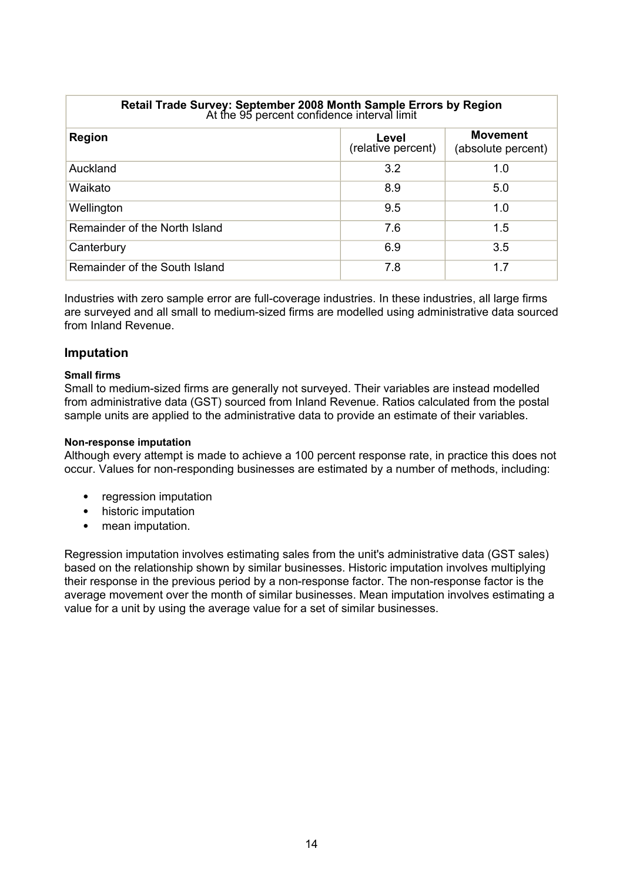| Retail Trade Survey: September 2008 Month Sample Errors by Region<br>At the 95 percent confidence interval limit |                             |                                       |  |  |  |  |  |  |
|------------------------------------------------------------------------------------------------------------------|-----------------------------|---------------------------------------|--|--|--|--|--|--|
| <b>Region</b>                                                                                                    | Level<br>(relative percent) | <b>Movement</b><br>(absolute percent) |  |  |  |  |  |  |
| Auckland                                                                                                         | 3.2                         | 1.0                                   |  |  |  |  |  |  |
| Waikato                                                                                                          | 8.9                         | 5.0                                   |  |  |  |  |  |  |
| Wellington                                                                                                       | 9.5                         | 1.0                                   |  |  |  |  |  |  |
| Remainder of the North Island                                                                                    | 7.6                         | 1.5                                   |  |  |  |  |  |  |
| Canterbury                                                                                                       | 6.9                         | 3.5                                   |  |  |  |  |  |  |
| Remainder of the South Island                                                                                    | 7.8                         | 1.7                                   |  |  |  |  |  |  |

Industries with zero sample error are full-coverage industries. In these industries, all large firms are surveyed and all small to medium-sized firms are modelled using administrative data sourced from Inland Revenue.

#### **Imputation**

#### **Small firms**

Small to medium-sized firms are generally not surveyed. Their variables are instead modelled from administrative data (GST) sourced from Inland Revenue. Ratios calculated from the postal sample units are applied to the administrative data to provide an estimate of their variables.

#### **Non-response imputation**

Although every attempt is made to achieve a 100 percent response rate, in practice this does not occur. Values for non-responding businesses are estimated by a number of methods, including:

- regression imputation
- historic imputation
- mean imputation.

Regression imputation involves estimating sales from the unit's administrative data (GST sales) based on the relationship shown by similar businesses. Historic imputation involves multiplying their response in the previous period by a non-response factor. The non-response factor is the average movement over the month of similar businesses. Mean imputation involves estimating a value for a unit by using the average value for a set of similar businesses.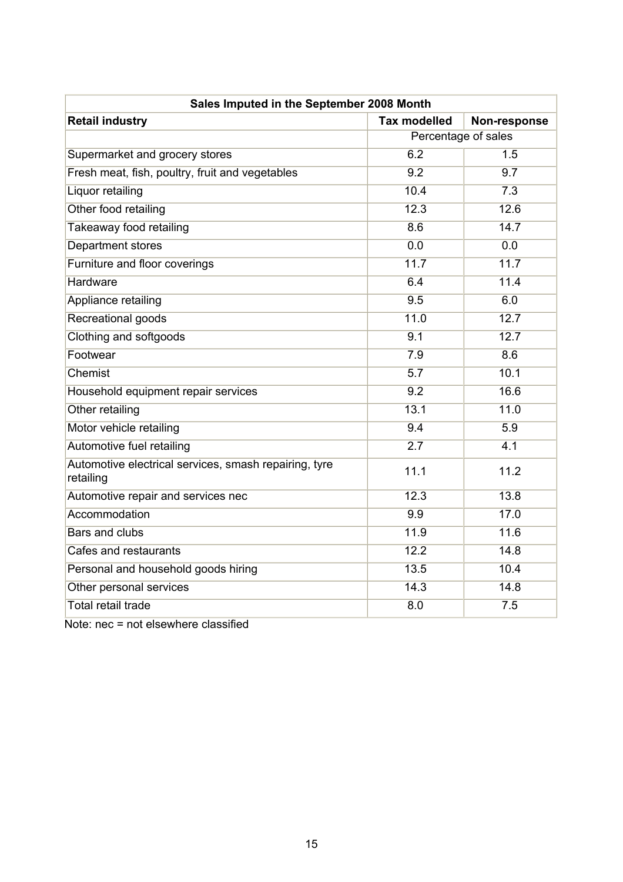| Sales Imputed in the September 2008 Month                          |                     |                     |  |  |  |  |  |
|--------------------------------------------------------------------|---------------------|---------------------|--|--|--|--|--|
| <b>Retail industry</b>                                             | <b>Tax modelled</b> | Non-response        |  |  |  |  |  |
|                                                                    |                     | Percentage of sales |  |  |  |  |  |
| Supermarket and grocery stores                                     | 6.2                 | 1.5                 |  |  |  |  |  |
| Fresh meat, fish, poultry, fruit and vegetables                    | 9.2                 | 9.7                 |  |  |  |  |  |
| Liquor retailing                                                   | 10.4                | 7.3                 |  |  |  |  |  |
| Other food retailing                                               | 12.3                | 12.6                |  |  |  |  |  |
| Takeaway food retailing                                            | 8.6                 | 14.7                |  |  |  |  |  |
| <b>Department stores</b>                                           | 0.0                 | 0.0                 |  |  |  |  |  |
| Furniture and floor coverings                                      | 11.7                | 11.7                |  |  |  |  |  |
| Hardware                                                           | 6.4                 | 11.4                |  |  |  |  |  |
| Appliance retailing                                                | 9.5                 | 6.0                 |  |  |  |  |  |
| <b>Recreational goods</b>                                          | 11.0                | 12.7                |  |  |  |  |  |
| Clothing and softgoods                                             | 9.1                 | 12.7                |  |  |  |  |  |
| Footwear                                                           | 7.9                 | 8.6                 |  |  |  |  |  |
| Chemist                                                            | $\overline{5.7}$    | 10.1                |  |  |  |  |  |
| Household equipment repair services                                | 9.2                 | 16.6                |  |  |  |  |  |
| Other retailing                                                    | 13.1                | 11.0                |  |  |  |  |  |
| Motor vehicle retailing                                            | 9.4                 | 5.9                 |  |  |  |  |  |
| Automotive fuel retailing                                          | 2.7                 | 4.1                 |  |  |  |  |  |
| Automotive electrical services, smash repairing, tyre<br>retailing | 11.1                | 11.2                |  |  |  |  |  |
| Automotive repair and services nec                                 | 12.3                | 13.8                |  |  |  |  |  |
| Accommodation                                                      | 9.9                 | 17.0                |  |  |  |  |  |
| <b>Bars and clubs</b>                                              | 11.9                | 11.6                |  |  |  |  |  |
| Cafes and restaurants                                              | 12.2                | 14.8                |  |  |  |  |  |
| Personal and household goods hiring                                | 13.5                | 10.4                |  |  |  |  |  |
| Other personal services                                            | 14.3                | 14.8                |  |  |  |  |  |
| <b>Total retail trade</b>                                          | 8.0                 | 7.5                 |  |  |  |  |  |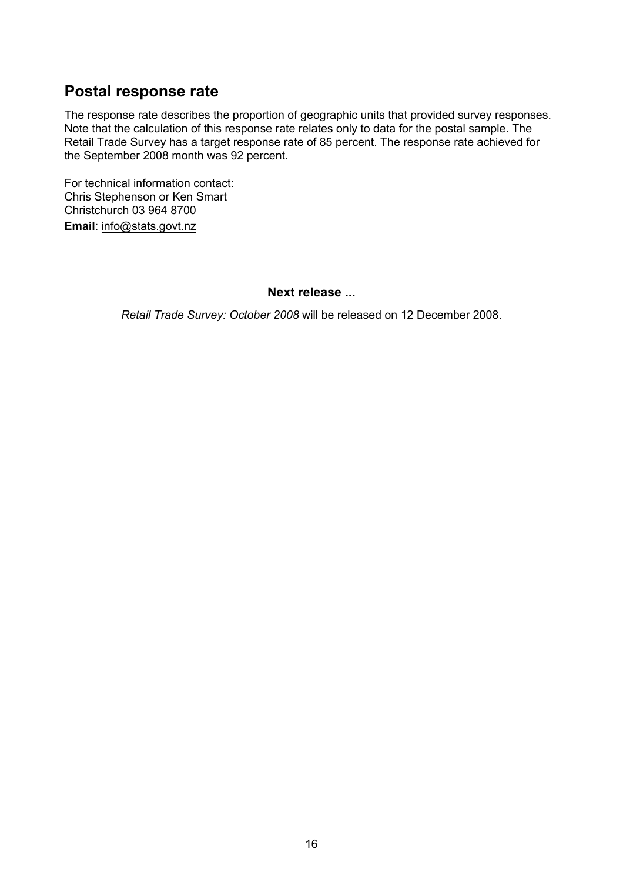### **Postal response rate**

The response rate describes the proportion of geographic units that provided survey responses. Note that the calculation of this response rate relates only to data for the postal sample. The Retail Trade Survey has a target response rate of 85 percent. The response rate achieved for the September 2008 month was 92 percent.

For technical information contact: Chris Stephenson or Ken Smart Christchurch 03 964 8700 **Email**: info@stats.govt.nz

#### **Next release ...**

*Retail Trade Survey: October 2008* will be released on 12 December 2008.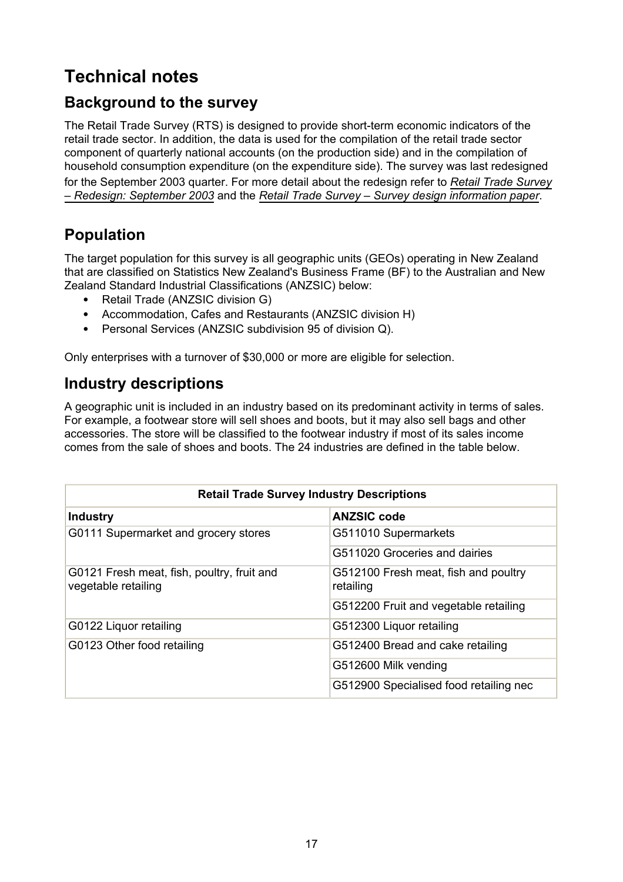# **Technical notes**

## **Background to the survey**

The Retail Trade Survey (RTS) is designed to provide short-term economic indicators of the retail trade sector. In addition, the data is used for the compilation of the retail trade sector component of quarterly national accounts (on the production side) and in the compilation of household consumption expenditure (on the expenditure side). The survey was last redesigned for the September 2003 quarter. For more detail about the redesign refer to *[Retail Trade Survey](http://www2.stats.govt.nz/domino/external/pasfull/pasfull.nsf/web/Hot%20Off%20The%20Press%20Retail%20Trade%20Survey%20-%20Redesign%20September%202003?open) [– Redesign: September 2003](http://www2.stats.govt.nz/domino/external/pasfull/pasfull.nsf/web/Hot%20Off%20The%20Press%20Retail%20Trade%20Survey%20-%20Redesign%20September%202003?open)* and the *[Retail Trade Survey – Survey design information paper](http://www2.stats.govt.nz/domino/external/pasfull/pasfull.nsf/web/Hot%20Off%20The%20Press%20Retail%20Trade%20Survey%20-%20Survey%20design%20Information%20Paper%20Information%20Paper?open)*.

# **Population**

The target population for this survey is all geographic units (GEOs) operating in New Zealand that are classified on Statistics New Zealand's Business Frame (BF) to the Australian and New Zealand Standard Industrial Classifications (ANZSIC) below:

- Retail Trade (ANZSIC division G)
- Accommodation, Cafes and Restaurants (ANZSIC division H)
- Personal Services (ANZSIC subdivision 95 of division Q).

Only enterprises with a turnover of \$30,000 or more are eligible for selection.

### **Industry descriptions**

A geographic unit is included in an industry based on its predominant activity in terms of sales. For example, a footwear store will sell shoes and boots, but it may also sell bags and other accessories. The store will be classified to the footwear industry if most of its sales income comes from the sale of shoes and boots. The 24 industries are defined in the table below.

|                                                                   | <b>Retail Trade Survey Industry Descriptions</b>  |
|-------------------------------------------------------------------|---------------------------------------------------|
| <b>Industry</b>                                                   | <b>ANZSIC code</b>                                |
| G0111 Supermarket and grocery stores                              | G511010 Supermarkets                              |
|                                                                   | G511020 Groceries and dairies                     |
| G0121 Fresh meat, fish, poultry, fruit and<br>vegetable retailing | G512100 Fresh meat, fish and poultry<br>retailing |
|                                                                   | G512200 Fruit and vegetable retailing             |
| G0122 Liquor retailing                                            | G512300 Liquor retailing                          |
| G0123 Other food retailing                                        | G512400 Bread and cake retailing                  |
|                                                                   | G512600 Milk vending                              |
|                                                                   | G512900 Specialised food retailing nec            |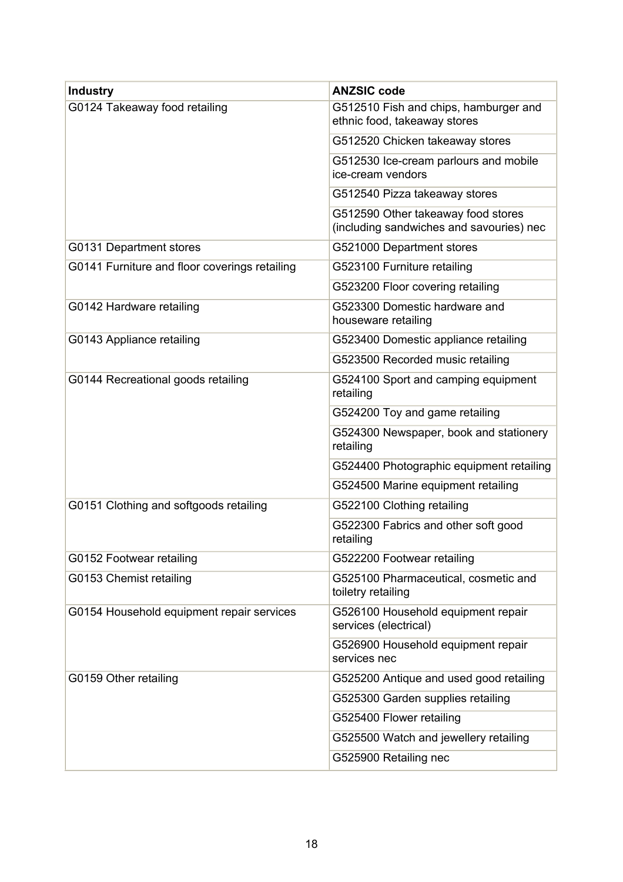| <b>Industry</b>                               | <b>ANZSIC code</b>                                                             |  |  |  |
|-----------------------------------------------|--------------------------------------------------------------------------------|--|--|--|
| G0124 Takeaway food retailing                 | G512510 Fish and chips, hamburger and<br>ethnic food, takeaway stores          |  |  |  |
|                                               | G512520 Chicken takeaway stores                                                |  |  |  |
|                                               | G512530 Ice-cream parlours and mobile<br>ice-cream vendors                     |  |  |  |
|                                               | G512540 Pizza takeaway stores                                                  |  |  |  |
|                                               | G512590 Other takeaway food stores<br>(including sandwiches and savouries) nec |  |  |  |
| G0131 Department stores                       | G521000 Department stores                                                      |  |  |  |
| G0141 Furniture and floor coverings retailing | G523100 Furniture retailing                                                    |  |  |  |
|                                               | G523200 Floor covering retailing                                               |  |  |  |
| G0142 Hardware retailing                      | G523300 Domestic hardware and<br>houseware retailing                           |  |  |  |
| G0143 Appliance retailing                     | G523400 Domestic appliance retailing                                           |  |  |  |
|                                               | G523500 Recorded music retailing                                               |  |  |  |
| G0144 Recreational goods retailing            | G524100 Sport and camping equipment<br>retailing                               |  |  |  |
|                                               | G524200 Toy and game retailing                                                 |  |  |  |
|                                               | G524300 Newspaper, book and stationery<br>retailing                            |  |  |  |
|                                               | G524400 Photographic equipment retailing                                       |  |  |  |
|                                               | G524500 Marine equipment retailing                                             |  |  |  |
| G0151 Clothing and softgoods retailing        | G522100 Clothing retailing                                                     |  |  |  |
|                                               | G522300 Fabrics and other soft good<br>retailing                               |  |  |  |
| G0152 Footwear retailing                      | G522200 Footwear retailing                                                     |  |  |  |
| G0153 Chemist retailing                       | G525100 Pharmaceutical, cosmetic and<br>toiletry retailing                     |  |  |  |
| G0154 Household equipment repair services     | G526100 Household equipment repair<br>services (electrical)                    |  |  |  |
|                                               | G526900 Household equipment repair<br>services nec                             |  |  |  |
| G0159 Other retailing                         | G525200 Antique and used good retailing                                        |  |  |  |
|                                               | G525300 Garden supplies retailing                                              |  |  |  |
|                                               | G525400 Flower retailing                                                       |  |  |  |
|                                               | G525500 Watch and jewellery retailing                                          |  |  |  |
|                                               | G525900 Retailing nec                                                          |  |  |  |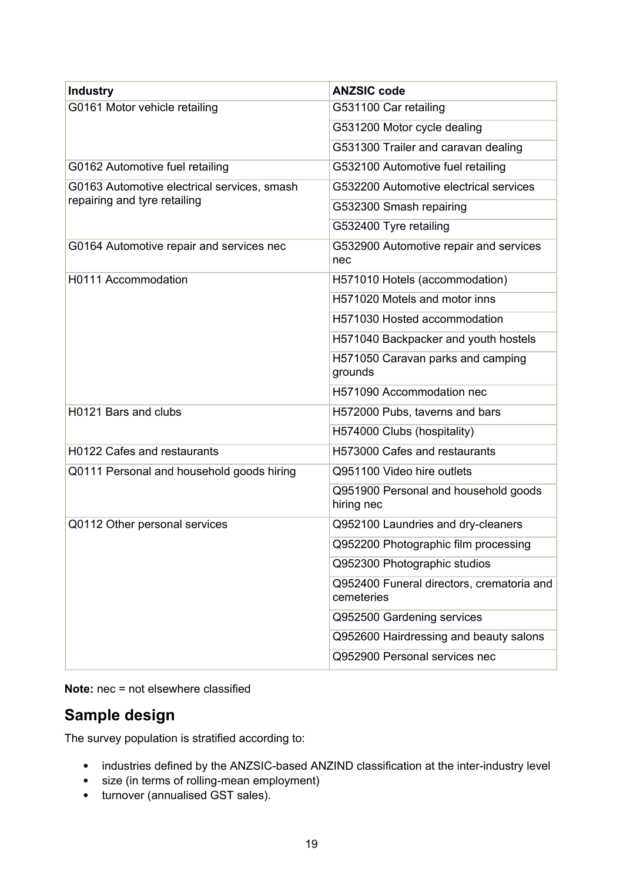| <b>Industry</b>                             | <b>ANZSIC code</b>                                      |  |  |  |  |
|---------------------------------------------|---------------------------------------------------------|--|--|--|--|
| G0161 Motor vehicle retailing               | G531100 Car retailing                                   |  |  |  |  |
|                                             | G531200 Motor cycle dealing                             |  |  |  |  |
|                                             | G531300 Trailer and caravan dealing                     |  |  |  |  |
| G0162 Automotive fuel retailing             | G532100 Automotive fuel retailing                       |  |  |  |  |
| G0163 Automotive electrical services, smash | G532200 Automotive electrical services                  |  |  |  |  |
| repairing and tyre retailing                | G532300 Smash repairing                                 |  |  |  |  |
|                                             | G532400 Tyre retailing                                  |  |  |  |  |
| G0164 Automotive repair and services nec    | G532900 Automotive repair and services<br>nec           |  |  |  |  |
| H0111 Accommodation                         | H571010 Hotels (accommodation)                          |  |  |  |  |
|                                             | H571020 Motels and motor inns                           |  |  |  |  |
|                                             | H571030 Hosted accommodation                            |  |  |  |  |
|                                             | H571040 Backpacker and youth hostels                    |  |  |  |  |
|                                             | H571050 Caravan parks and camping<br>grounds            |  |  |  |  |
|                                             | H571090 Accommodation nec                               |  |  |  |  |
| H0121 Bars and clubs                        | H572000 Pubs, taverns and bars                          |  |  |  |  |
|                                             | H574000 Clubs (hospitality)                             |  |  |  |  |
| H0122 Cafes and restaurants                 | H573000 Cafes and restaurants                           |  |  |  |  |
| Q0111 Personal and household goods hiring   | Q951100 Video hire outlets                              |  |  |  |  |
|                                             | Q951900 Personal and household goods<br>hiring nec      |  |  |  |  |
| Q0112 Other personal services               | Q952100 Laundries and dry-cleaners                      |  |  |  |  |
|                                             | Q952200 Photographic film processing                    |  |  |  |  |
|                                             | Q952300 Photographic studios                            |  |  |  |  |
|                                             | Q952400 Funeral directors, crematoria and<br>cemeteries |  |  |  |  |
|                                             | Q952500 Gardening services                              |  |  |  |  |
|                                             | Q952600 Hairdressing and beauty salons                  |  |  |  |  |
|                                             | Q952900 Personal services nec                           |  |  |  |  |

**Note:** nec = not elsewhere classified

# **Sample design**

The survey population is stratified according to:

- industries defined by the ANZSIC-based ANZIND classification at the inter-industry level
- size (in terms of rolling-mean employment)
- turnover (annualised GST sales).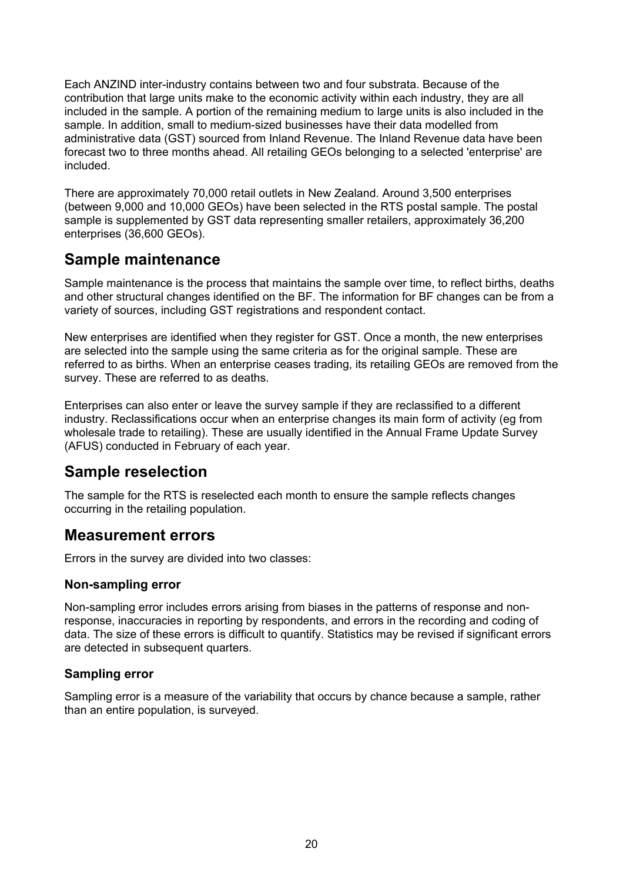Each ANZIND inter-industry contains between two and four substrata. Because of the contribution that large units make to the economic activity within each industry, they are all included in the sample. A portion of the remaining medium to large units is also included in the sample. In addition, small to medium-sized businesses have their data modelled from administrative data (GST) sourced from Inland Revenue. The Inland Revenue data have been forecast two to three months ahead. All retailing GEOs belonging to a selected 'enterprise' are included.

There are approximately 70,000 retail outlets in New Zealand. Around 3,500 enterprises (between 9,000 and 10,000 GEOs) have been selected in the RTS postal sample. The postal sample is supplemented by GST data representing smaller retailers, approximately 36,200 enterprises (36,600 GEOs).

### **Sample maintenance**

Sample maintenance is the process that maintains the sample over time, to reflect births, deaths and other structural changes identified on the BF. The information for BF changes can be from a variety of sources, including GST registrations and respondent contact.

New enterprises are identified when they register for GST. Once a month, the new enterprises are selected into the sample using the same criteria as for the original sample. These are referred to as births. When an enterprise ceases trading, its retailing GEOs are removed from the survey. These are referred to as deaths.

Enterprises can also enter or leave the survey sample if they are reclassified to a different industry. Reclassifications occur when an enterprise changes its main form of activity (eg from wholesale trade to retailing). These are usually identified in the Annual Frame Update Survey (AFUS) conducted in February of each year.

## **Sample reselection**

The sample for the RTS is reselected each month to ensure the sample reflects changes occurring in the retailing population.

### **Measurement errors**

Errors in the survey are divided into two classes:

#### **Non-sampling error**

Non-sampling error includes errors arising from biases in the patterns of response and nonresponse, inaccuracies in reporting by respondents, and errors in the recording and coding of data. The size of these errors is difficult to quantify. Statistics may be revised if significant errors are detected in subsequent quarters.

#### **Sampling error**

Sampling error is a measure of the variability that occurs by chance because a sample, rather than an entire population, is surveyed.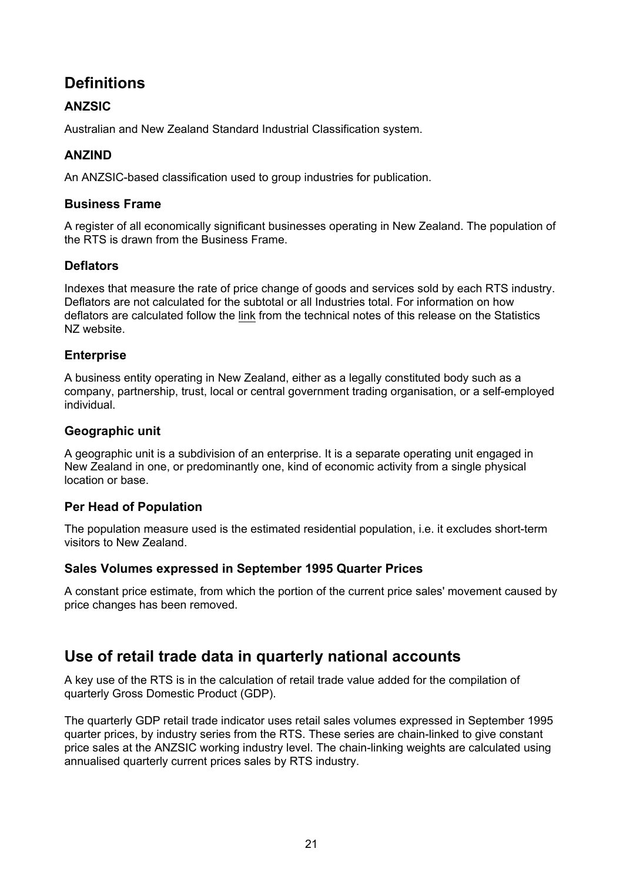# **Definitions**

### **ANZSIC**

Australian and New Zealand Standard Industrial Classification system.

### **ANZIND**

An ANZSIC-based classification used to group industries for publication.

#### **Business Frame**

A register of all economically significant businesses operating in New Zealand. The population of the RTS is drawn from the Business Frame.

#### **Deflators**

Indexes that measure the rate of price change of goods and services sold by each RTS industry. Deflators are not calculated for the subtotal or all Industries total. For information on how deflators are calculated follow the [link](http://www2.stats.govt.nz/domino/external/omni/omni.nsf/outputs/retail%20trade%20survey) from the technical notes of this release on the Statistics NZ website.

#### **Enterprise**

A business entity operating in New Zealand, either as a legally constituted body such as a company, partnership, trust, local or central government trading organisation, or a self-employed individual.

#### **Geographic unit**

A geographic unit is a subdivision of an enterprise. It is a separate operating unit engaged in New Zealand in one, or predominantly one, kind of economic activity from a single physical location or base.

#### **Per Head of Population**

The population measure used is the estimated residential population, i.e. it excludes short-term visitors to New Zealand.

#### **Sales Volumes expressed in September 1995 Quarter Prices**

A constant price estimate, from which the portion of the current price sales' movement caused by price changes has been removed.

### **Use of retail trade data in quarterly national accounts**

A key use of the RTS is in the calculation of retail trade value added for the compilation of quarterly Gross Domestic Product (GDP).

The quarterly GDP retail trade indicator uses retail sales volumes expressed in September 1995 quarter prices, by industry series from the RTS. These series are chain-linked to give constant price sales at the ANZSIC working industry level. The chain-linking weights are calculated using annualised quarterly current prices sales by RTS industry.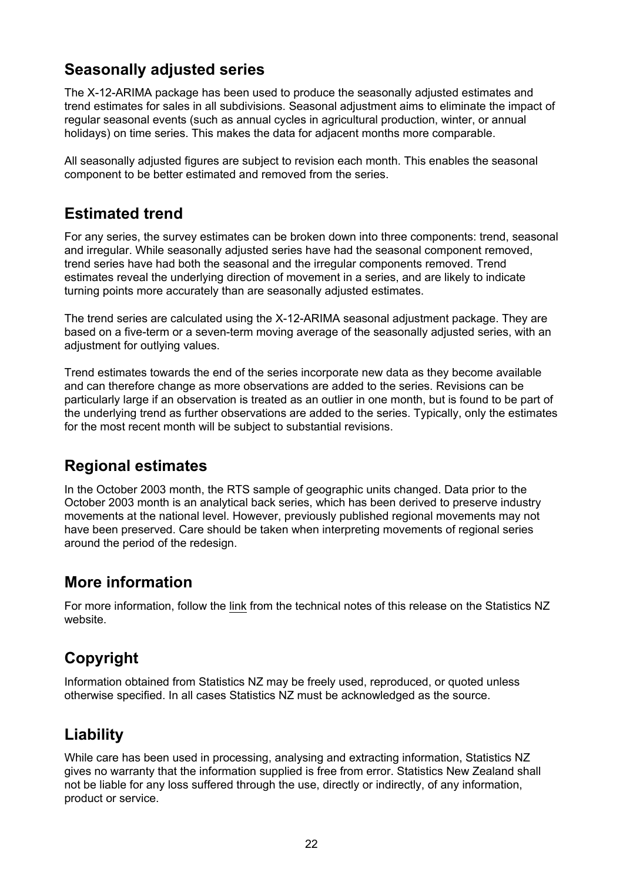# **Seasonally adjusted series**

The X-12-ARIMA package has been used to produce the seasonally adjusted estimates and trend estimates for sales in all subdivisions. Seasonal adjustment aims to eliminate the impact of regular seasonal events (such as annual cycles in agricultural production, winter, or annual holidays) on time series. This makes the data for adjacent months more comparable.

All seasonally adjusted figures are subject to revision each month. This enables the seasonal component to be better estimated and removed from the series.

# **Estimated trend**

For any series, the survey estimates can be broken down into three components: trend, seasonal and irregular. While seasonally adjusted series have had the seasonal component removed, trend series have had both the seasonal and the irregular components removed. Trend estimates reveal the underlying direction of movement in a series, and are likely to indicate turning points more accurately than are seasonally adjusted estimates.

The trend series are calculated using the X-12-ARIMA seasonal adjustment package. They are based on a five-term or a seven-term moving average of the seasonally adjusted series, with an adjustment for outlying values.

Trend estimates towards the end of the series incorporate new data as they become available and can therefore change as more observations are added to the series. Revisions can be particularly large if an observation is treated as an outlier in one month, but is found to be part of the underlying trend as further observations are added to the series. Typically, only the estimates for the most recent month will be subject to substantial revisions.

## **Regional estimates**

In the October 2003 month, the RTS sample of geographic units changed. Data prior to the October 2003 month is an analytical back series, which has been derived to preserve industry movements at the national level. However, previously published regional movements may not have been preserved. Care should be taken when interpreting movements of regional series around the period of the redesign.

# **More information**

For more information, follow the [link](http://www2.stats.govt.nz/domino/external/omni/omni.nsf/outputs/retail%20trade%20survey) from the technical notes of this release on the Statistics NZ website.

# **Copyright**

Information obtained from Statistics NZ may be freely used, reproduced, or quoted unless otherwise specified. In all cases Statistics NZ must be acknowledged as the source.

# **Liability**

While care has been used in processing, analysing and extracting information, Statistics NZ gives no warranty that the information supplied is free from error. Statistics New Zealand shall not be liable for any loss suffered through the use, directly or indirectly, of any information, product or service.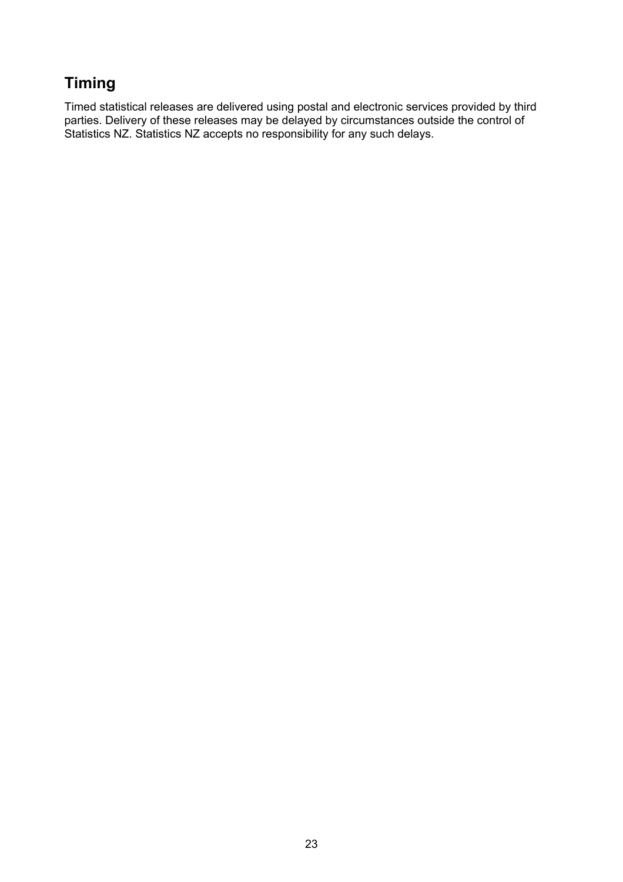# **Timing**

Timed statistical releases are delivered using postal and electronic services provided by third parties. Delivery of these releases may be delayed by circumstances outside the control of Statistics NZ. Statistics NZ accepts no responsibility for any such delays.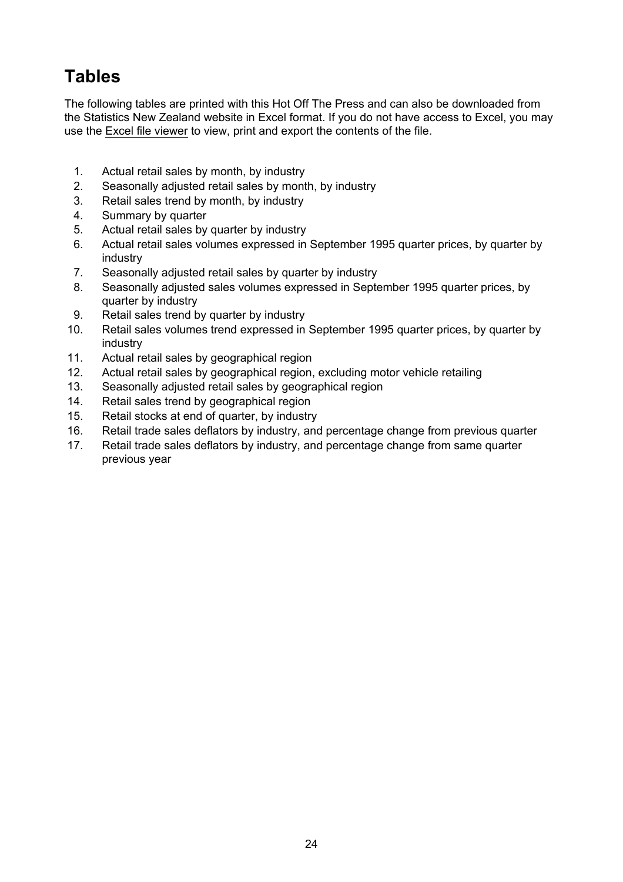# **Tables**

The following tables are printed with this Hot Off The Press and can also be downloaded from the Statistics New Zealand website in Excel format. If you do not have access to Excel, you may use the [Excel file viewer](http://www.stats.govt.nz/help.htm#excel) to view, print and export the contents of the file.

- 1. Actual retail sales by month, by industry
- 2. Seasonally adjusted retail sales by month, by industry
- 3. Retail sales trend by month, by industry
- 4. Summary by quarter
- 5. Actual retail sales by quarter by industry
- 6. Actual retail sales volumes expressed in September 1995 quarter prices, by quarter by industry
- 7. Seasonally adjusted retail sales by quarter by industry
- 8. Seasonally adjusted sales volumes expressed in September 1995 quarter prices, by quarter by industry
- 9. Retail sales trend by quarter by industry
- 10. Retail sales volumes trend expressed in September 1995 quarter prices, by quarter by industry
- 11. Actual retail sales by geographical region
- 12. Actual retail sales by geographical region, excluding motor vehicle retailing
- 13. Seasonally adjusted retail sales by geographical region
- 14. Retail sales trend by geographical region
- 15. Retail stocks at end of quarter, by industry
- 16. Retail trade sales deflators by industry, and percentage change from previous quarter
- 17. Retail trade sales deflators by industry, and percentage change from same quarter previous year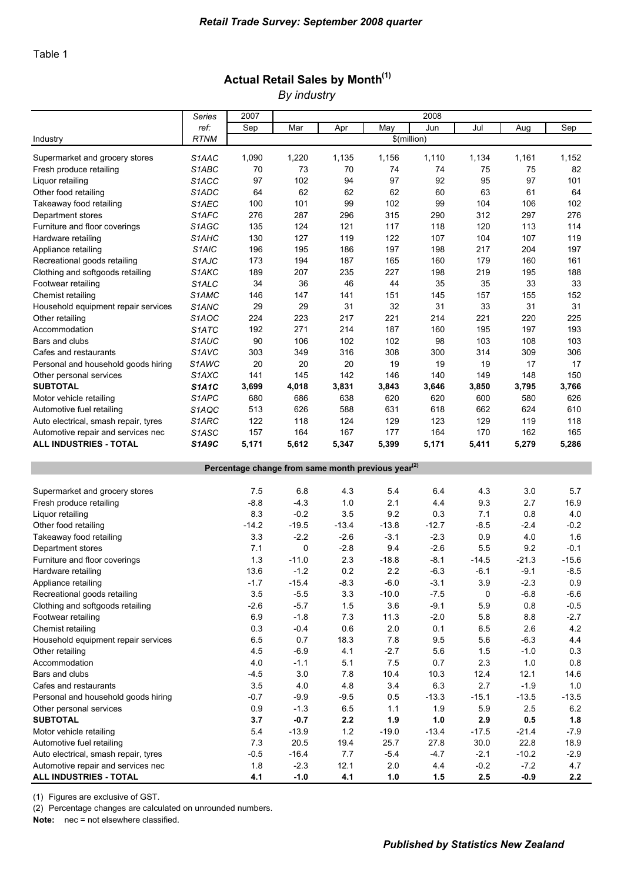# Actual Retail Sales by Month<sup>(1)</sup>

*By industry*

|                                                                | Series             | 2007        |             |             |             | 2008        |             |             |             |  |  |  |
|----------------------------------------------------------------|--------------------|-------------|-------------|-------------|-------------|-------------|-------------|-------------|-------------|--|--|--|
|                                                                | ref:               | Sep         | Mar         | Apr         | May         | Jun         | Jul         | Aug         | Sep         |  |  |  |
| Industry                                                       | <b>RTNM</b>        |             |             |             | \$(million) |             |             |             |             |  |  |  |
|                                                                |                    |             |             |             |             |             |             |             |             |  |  |  |
| Supermarket and grocery stores<br>Fresh produce retailing      | S1AAC<br>S1ABC     | 1,090<br>70 | 1,220<br>73 | 1,135<br>70 | 1,156<br>74 | 1,110<br>74 | 1,134<br>75 | 1,161<br>75 | 1,152<br>82 |  |  |  |
| Liquor retailing                                               | S <sub>1</sub> ACC | 97          | 102         | 94          | 97          | 92          | 95          | 97          | 101         |  |  |  |
| Other food retailing                                           | S1ADC              | 64          | 62          | 62          | 62          | 60          | 63          | 61          | 64          |  |  |  |
|                                                                | S1AEC              |             | 101         | 99          | 102         | 99          |             |             |             |  |  |  |
| Takeaway food retailing                                        | S1AFC              | 100<br>276  | 287         |             | 315         |             | 104<br>312  | 106<br>297  | 102<br>276  |  |  |  |
| Department stores<br>Furniture and floor coverings             | S1AGC              | 135         | 124         | 296<br>121  | 117         | 290<br>118  | 120         | 113         | 114         |  |  |  |
| Hardware retailing                                             | S <sub>1</sub> AHC | 130         | 127         | 119         | 122         | 107         | 104         | 107         | 119         |  |  |  |
| Appliance retailing                                            | S <sub>1</sub> AIC | 196         | 195         | 186         | 197         | 198         | 217         | 204         | 197         |  |  |  |
| Recreational goods retailing                                   | S <sub>1</sub> AJC | 173         | 194         | 187         | 165         | 160         | 179         | 160         | 161         |  |  |  |
| Clothing and softgoods retailing                               | S1AKC              | 189         | 207         | 235         | 227         | 198         | 219         | 195         | 188         |  |  |  |
| Footwear retailing                                             | S <sub>1</sub> ALC | 34          | 36          | 46          | 44          | 35          | 35          | 33          | 33          |  |  |  |
| Chemist retailing                                              | S1AMC              | 146         | 147         | 141         | 151         | 145         | 157         | 155         | 152         |  |  |  |
| Household equipment repair services                            | S1ANC              | 29          | 29          | 31          | 32          | 31          | 33          | 31          | 31          |  |  |  |
| Other retailing                                                | S <sub>1</sub> AOC | 224         | 223         | 217         | 221         | 214         | 221         | 220         | 225         |  |  |  |
| Accommodation                                                  | S <sub>1</sub> ATC | 192         | 271         | 214         | 187         | 160         | 195         | 197         | 193         |  |  |  |
| Bars and clubs                                                 | S1AUC              | 90          | 106         | 102         | 102         | 98          | 103         | 108         | 103         |  |  |  |
| Cafes and restaurants                                          | S1AVC              | 303         | 349         | 316         | 308         | 300         | 314         | 309         | 306         |  |  |  |
| Personal and household goods hiring                            | S <sub>1</sub> AWC | 20          | 20          | 20          | 19          | 19          | 19          | 17          | 17          |  |  |  |
| Other personal services                                        | S1AXC              | 141         | 145         | 142         | 146         | 140         | 149         | 148         | 150         |  |  |  |
| <b>SUBTOTAL</b>                                                | <b>S1A1C</b>       | 3,699       | 4,018       | 3,831       | 3,843       | 3,646       | 3,850       | 3,795       | 3,766       |  |  |  |
| Motor vehicle retailing                                        | S1APC              | 680         | 686         | 638         | 620         | 620         | 600         | 580         | 626         |  |  |  |
| Automotive fuel retailing                                      | S1AQC              | 513         | 626         | 588         | 631         | 618         | 662         | 624         | 610         |  |  |  |
| Auto electrical, smash repair, tyres                           | S1ARC              | 122         | 118         | 124         | 129         | 123         | 129         | 119         | 118         |  |  |  |
| Automotive repair and services nec                             | S1ASC              | 157         | 164         | 167         | 177         | 164         | 170         | 162         | 165         |  |  |  |
| <b>ALL INDUSTRIES - TOTAL</b>                                  | <b>S1A9C</b>       | 5,171       | 5,612       | 5,347       | 5,399       | 5,171       | 5,411       | 5,279       | 5,286       |  |  |  |
|                                                                |                    |             |             |             |             |             |             |             |             |  |  |  |
| Percentage change from same month previous year <sup>(2)</sup> |                    |             |             |             |             |             |             |             |             |  |  |  |
| Supermarket and grocery stores                                 |                    | 7.5         | 6.8         | 4.3         | 5.4         | 6.4         | 4.3         | 3.0         | 5.7         |  |  |  |
| Fresh produce retailing                                        |                    | $-8.8$      | $-4.3$      | 1.0         | 2.1         | 4.4         | 9.3         | 2.7         | 16.9        |  |  |  |
| Liquor retailing                                               |                    | 8.3         | $-0.2$      | 3.5         | 9.2         | 0.3         | 7.1         | 0.8         | 4.0         |  |  |  |
| Other food retailing                                           |                    | $-14.2$     | $-19.5$     | $-13.4$     | $-13.8$     | $-12.7$     | $-8.5$      | $-2.4$      | $-0.2$      |  |  |  |
| Takeaway food retailing                                        |                    | 3.3         | $-2.2$      | $-2.6$      | $-3.1$      | $-2.3$      | 0.9         | 4.0         | 1.6         |  |  |  |
| Department stores                                              |                    | 7.1         | 0           | $-2.8$      | 9.4         | $-2.6$      | 5.5         | 9.2         | $-0.1$      |  |  |  |
| Furniture and floor coverings                                  |                    | 1.3         | $-11.0$     | 2.3         | $-18.8$     | $-8.1$      | $-14.5$     | $-21.3$     | $-15.6$     |  |  |  |
| Hardware retailing                                             |                    | 13.6        | $-1.2$      | 0.2         | 2.2         | $-6.3$      | $-6.1$      | $-9.1$      | $-8.5$      |  |  |  |
| Appliance retailing                                            |                    | $-1.7$      | $-15.4$     | $-8.3$      | $-6.0$      | $-3.1$      | 3.9         | $-2.3$      | 0.9         |  |  |  |
| Recreational goods retailing                                   |                    | 3.5         | $-5.5$      | 3.3         | $-10.0$     | $-7.5$      | 0           | $-6.8$      | $-6.6$      |  |  |  |
| Clothing and softgoods retailing                               |                    | $-2.6$      | $-5.7$      | 1.5         | 3.6         | $-9.1$      | 5.9         | 0.8         | $-0.5$      |  |  |  |
| Footwear retailing                                             |                    | 6.9         | $-1.8$      | $7.3$       | 11.3        | $-2.0$      | 5.8         | 8.8         | $-2.7$      |  |  |  |
| Chemist retailing                                              |                    | 0.3         | $-0.4$      | $0.6\,$     | 2.0         | 0.1         | 6.5         | 2.6         | 4.2         |  |  |  |
| Household equipment repair services                            |                    | 6.5         | 0.7         | 18.3        | 7.8         | 9.5         | 5.6         | $-6.3$      | 4.4         |  |  |  |
| Other retailing                                                |                    | 4.5         | $-6.9$      | 4.1         | $-2.7$      | 5.6         | 1.5         | $-1.0$      | 0.3         |  |  |  |
| Accommodation                                                  |                    | 4.0         | $-1.1$      | 5.1         | $7.5$       | 0.7         | 2.3         | 1.0         | 0.8         |  |  |  |
| Bars and clubs                                                 |                    | $-4.5$      | 3.0         | 7.8         | 10.4        | 10.3        | 12.4        | 12.1        | 14.6        |  |  |  |
| Cafes and restaurants                                          |                    | 3.5         | $4.0$       | 4.8         | 3.4         | 6.3         | 2.7         | $-1.9$      | 1.0         |  |  |  |
| Personal and household goods hiring                            |                    | $-0.7$      | $-9.9$      | $-9.5$      | 0.5         | $-13.3$     | $-15.1$     | $-13.5$     | $-13.5$     |  |  |  |
| Other personal services                                        |                    | 0.9         | $-1.3$      | 6.5         | 1.1         | 1.9         | 5.9         | 2.5         | 6.2         |  |  |  |
| <b>SUBTOTAL</b>                                                |                    | 3.7         | $-0.7$      | $2.2\,$     | 1.9         | $1.0$       | 2.9         | $0.5\,$     | 1.8         |  |  |  |
| Motor vehicle retailing                                        |                    | 5.4         | $-13.9$     | $1.2$       | $-19.0$     | $-13.4$     | $-17.5$     | $-21.4$     | $-7.9$      |  |  |  |
| Automotive fuel retailing                                      |                    | $7.3$       | 20.5        | 19.4        | 25.7        | 27.8        | 30.0        | 22.8        | 18.9        |  |  |  |
| Auto electrical, smash repair, tyres                           |                    | $-0.5$      | $-16.4$     | 7.7         | $-5.4$      | $-4.7$      | $-2.1$      | $-10.2$     | $-2.9$      |  |  |  |
| Automotive repair and services nec                             |                    | 1.8         | $-2.3$      | 12.1        | 2.0         | 4.4         | $-0.2$      | $-7.2$      | 4.7         |  |  |  |
| ALL INDUSTRIES - TOTAL                                         |                    | 4.1         | $-1.0$      | 4.1         | $1.0$       | 1.5         | 2.5         | $-0.9$      | 2.2         |  |  |  |

(1) Figures are exclusive of GST.

(2) Percentage changes are calculated on unrounded numbers.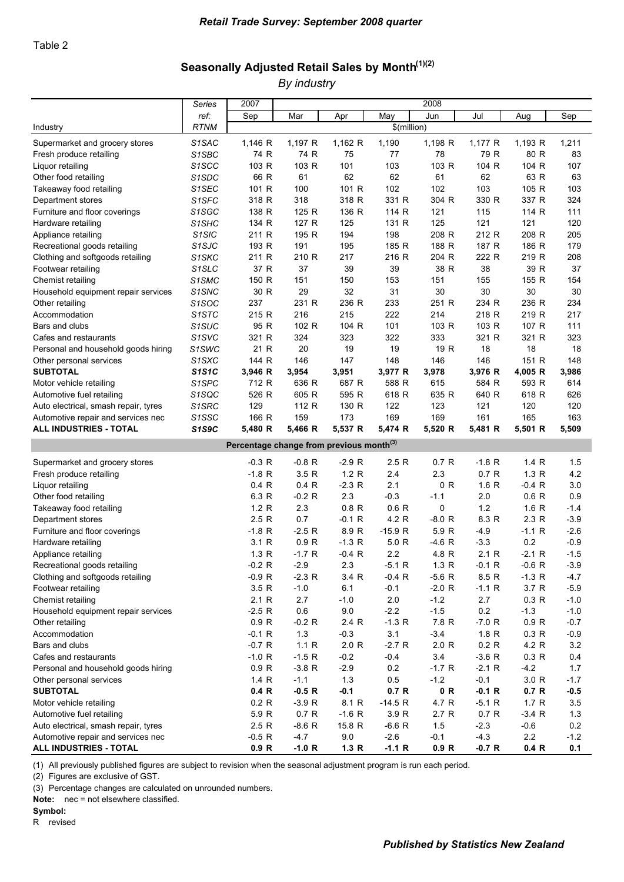## Seasonally Adjusted Retail Sales by Month<sup>(1)(2)</sup>

*By industry*

|                                                                                                                                                                                                                                                                                                                                                                                                                                                                                        | Series                                   | 2007<br>2008                                                                                                                                                               |                                                                                                                                                                            |                                                                                                                                                      |                                                                                                                                                                             |                                                                                                                                                            |                                                                                                                                                                              |                                                                                                                                                                |                                                                                                                                                   |  |  |
|----------------------------------------------------------------------------------------------------------------------------------------------------------------------------------------------------------------------------------------------------------------------------------------------------------------------------------------------------------------------------------------------------------------------------------------------------------------------------------------|------------------------------------------|----------------------------------------------------------------------------------------------------------------------------------------------------------------------------|----------------------------------------------------------------------------------------------------------------------------------------------------------------------------|------------------------------------------------------------------------------------------------------------------------------------------------------|-----------------------------------------------------------------------------------------------------------------------------------------------------------------------------|------------------------------------------------------------------------------------------------------------------------------------------------------------|------------------------------------------------------------------------------------------------------------------------------------------------------------------------------|----------------------------------------------------------------------------------------------------------------------------------------------------------------|---------------------------------------------------------------------------------------------------------------------------------------------------|--|--|
|                                                                                                                                                                                                                                                                                                                                                                                                                                                                                        | ref:                                     | Sep                                                                                                                                                                        | Mar                                                                                                                                                                        | Apr                                                                                                                                                  | May                                                                                                                                                                         | Jun                                                                                                                                                        | Jul                                                                                                                                                                          | Aug                                                                                                                                                            | Sep                                                                                                                                               |  |  |
| Industry                                                                                                                                                                                                                                                                                                                                                                                                                                                                               | <b>RTNM</b>                              |                                                                                                                                                                            |                                                                                                                                                                            |                                                                                                                                                      | \$(million)                                                                                                                                                                 |                                                                                                                                                            |                                                                                                                                                                              |                                                                                                                                                                |                                                                                                                                                   |  |  |
| Supermarket and grocery stores                                                                                                                                                                                                                                                                                                                                                                                                                                                         | S1SAC                                    | 1,146 R                                                                                                                                                                    | 1,197 R                                                                                                                                                                    | 1,162 R                                                                                                                                              | 1,190                                                                                                                                                                       | 1,198 R                                                                                                                                                    | 1,177 R                                                                                                                                                                      | 1,193 R                                                                                                                                                        | 1,211                                                                                                                                             |  |  |
| Fresh produce retailing                                                                                                                                                                                                                                                                                                                                                                                                                                                                | S1SBC                                    | 74 R                                                                                                                                                                       | 74 R                                                                                                                                                                       | 75                                                                                                                                                   | 77                                                                                                                                                                          | 78                                                                                                                                                         | 79 R                                                                                                                                                                         | 80 R                                                                                                                                                           | 83                                                                                                                                                |  |  |
| Liquor retailing                                                                                                                                                                                                                                                                                                                                                                                                                                                                       | S <sub>1</sub> SCC                       | 103 R                                                                                                                                                                      | 103 R                                                                                                                                                                      | 101                                                                                                                                                  | 103                                                                                                                                                                         | 103 R                                                                                                                                                      | 104 R                                                                                                                                                                        | 104 R                                                                                                                                                          | 107                                                                                                                                               |  |  |
| Other food retailing                                                                                                                                                                                                                                                                                                                                                                                                                                                                   | S <sub>1</sub> SDC                       | 66 R                                                                                                                                                                       | 61                                                                                                                                                                         | 62                                                                                                                                                   | 62                                                                                                                                                                          | 61                                                                                                                                                         | 62                                                                                                                                                                           | 63 R                                                                                                                                                           | 63                                                                                                                                                |  |  |
| Takeaway food retailing                                                                                                                                                                                                                                                                                                                                                                                                                                                                | S1SEC                                    | 101 R                                                                                                                                                                      | 100                                                                                                                                                                        | 101 R                                                                                                                                                | 102                                                                                                                                                                         | 102                                                                                                                                                        | 103                                                                                                                                                                          | 105 R                                                                                                                                                          | 103                                                                                                                                               |  |  |
| Department stores                                                                                                                                                                                                                                                                                                                                                                                                                                                                      | S <sub>1</sub> SFC                       | 318 R                                                                                                                                                                      | 318                                                                                                                                                                        | 318 R                                                                                                                                                | 331 R                                                                                                                                                                       | 304 R                                                                                                                                                      | 330 R                                                                                                                                                                        | 337 R                                                                                                                                                          | 324                                                                                                                                               |  |  |
|                                                                                                                                                                                                                                                                                                                                                                                                                                                                                        | S1SGC                                    | 138 R                                                                                                                                                                      | 125 R                                                                                                                                                                      | 136 R                                                                                                                                                | 114 R                                                                                                                                                                       | 121                                                                                                                                                        | 115                                                                                                                                                                          | 114 R                                                                                                                                                          | 111                                                                                                                                               |  |  |
| Furniture and floor coverings                                                                                                                                                                                                                                                                                                                                                                                                                                                          | S <sub>1</sub> SHC                       | 134 R                                                                                                                                                                      | 127 R                                                                                                                                                                      | 125                                                                                                                                                  | 131 R                                                                                                                                                                       | 125                                                                                                                                                        | 121                                                                                                                                                                          | 121                                                                                                                                                            | 120                                                                                                                                               |  |  |
| Hardware retailing                                                                                                                                                                                                                                                                                                                                                                                                                                                                     |                                          | 211 R                                                                                                                                                                      | 195 R                                                                                                                                                                      | 194                                                                                                                                                  | 198                                                                                                                                                                         | 208 R                                                                                                                                                      | 212 R                                                                                                                                                                        | 208 R                                                                                                                                                          | 205                                                                                                                                               |  |  |
| Appliance retailing                                                                                                                                                                                                                                                                                                                                                                                                                                                                    | S <sub>1</sub> SIC<br>S <sub>1</sub> SJC | 193 R                                                                                                                                                                      | 191                                                                                                                                                                        | 195                                                                                                                                                  | 185 R                                                                                                                                                                       | 188 R                                                                                                                                                      | 187 R                                                                                                                                                                        | 186 R                                                                                                                                                          | 179                                                                                                                                               |  |  |
| Recreational goods retailing                                                                                                                                                                                                                                                                                                                                                                                                                                                           |                                          | 211 R                                                                                                                                                                      | 210 R                                                                                                                                                                      | 217                                                                                                                                                  | 216 R                                                                                                                                                                       | 204 R                                                                                                                                                      | 222 R                                                                                                                                                                        | 219 R                                                                                                                                                          | 208                                                                                                                                               |  |  |
| Clothing and softgoods retailing                                                                                                                                                                                                                                                                                                                                                                                                                                                       | S <sub>1</sub> SKC                       |                                                                                                                                                                            |                                                                                                                                                                            |                                                                                                                                                      |                                                                                                                                                                             |                                                                                                                                                            | 38                                                                                                                                                                           |                                                                                                                                                                |                                                                                                                                                   |  |  |
| Footwear retailing                                                                                                                                                                                                                                                                                                                                                                                                                                                                     | S <sub>1</sub> SLC                       | 37 R                                                                                                                                                                       | 37                                                                                                                                                                         | 39                                                                                                                                                   | 39                                                                                                                                                                          | 38 R                                                                                                                                                       |                                                                                                                                                                              | 39 R                                                                                                                                                           | 37                                                                                                                                                |  |  |
| Chemist retailing                                                                                                                                                                                                                                                                                                                                                                                                                                                                      | S1SMC                                    | 150 R                                                                                                                                                                      | 151                                                                                                                                                                        | 150                                                                                                                                                  | 153                                                                                                                                                                         | 151                                                                                                                                                        | 155                                                                                                                                                                          | 155 R                                                                                                                                                          | 154                                                                                                                                               |  |  |
| Household equipment repair services                                                                                                                                                                                                                                                                                                                                                                                                                                                    | S <sub>1</sub> SNC                       | 30 R                                                                                                                                                                       | 29                                                                                                                                                                         | 32                                                                                                                                                   | 31                                                                                                                                                                          | 30                                                                                                                                                         | 30                                                                                                                                                                           | 30                                                                                                                                                             | 30                                                                                                                                                |  |  |
| Other retailing                                                                                                                                                                                                                                                                                                                                                                                                                                                                        | S1SOC                                    | 237                                                                                                                                                                        | 231 R                                                                                                                                                                      | 236 R                                                                                                                                                | 233                                                                                                                                                                         | 251 R                                                                                                                                                      | 234 R                                                                                                                                                                        | 236 R                                                                                                                                                          | 234                                                                                                                                               |  |  |
| Accommodation                                                                                                                                                                                                                                                                                                                                                                                                                                                                          | S <sub>1</sub> STC                       | 215 R                                                                                                                                                                      | 216                                                                                                                                                                        | 215                                                                                                                                                  | 222                                                                                                                                                                         | 214                                                                                                                                                        | 218 R                                                                                                                                                                        | 219 R                                                                                                                                                          | 217                                                                                                                                               |  |  |
| Bars and clubs                                                                                                                                                                                                                                                                                                                                                                                                                                                                         | S <sub>1</sub> SUC                       | 95 R                                                                                                                                                                       | 102 R                                                                                                                                                                      | 104 R                                                                                                                                                | 101                                                                                                                                                                         | 103 R                                                                                                                                                      | 103 R                                                                                                                                                                        | 107 R                                                                                                                                                          | 111                                                                                                                                               |  |  |
| Cafes and restaurants                                                                                                                                                                                                                                                                                                                                                                                                                                                                  | S <sub>1</sub> SV <sub>C</sub>           | 321 R                                                                                                                                                                      | 324                                                                                                                                                                        | 323                                                                                                                                                  | 322                                                                                                                                                                         | 333                                                                                                                                                        | 321 R                                                                                                                                                                        | 321 R                                                                                                                                                          | 323                                                                                                                                               |  |  |
| Personal and household goods hiring                                                                                                                                                                                                                                                                                                                                                                                                                                                    | S <sub>1</sub> SW <sub>C</sub>           | 21 R                                                                                                                                                                       | 20                                                                                                                                                                         | 19                                                                                                                                                   | 19                                                                                                                                                                          | 19 R                                                                                                                                                       | 18                                                                                                                                                                           | 18                                                                                                                                                             | 18                                                                                                                                                |  |  |
| Other personal services                                                                                                                                                                                                                                                                                                                                                                                                                                                                | S1SXC                                    | 144 R                                                                                                                                                                      | 146                                                                                                                                                                        | 147                                                                                                                                                  | 148                                                                                                                                                                         | 146                                                                                                                                                        | 146                                                                                                                                                                          | 151 R                                                                                                                                                          | 148                                                                                                                                               |  |  |
| <b>SUBTOTAL</b>                                                                                                                                                                                                                                                                                                                                                                                                                                                                        | <b>S1S1C</b>                             | 3,946 R                                                                                                                                                                    | 3,954                                                                                                                                                                      | 3,951                                                                                                                                                | 3,977 R                                                                                                                                                                     | 3,978                                                                                                                                                      | 3,976 R                                                                                                                                                                      | 4,005 R                                                                                                                                                        | 3,986                                                                                                                                             |  |  |
| Motor vehicle retailing                                                                                                                                                                                                                                                                                                                                                                                                                                                                | S <sub>1</sub> SPC                       | 712 R                                                                                                                                                                      | 636 R                                                                                                                                                                      | 687 R                                                                                                                                                | 588 R                                                                                                                                                                       | 615                                                                                                                                                        | 584 R                                                                                                                                                                        | 593 R                                                                                                                                                          | 614                                                                                                                                               |  |  |
| Automotive fuel retailing                                                                                                                                                                                                                                                                                                                                                                                                                                                              | S1SQC                                    | 526 R                                                                                                                                                                      | 605 R                                                                                                                                                                      | 595 R                                                                                                                                                | 618 R                                                                                                                                                                       | 635 R                                                                                                                                                      | 640 R                                                                                                                                                                        | 618 R                                                                                                                                                          | 626                                                                                                                                               |  |  |
| Auto electrical, smash repair, tyres                                                                                                                                                                                                                                                                                                                                                                                                                                                   | S <sub>1</sub> SRC                       | 129                                                                                                                                                                        | 112 R                                                                                                                                                                      | 130 R                                                                                                                                                | 122                                                                                                                                                                         | 123                                                                                                                                                        | 121                                                                                                                                                                          | 120                                                                                                                                                            | 120                                                                                                                                               |  |  |
| Automotive repair and services nec                                                                                                                                                                                                                                                                                                                                                                                                                                                     | S <sub>1</sub> SSC                       | 166 R                                                                                                                                                                      | 159                                                                                                                                                                        | 173                                                                                                                                                  | 169                                                                                                                                                                         | 169                                                                                                                                                        | 161                                                                                                                                                                          | 165                                                                                                                                                            | 163                                                                                                                                               |  |  |
| <b>ALL INDUSTRIES - TOTAL</b>                                                                                                                                                                                                                                                                                                                                                                                                                                                          | <b>S1S9C</b>                             | 5,480 R                                                                                                                                                                    | 5,466 R                                                                                                                                                                    | 5,537 R                                                                                                                                              | 5,474 R                                                                                                                                                                     | 5,520 R                                                                                                                                                    | 5,481 R                                                                                                                                                                      | 5,501 R                                                                                                                                                        | 5,509                                                                                                                                             |  |  |
| Percentage change from previous month <sup>(3)</sup>                                                                                                                                                                                                                                                                                                                                                                                                                                   |                                          |                                                                                                                                                                            |                                                                                                                                                                            |                                                                                                                                                      |                                                                                                                                                                             |                                                                                                                                                            |                                                                                                                                                                              |                                                                                                                                                                |                                                                                                                                                   |  |  |
| Supermarket and grocery stores                                                                                                                                                                                                                                                                                                                                                                                                                                                         |                                          | $-0.3 R$                                                                                                                                                                   | $-0.8 R$                                                                                                                                                                   | $-2.9R$                                                                                                                                              | 2.5R                                                                                                                                                                        | 0.7 R                                                                                                                                                      | $-1.8 R$                                                                                                                                                                     | 1.4 R                                                                                                                                                          | 1.5                                                                                                                                               |  |  |
| Fresh produce retailing                                                                                                                                                                                                                                                                                                                                                                                                                                                                |                                          | $-1.8 R$                                                                                                                                                                   | 3.5R                                                                                                                                                                       | 1.2 R                                                                                                                                                | 2.4                                                                                                                                                                         | 2.3                                                                                                                                                        | 0.7 R                                                                                                                                                                        | 1.3 R                                                                                                                                                          | 4.2                                                                                                                                               |  |  |
| Liquor retailing                                                                                                                                                                                                                                                                                                                                                                                                                                                                       |                                          | 0.4 R                                                                                                                                                                      | 0.4 R                                                                                                                                                                      | $-2.3 R$                                                                                                                                             | 2.1                                                                                                                                                                         | 0 R                                                                                                                                                        | 1.6 R                                                                                                                                                                        | -0.4 R                                                                                                                                                         | 3.0                                                                                                                                               |  |  |
| Other food retailing                                                                                                                                                                                                                                                                                                                                                                                                                                                                   |                                          | 6.3 R                                                                                                                                                                      | $-0.2 R$                                                                                                                                                                   | 2.3                                                                                                                                                  | $-0.3$                                                                                                                                                                      | $-1.1$                                                                                                                                                     | 2.0                                                                                                                                                                          | 0.6 R                                                                                                                                                          | 0.9                                                                                                                                               |  |  |
| Takeaway food retailing                                                                                                                                                                                                                                                                                                                                                                                                                                                                |                                          | 1.2 R                                                                                                                                                                      | 2.3                                                                                                                                                                        | 0.8 R                                                                                                                                                | 0.6 R                                                                                                                                                                       | 0                                                                                                                                                          | 1.2                                                                                                                                                                          | 1.6 R                                                                                                                                                          | $-1.4$                                                                                                                                            |  |  |
| Department stores                                                                                                                                                                                                                                                                                                                                                                                                                                                                      |                                          | 2.5 R                                                                                                                                                                      | 0.7                                                                                                                                                                        | $-0.1R$                                                                                                                                              | 4.2 R                                                                                                                                                                       | $-8.0 R$                                                                                                                                                   | 8.3 R                                                                                                                                                                        | 2.3 R                                                                                                                                                          | $-3.9$                                                                                                                                            |  |  |
| Furniture and floor coverings                                                                                                                                                                                                                                                                                                                                                                                                                                                          |                                          | $-1.8 R$                                                                                                                                                                   | $-2.5 R$                                                                                                                                                                   | 8.9 R                                                                                                                                                | $-15.9 R$                                                                                                                                                                   | 5.9 R                                                                                                                                                      | $-4.9$                                                                                                                                                                       | $-1.1 R$                                                                                                                                                       | $-2.6$                                                                                                                                            |  |  |
| Hardware retailing                                                                                                                                                                                                                                                                                                                                                                                                                                                                     |                                          | 3.1 R                                                                                                                                                                      | 0.9 R                                                                                                                                                                      | $-1.3 R$                                                                                                                                             | 5.0 R                                                                                                                                                                       | $-4.6 R$                                                                                                                                                   | $-3.3$                                                                                                                                                                       | 0.2                                                                                                                                                            | $-0.9$                                                                                                                                            |  |  |
| Appliance retailing                                                                                                                                                                                                                                                                                                                                                                                                                                                                    |                                          | 1.3 R                                                                                                                                                                      | $-1.7 R$                                                                                                                                                                   | $-0.4 R$                                                                                                                                             | 2.2                                                                                                                                                                         | 4.8 R                                                                                                                                                      | 2.1 R                                                                                                                                                                        | $-2.1 R$                                                                                                                                                       | $-1.5$                                                                                                                                            |  |  |
|                                                                                                                                                                                                                                                                                                                                                                                                                                                                                        |                                          |                                                                                                                                                                            |                                                                                                                                                                            |                                                                                                                                                      |                                                                                                                                                                             |                                                                                                                                                            |                                                                                                                                                                              |                                                                                                                                                                |                                                                                                                                                   |  |  |
|                                                                                                                                                                                                                                                                                                                                                                                                                                                                                        |                                          |                                                                                                                                                                            |                                                                                                                                                                            |                                                                                                                                                      |                                                                                                                                                                             |                                                                                                                                                            |                                                                                                                                                                              |                                                                                                                                                                |                                                                                                                                                   |  |  |
|                                                                                                                                                                                                                                                                                                                                                                                                                                                                                        |                                          |                                                                                                                                                                            |                                                                                                                                                                            |                                                                                                                                                      |                                                                                                                                                                             |                                                                                                                                                            |                                                                                                                                                                              |                                                                                                                                                                |                                                                                                                                                   |  |  |
|                                                                                                                                                                                                                                                                                                                                                                                                                                                                                        |                                          |                                                                                                                                                                            |                                                                                                                                                                            |                                                                                                                                                      |                                                                                                                                                                             |                                                                                                                                                            |                                                                                                                                                                              |                                                                                                                                                                |                                                                                                                                                   |  |  |
|                                                                                                                                                                                                                                                                                                                                                                                                                                                                                        |                                          |                                                                                                                                                                            |                                                                                                                                                                            |                                                                                                                                                      |                                                                                                                                                                             |                                                                                                                                                            |                                                                                                                                                                              |                                                                                                                                                                |                                                                                                                                                   |  |  |
|                                                                                                                                                                                                                                                                                                                                                                                                                                                                                        |                                          |                                                                                                                                                                            |                                                                                                                                                                            |                                                                                                                                                      |                                                                                                                                                                             |                                                                                                                                                            |                                                                                                                                                                              |                                                                                                                                                                |                                                                                                                                                   |  |  |
|                                                                                                                                                                                                                                                                                                                                                                                                                                                                                        |                                          |                                                                                                                                                                            |                                                                                                                                                                            |                                                                                                                                                      |                                                                                                                                                                             |                                                                                                                                                            |                                                                                                                                                                              |                                                                                                                                                                |                                                                                                                                                   |  |  |
|                                                                                                                                                                                                                                                                                                                                                                                                                                                                                        |                                          |                                                                                                                                                                            |                                                                                                                                                                            |                                                                                                                                                      |                                                                                                                                                                             |                                                                                                                                                            |                                                                                                                                                                              |                                                                                                                                                                |                                                                                                                                                   |  |  |
|                                                                                                                                                                                                                                                                                                                                                                                                                                                                                        |                                          |                                                                                                                                                                            |                                                                                                                                                                            |                                                                                                                                                      |                                                                                                                                                                             |                                                                                                                                                            |                                                                                                                                                                              |                                                                                                                                                                |                                                                                                                                                   |  |  |
|                                                                                                                                                                                                                                                                                                                                                                                                                                                                                        |                                          |                                                                                                                                                                            |                                                                                                                                                                            |                                                                                                                                                      |                                                                                                                                                                             |                                                                                                                                                            |                                                                                                                                                                              |                                                                                                                                                                |                                                                                                                                                   |  |  |
|                                                                                                                                                                                                                                                                                                                                                                                                                                                                                        |                                          |                                                                                                                                                                            |                                                                                                                                                                            |                                                                                                                                                      |                                                                                                                                                                             |                                                                                                                                                            |                                                                                                                                                                              |                                                                                                                                                                |                                                                                                                                                   |  |  |
|                                                                                                                                                                                                                                                                                                                                                                                                                                                                                        |                                          |                                                                                                                                                                            |                                                                                                                                                                            |                                                                                                                                                      |                                                                                                                                                                             |                                                                                                                                                            |                                                                                                                                                                              |                                                                                                                                                                |                                                                                                                                                   |  |  |
|                                                                                                                                                                                                                                                                                                                                                                                                                                                                                        |                                          |                                                                                                                                                                            |                                                                                                                                                                            |                                                                                                                                                      |                                                                                                                                                                             |                                                                                                                                                            |                                                                                                                                                                              |                                                                                                                                                                |                                                                                                                                                   |  |  |
|                                                                                                                                                                                                                                                                                                                                                                                                                                                                                        |                                          |                                                                                                                                                                            |                                                                                                                                                                            |                                                                                                                                                      |                                                                                                                                                                             |                                                                                                                                                            |                                                                                                                                                                              |                                                                                                                                                                |                                                                                                                                                   |  |  |
|                                                                                                                                                                                                                                                                                                                                                                                                                                                                                        |                                          |                                                                                                                                                                            |                                                                                                                                                                            |                                                                                                                                                      |                                                                                                                                                                             |                                                                                                                                                            |                                                                                                                                                                              |                                                                                                                                                                |                                                                                                                                                   |  |  |
|                                                                                                                                                                                                                                                                                                                                                                                                                                                                                        |                                          |                                                                                                                                                                            |                                                                                                                                                                            |                                                                                                                                                      |                                                                                                                                                                             |                                                                                                                                                            |                                                                                                                                                                              |                                                                                                                                                                |                                                                                                                                                   |  |  |
|                                                                                                                                                                                                                                                                                                                                                                                                                                                                                        |                                          |                                                                                                                                                                            |                                                                                                                                                                            |                                                                                                                                                      |                                                                                                                                                                             |                                                                                                                                                            |                                                                                                                                                                              |                                                                                                                                                                |                                                                                                                                                   |  |  |
| Recreational goods retailing<br>Clothing and softgoods retailing<br>Footwear retailing<br>Chemist retailing<br>Household equipment repair services<br>Other retailing<br>Accommodation<br>Bars and clubs<br>Cafes and restaurants<br>Personal and household goods hiring<br>Other personal services<br><b>SUBTOTAL</b><br>Motor vehicle retailing<br>Automotive fuel retailing<br>Auto electrical, smash repair, tyres<br>Automotive repair and services nec<br>ALL INDUSTRIES - TOTAL |                                          | $-0.2 R$<br>$-0.9 R$<br>3.5 R<br>2.1 R<br>$-2.5 R$<br>0.9 R<br>$-0.1 R$<br>$-0.7 R$<br>$-1.0 R$<br>0.9 R<br>1.4 R<br>0.4 R<br>0.2 R<br>5.9 R<br>2.5 R<br>$-0.5 R$<br>0.9 R | $-2.9$<br>$-2.3 R$<br>$-1.0$<br>2.7<br>0.6<br>$-0.2 R$<br>1.3<br>1.1R<br>$-1.5 R$<br>$-3.8 R$<br>$-1.1$<br>$-0.5 R$<br>$-3.9 R$<br>0.7 R<br>$-8.6 R$<br>$-4.7$<br>$-1.0 R$ | 2.3<br>3.4 R<br>6.1<br>$-1.0$<br>9.0<br>2.4 R<br>$-0.3$<br>2.0 R<br>$-0.2$<br>$-2.9$<br>1.3<br>$-0.1$<br>8.1 R<br>$-1.6 R$<br>15.8 R<br>9.0<br>1.3 R | $-5.1 R$<br>$-0.4$ R<br>$-0.1$<br>$2.0\,$<br>$-2.2$<br>$-1.3 R$<br>3.1<br>$-2.7 R$<br>$-0.4$<br>0.2<br>0.5<br>0.7 R<br>$-14.5 R$<br>3.9 R<br>$-6.6 R$<br>$-2.6$<br>$-1.1 R$ | 1.3 R<br>-5.6 R<br>$-2.0 R$<br>$-1.2$<br>$-1.5$<br>7.8 R<br>$-3.4$<br>2.0 R<br>3.4<br>$-1.7 R$<br>$-1.2$<br>0 R<br>4.7 R<br>2.7R<br>1.5<br>$-0.1$<br>0.9 R | $-0.1 R$<br>8.5 R<br>$-1.1 R$<br>2.7<br>0.2<br>$-7.0 R$<br>1.8 R<br>0.2 R<br>$-3.6 R$<br>$-2.1 R$<br>$-0.1$<br>$-0.1 R$<br>$-5.1 R$<br>0.7 R<br>$-2.3$<br>$-4.3$<br>$-0.7 R$ | $-0.6 R$<br>$-1.3 R$<br>3.7 R<br>0.3 R<br>$-1.3$<br>0.9 R<br>0.3 R<br>4.2 R<br>0.3 R<br>$-4.2$<br>3.0 R<br>0.7 R<br>1.7R<br>$-3.4$ R<br>$-0.6$<br>2.2<br>0.4 R | $-3.9$<br>$-4.7$<br>$-5.9$<br>$-1.0$<br>$-1.0$<br>$-0.7$<br>$-0.9$<br>3.2<br>0.4<br>1.7<br>$-1.7$<br>$-0.5$<br>3.5<br>1.3<br>0.2<br>$-1.2$<br>0.1 |  |  |

(1) All previously published figures are subject to revision when the seasonal adjustment program is run each period.

(2) Figures are exclusive of GST.

(3) Percentage changes are calculated on unrounded numbers.

Note: nec = not elsewhere classified.

#### Symbol: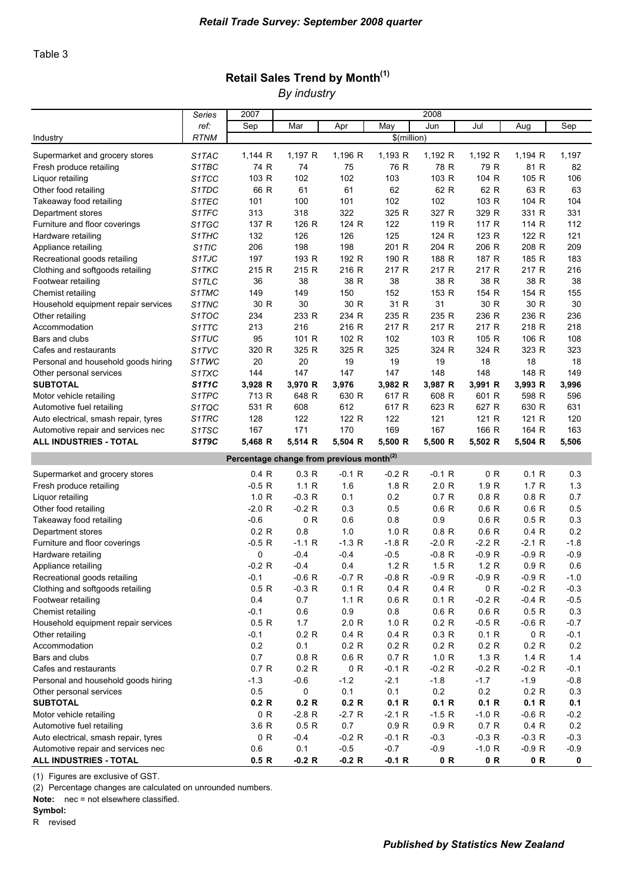### Retail Sales Trend by Month $<sup>(1)</sup>$ </sup> *By industry*

|                                                     | Series                         | 2007                                                 |          |          |             | 2008     |          |          |        |
|-----------------------------------------------------|--------------------------------|------------------------------------------------------|----------|----------|-------------|----------|----------|----------|--------|
|                                                     | ref:                           | Sep                                                  | Mar      | Apr      | May         | Jun      | Jul      | Aug      | Sep    |
| Industry                                            | <b>RTNM</b>                    |                                                      |          |          | \$(million) |          |          |          |        |
| Supermarket and grocery stores                      | S <sub>1</sub> TAC             | 1,144 R                                              | 1,197 R  | 1,196 R  | 1,193 R     | 1,192 R  | 1,192 R  | 1,194 R  | 1,197  |
| Fresh produce retailing                             | S1TBC                          | 74 R                                                 | 74       | 75       | 76 R        | 78 R     | 79 R     | 81 R     | 82     |
| Liquor retailing                                    | S <sub>1</sub> TCC             | 103 R                                                | 102      | 102      | 103         | 103 R    | 104 R    | 105 R    | 106    |
| Other food retailing                                | S1TDC                          | 66 R                                                 | 61       | 61       | 62          | 62 R     | 62 R     | 63 R     | 63     |
| Takeaway food retailing                             | S <sub>1</sub> T <sub>EC</sub> | 101                                                  | 100      | 101      | 102         | 102      | 103 R    | 104 R    | 104    |
| Department stores                                   | S1TFC                          | 313                                                  | 318      | 322      | 325 R       | 327 R    | 329 R    | 331 R    | 331    |
| Furniture and floor coverings                       | S1TGC                          | 137 R                                                | 126 R    | 124 R    | 122         | 119 R    | 117 R    | 114 R    | 112    |
| Hardware retailing                                  |                                | 132                                                  | 126      | 126      | 125         | 124 R    | 123 R    | 122 R    | 121    |
|                                                     | S1THC<br>S <sub>1</sub> TIC    | 206                                                  | 198      | 198      | 201 R       | 204 R    | 206 R    | 208 R    | 209    |
| Appliance retailing<br>Recreational goods retailing | S1TJC                          | 197                                                  | 193 R    | 192 R    | 190 R       | 188 R    | 187 R    | 185 R    | 183    |
|                                                     |                                | 215 R                                                | 215 R    | 216 R    |             | 217 R    |          |          |        |
| Clothing and softgoods retailing                    | S1TKC                          |                                                      |          |          | 217 R       |          | 217 R    | 217 R    | 216    |
| Footwear retailing                                  | S <sub>1</sub> TLC             | 36                                                   | 38       | 38 R     | 38          | 38 R     | 38 R     | 38 R     | 38     |
| Chemist retailing                                   | S1TMC                          | 149                                                  | 149      | 150      | 152         | 153 R    | 154 R    | 154 R    | 155    |
| Household equipment repair services                 | S1TNC                          | 30 R                                                 | 30       | 30 R     | 31 R        | 31       | 30 R     | 30 R     | 30     |
| Other retailing                                     | S1TOC                          | 234                                                  | 233 R    | 234 R    | 235 R       | 235 R    | 236 R    | 236 R    | 236    |
| Accommodation                                       | S1TTC                          | 213                                                  | 216      | 216 R    | 217 R       | 217 R    | 217 R    | 218 R    | 218    |
| Bars and clubs                                      | S1TUC                          | 95                                                   | 101 R    | 102 R    | 102         | 103 R    | 105 R    | 106 R    | 108    |
| Cafes and restaurants                               | S1TVC                          | 320 R                                                | 325 R    | 325 R    | 325         | 324 R    | 324 R    | 323 R    | 323    |
| Personal and household goods hiring                 | S1TWC                          | 20                                                   | 20       | 19       | 19          | 19       | 18       | 18       | 18     |
| Other personal services                             | S1TXC                          | 144                                                  | 147      | 147      | 147         | 148      | 148      | 148 R    | 149    |
| <b>SUBTOTAL</b>                                     | <b>S1T1C</b>                   | 3,928 R                                              | 3,970 R  | 3,976    | 3,982 R     | 3,987 R  | 3,991 R  | 3,993 R  | 3,996  |
| Motor vehicle retailing                             | S1TPC                          | 713 R                                                | 648 R    | 630 R    | 617 R       | 608 R    | 601 R    | 598 R    | 596    |
| Automotive fuel retailing                           | S1TQC                          | 531 R                                                | 608      | 612      | 617 R       | 623 R    | 627 R    | 630 R    | 631    |
| Auto electrical, smash repair, tyres                | S1TRC                          | 128                                                  | 122      | 122 R    | 122         | 121      | 121 R    | 121 R    | 120    |
| Automotive repair and services nec                  | S1TSC                          | 167                                                  | 171      | 170      | 169         | 167      | 166 R    | 164 R    | 163    |
| <b>ALL INDUSTRIES - TOTAL</b>                       | S1T9C                          | 5,468 R                                              | 5,514 R  | 5,504 R  | 5,500 R     | 5,500 R  | 5,502 R  | 5,504 R  | 5,506  |
|                                                     |                                | Percentage change from previous month <sup>(2)</sup> |          |          |             |          |          |          |        |
| Supermarket and grocery stores                      |                                | 0.4 R                                                | 0.3 R    | $-0.1 R$ | $-0.2 R$    | $-0.1$ R | 0 R      | 0.1 R    | 0.3    |
| Fresh produce retailing                             |                                | $-0.5 R$                                             | 1.1R     | 1.6      | 1.8 R       | 2.0 R    | 1.9 R    | 1.7 R    | 1.3    |
| Liquor retailing                                    |                                | 1.0 R                                                | $-0.3 R$ | 0.1      | 0.2         | 0.7 R    | 0.8 R    | 0.8 R    | 0.7    |
| Other food retailing                                |                                | $-2.0 R$                                             | $-0.2 R$ | 0.3      | 0.5         | 0.6 R    | 0.6 R    | 0.6 R    | 0.5    |
| Takeaway food retailing                             |                                | $-0.6$                                               | 0 R      | 0.6      | 0.8         | 0.9      | 0.6 R    | 0.5 R    | 0.3    |
| Department stores                                   |                                | 0.2 R                                                | 0.8      | 1.0      | 1.0 R       | 0.8 R    | 0.6 R    | 0.4 R    | 0.2    |
| Furniture and floor coverings                       |                                | -0.5 R                                               | $-1.1 R$ | $-1.3 R$ | $-1.8 R$    | $-2.0 R$ | $-2.2 R$ | $-2.1 R$ | $-1.8$ |
| Hardware retailing                                  |                                | 0                                                    | $-0.4$   | $-0.4$   | $-0.5$      | $-0.8 R$ | $-0.9 R$ | $-0.9 R$ | $-0.9$ |
| Appliance retailing                                 |                                | $-0.2 R$                                             | $-0.4$   | 0.4      | 1.2 R       | 1.5R     | 1.2 R    | 0.9 R    | 0.6    |
| Recreational goods retailing                        |                                | $-0.1$                                               | $-0.6 R$ | $-0.7 R$ | $-0.8 R$    | $-0.9 R$ | $-0.9 R$ | $-0.9 R$ | $-1.0$ |
| Clothing and softgoods retailing                    |                                | 0.5 R                                                | $-0.3 R$ | 0.1 R    | 0.4 R       | 0.4 R    | 0 R      | $-0.2 R$ | $-0.3$ |
| Footwear retailing                                  |                                | 0.4                                                  | 0.7      | 1.1 R    | 0.6 R       | 0.1 R    | $-0.2 R$ | $-0.4 R$ | $-0.5$ |
| Chemist retailing                                   |                                | $-0.1$                                               | 0.6      | 0.9      | 0.8         | 0.6 R    | 0.6 R    | 0.5 R    | 0.3    |
| Household equipment repair services                 |                                | 0.5 R                                                | 1.7      | 2.0 R    | 1.0 R       | 0.2 R    | $-0.5 R$ | $-0.6 R$ | $-0.7$ |
| Other retailing                                     |                                | $-0.1$                                               | 0.2 R    | 0.4 R    | 0.4 R       | 0.3 R    | 0.1 R    | 0 R      | $-0.1$ |
| Accommodation                                       |                                | 0.2                                                  | 0.1      | 0.2 R    | 0.2 R       | 0.2 R    | 0.2 R    | 0.2 R    | 0.2    |
| Bars and clubs                                      |                                | 0.7                                                  | 0.8 R    | 0.6 R    | 0.7 R       | 1.0 R    | 1.3 R    | 1.4 R    | 1.4    |
| Cafes and restaurants                               |                                | 0.7 R                                                | 0.2 R    | 0 R      | $-0.1 R$    | $-0.2 R$ | $-0.2 R$ | $-0.2 R$ | $-0.1$ |
| Personal and household goods hiring                 |                                | $-1.3$                                               | $-0.6$   | $-1.2$   | $-2.1$      | $-1.8$   | $-1.7$   | $-1.9$   | $-0.8$ |
| Other personal services                             |                                | 0.5                                                  | 0        | 0.1      | 0.1         | 0.2      | 0.2      | 0.2 R    | 0.3    |
| <b>SUBTOTAL</b>                                     |                                | 0.2 R                                                | 0.2 R    | 0.2 R    | 0.1 R       | 0.1 R    | 0.1 R    | 0.1 R    | 0.1    |
| Motor vehicle retailing                             |                                | 0 R                                                  | $-2.8 R$ | $-2.7R$  | $-2.1 R$    | $-1.5 R$ | $-1.0 R$ | $-0.6 R$ | $-0.2$ |
| Automotive fuel retailing                           |                                | 3.6 R                                                | 0.5 R    | 0.7      | 0.9 R       | 0.9 R    | 0.7 R    | 0.4 R    | 0.2    |
| Auto electrical, smash repair, tyres                |                                | 0 R                                                  | $-0.4$   | $-0.2 R$ | $-0.1 R$    | $-0.3$   | $-0.3 R$ | $-0.3 R$ | $-0.3$ |
| Automotive repair and services nec                  |                                | 0.6                                                  | 0.1      | $-0.5$   | $-0.7$      | $-0.9$   | $-1.0 R$ | $-0.9 R$ | $-0.9$ |
| ALL INDUSTRIES - TOTAL                              |                                | 0.5 R                                                | $-0.2 R$ | $-0.2 R$ | $-0.1 R$    | 0 R      | 0 R      | 0 R      | 0      |

(1) Figures are exclusive of GST.

(2) Percentage changes are calculated on unrounded numbers.

 $Note:$  nec = not elsewhere classified.

Symbol: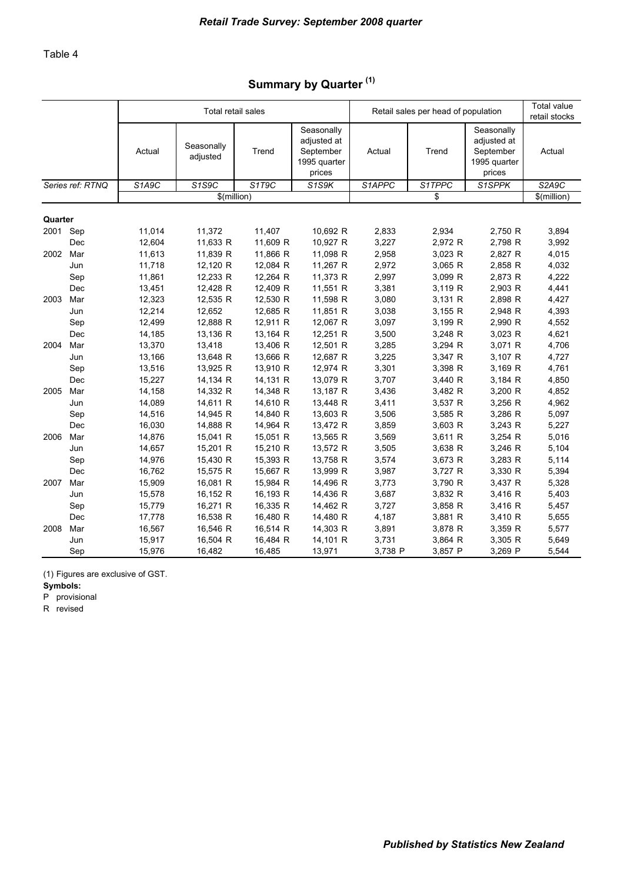# Summary by Quarter<sup>(1)</sup>

|         |                         |        | Total retail sales     |          |                                                                  |         | Retail sales per head of population |                                                                  | Total value<br>retail stocks |
|---------|-------------------------|--------|------------------------|----------|------------------------------------------------------------------|---------|-------------------------------------|------------------------------------------------------------------|------------------------------|
|         |                         | Actual | Seasonally<br>adjusted | Trend    | Seasonally<br>adjusted at<br>September<br>1995 quarter<br>prices | Actual  | Trend                               | Seasonally<br>adjusted at<br>September<br>1995 quarter<br>prices | Actual                       |
|         | Series ref: RTNQ        | S1A9C  | S1S9C                  | S1T9C    | S <sub>1</sub> S <sub>9</sub> K                                  | S1APPC  | S1TPPC                              | S1SPPK                                                           | S2A9C                        |
|         |                         |        | \$(million)            |          |                                                                  |         | \$                                  |                                                                  | \$(million)                  |
| Quarter |                         |        |                        |          |                                                                  |         |                                     |                                                                  |                              |
| 2001    | Sep                     | 11,014 | 11,372                 | 11,407   | 10,692 R                                                         | 2,833   | 2,934                               | 2,750 R                                                          | 3,894                        |
|         | Dec                     | 12,604 | 11,633 R               | 11,609 R | 10,927 R                                                         | 3,227   | 2,972 R                             | 2,798 R                                                          | 3,992                        |
| 2002    | Mar                     | 11,613 | 11,839 R               | 11,866 R | 11,098 R                                                         | 2,958   | 3,023 R                             | 2,827 R                                                          | 4,015                        |
|         | Jun                     | 11,718 | 12,120 R               | 12,084 R | 11,267 R                                                         | 2,972   | 3,065 R                             | 2,858 R                                                          | 4,032                        |
|         | Sep                     | 11,861 | 12,233 R               | 12,264 R | 11,373 R                                                         | 2,997   | 3,099 R                             | 2,873 R                                                          | 4,222                        |
|         | Dec                     | 13,451 | 12,428 R               | 12,409 R | 11,551 R                                                         | 3,381   | 3,119 R                             | 2,903 R                                                          | 4,441                        |
| 2003    | Mar                     | 12,323 | 12,535 R               | 12,530 R | 11,598 R                                                         | 3,080   | 3,131 R                             | 2,898 R                                                          | 4,427                        |
|         | Jun                     | 12,214 | 12,652                 | 12,685 R | 11,851 R                                                         | 3,038   | 3,155 R                             | 2,948 R                                                          | 4,393                        |
|         | Sep                     | 12,499 | 12,888 R               | 12,911 R | 12,067 R                                                         | 3,097   | 3,199 R                             | 2,990 R                                                          | 4,552                        |
|         | Dec                     | 14,185 | 13,136 R               | 13,164 R | 12,251 R                                                         | 3,500   | 3,248 R                             | 3,023 R                                                          | 4,621                        |
| 2004    | Mar                     | 13,370 | 13,418                 | 13,406 R | 12,501 R                                                         | 3,285   | 3,294 R                             | 3,071 R                                                          | 4,706                        |
|         | Jun                     | 13,166 | 13,648 R               | 13,666 R | 12,687 R                                                         | 3,225   | 3,347 R                             | 3,107 R                                                          | 4,727                        |
|         | Sep                     | 13,516 | 13,925 R               | 13,910 R | 12,974 R                                                         | 3,301   | 3,398 R                             | 3,169 R                                                          | 4,761                        |
|         | $\mathop{\mathsf{Dec}}$ | 15,227 | 14,134 R               | 14,131 R | 13,079 R                                                         | 3,707   | 3,440 R                             | 3,184 R                                                          | 4,850                        |
| 2005    | Mar                     | 14,158 | 14,332 R               | 14,348 R | 13,187 R                                                         | 3,436   | 3,482 R                             | 3,200 R                                                          | 4,852                        |
|         | Jun                     | 14,089 | 14,611 R               | 14,610 R | 13,448 R                                                         | 3,411   | 3,537 R                             | 3,256 R                                                          | 4,962                        |
|         | Sep                     | 14,516 | 14,945 R               | 14,840 R | 13,603 R                                                         | 3,506   | 3,585 R                             | 3,286 R                                                          | 5,097                        |
|         | Dec                     | 16,030 | 14,888 R               | 14,964 R | 13,472 R                                                         | 3,859   | 3,603 R                             | 3,243 R                                                          | 5,227                        |
| 2006    | Mar                     | 14,876 | 15,041 R               | 15,051 R | 13,565 R                                                         | 3,569   | 3,611 R                             | 3,254 R                                                          | 5,016                        |
|         | Jun                     | 14,657 | 15,201 R               | 15,210 R | 13,572 R                                                         | 3,505   | 3,638 R                             | 3,246 R                                                          | 5,104                        |
|         | Sep                     | 14,976 | 15,430 R               | 15,393 R | 13,758 R                                                         | 3,574   | 3,673 R                             | 3,283 R                                                          | 5,114                        |
|         | Dec                     | 16,762 | 15,575 R               | 15,667 R | 13,999 R                                                         | 3,987   | 3,727 R                             | 3,330 R                                                          | 5,394                        |
| 2007    | Mar                     | 15,909 | 16,081 R               | 15,984 R | 14,496 R                                                         | 3,773   | 3,790 R                             | 3,437 R                                                          | 5,328                        |
|         | Jun                     | 15,578 | 16,152 R               | 16,193 R | 14,436 R                                                         | 3,687   | 3,832 R                             | 3,416 R                                                          | 5,403                        |
|         | Sep                     | 15,779 | 16,271 R               | 16,335 R | 14,462 R                                                         | 3,727   | 3,858 R                             | 3,416 R                                                          | 5,457                        |
|         | Dec                     | 17,778 | 16,538 R               | 16,480 R | 14,480 R                                                         | 4,187   | 3,881 R                             | 3,410 R                                                          | 5,655                        |
| 2008    | Mar                     | 16,567 | 16,546 R               | 16,514 R | 14,303 R                                                         | 3,891   | 3,878 R                             | 3,359 R                                                          | 5,577                        |
|         | Jun                     | 15,917 | 16,504 R               | 16,484 R | 14,101 R                                                         | 3,731   | 3,864 R                             | 3,305 R                                                          | 5,649                        |
|         | Sep                     | 15,976 | 16,482                 | 16,485   | 13,971                                                           | 3,738 P | 3,857 P                             | 3,269 P                                                          | 5,544                        |

(1) Figures are exclusive of GST.

Symbols:

P provisional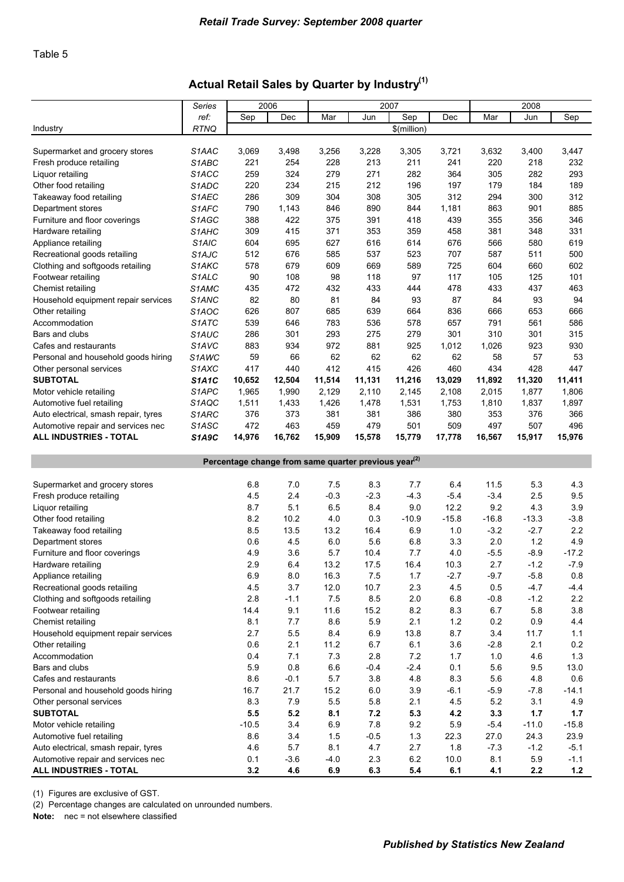### Actual Retail Sales by Quarter by Industry<sup>(1)</sup>

|                                                                            | Series                         |         | 2006          |               |                                                                  | 2007           |             |               | 2008    |         |
|----------------------------------------------------------------------------|--------------------------------|---------|---------------|---------------|------------------------------------------------------------------|----------------|-------------|---------------|---------|---------|
|                                                                            | ref:                           | Sep     | Dec           | Mar           | Jun                                                              | Sep            | Dec         | Mar           | Jun     | Sep     |
| Industry                                                                   | <b>RTNQ</b>                    |         |               |               |                                                                  | \$(million)    |             |               |         |         |
|                                                                            |                                |         |               |               |                                                                  |                |             |               |         |         |
| Supermarket and grocery stores                                             | S1AAC                          | 3,069   | 3,498         | 3,256         | 3,228                                                            | 3,305          | 3,721       | 3,632         | 3,400   | 3,447   |
| Fresh produce retailing                                                    | S <sub>1</sub> ABC             | 221     | 254           | 228           | 213                                                              | 211            | 241         | 220           | 218     | 232     |
| Liguor retailing                                                           | S <sub>1</sub> ACC             | 259     | 324           | 279           | 271                                                              | 282            | 364         | 305           | 282     | 293     |
| Other food retailing                                                       | S1ADC                          | 220     | 234           | 215           | 212                                                              | 196            | 197         | 179           | 184     | 189     |
|                                                                            | S1AEC                          | 286     | 309           | 304           | 308                                                              | 305            | 312         | 294           | 300     | 312     |
| Takeaway food retailing                                                    | S1AFC                          |         |               |               |                                                                  |                |             |               |         |         |
| Department stores                                                          |                                | 790     | 1,143         | 846           | 890                                                              | 844            | 1,181       | 863           | 901     | 885     |
| Furniture and floor coverings                                              | S1AGC                          | 388     | 422           | 375           | 391                                                              | 418            | 439         | 355           | 356     | 346     |
| Hardware retailing                                                         | S <sub>1</sub> AHC             | 309     | 415           | 371           | 353                                                              | 359            | 458         | 381           | 348     | 331     |
| Appliance retailing                                                        | S <sub>1</sub> AIC             | 604     | 695           | 627           | 616                                                              | 614            | 676         | 566           | 580     | 619     |
| Recreational goods retailing                                               | S <sub>1</sub> AJC             | 512     | 676           | 585           | 537                                                              | 523            | 707         | 587           | 511     | 500     |
| Clothing and softgoods retailing                                           | S1AKC                          | 578     | 679           | 609           | 669                                                              | 589            | 725         | 604           | 660     | 602     |
| Footwear retailing                                                         | S <sub>1</sub> ALC             | 90      | 108           | 98            | 118                                                              | 97             | 117         | 105           | 125     | 101     |
| Chemist retailing                                                          | S <sub>1</sub> AMC             | 435     | 472           | 432           | 433                                                              | 444            | 478         | 433           | 437     | 463     |
| Household equipment repair services                                        | S1ANC                          | 82      | 80            | 81            | 84                                                               | 93             | 87          | 84            | 93      | 94      |
| Other retailing                                                            | S <sub>1</sub> AOC             | 626     | 807           | 685           | 639                                                              | 664            | 836         | 666           | 653     | 666     |
| Accommodation                                                              | S <sub>1</sub> ATC             | 539     | 646           | 783           | 536                                                              | 578            | 657         | 791           | 561     | 586     |
| Bars and clubs                                                             | S1AUC                          | 286     | 301           | 293           | 275                                                              | 279            | 301         | 310           | 301     | 315     |
| Cafes and restaurants                                                      | S <sub>1</sub> AV <sub>C</sub> | 883     | 934           | 972           | 881                                                              | 925            | 1,012       | 1,026         | 923     | 930     |
| Personal and household goods hiring                                        | S1AWC                          | 59      | 66            | 62            | 62                                                               | 62             | 62          | 58            | 57      | 53      |
| Other personal services                                                    | S <sub>1</sub> AXC             | 417     | 440           | 412           | 415                                                              | 426            | 460         | 434           | 428     | 447     |
| <b>SUBTOTAL</b>                                                            | <b>S1A1C</b>                   | 10,652  | 12,504        | 11,514        | 11,131                                                           | 11,216         | 13,029      | 11,892        | 11,320  | 11,411  |
| Motor vehicle retailing                                                    | S <sub>1</sub> APC             | 1,965   | 1,990         | 2,129         | 2,110                                                            | 2,145          | 2,108       | 2,015         | 1,877   | 1,806   |
| Automotive fuel retailing                                                  | S1AQC                          | 1,511   | 1,433         | 1,426         | 1,478                                                            | 1,531          | 1,753       | 1,810         | 1,837   | 1,897   |
| Auto electrical, smash repair, tyres                                       | S1ARC                          | 376     | 373           | 381           | 381                                                              | 386            | 380         | 353           | 376     | 366     |
| Automotive repair and services nec                                         | S <sub>1</sub> A <sub>SC</sub> | 472     | 463           | 459           | 479                                                              | 501            | 509         | 497           | 507     | 496     |
| <b>ALL INDUSTRIES - TOTAL</b>                                              | S1A9C                          | 14,976  | 16,762        | 15,909        | 15,578                                                           | 15,779         | 17,778      | 16,567        | 15,917  | 15,976  |
|                                                                            |                                |         |               |               |                                                                  |                |             |               |         |         |
|                                                                            |                                |         |               |               | Percentage change from same quarter previous year <sup>(2)</sup> |                |             |               |         |         |
|                                                                            |                                |         |               |               |                                                                  |                |             |               |         |         |
| Supermarket and grocery stores                                             |                                | 6.8     | 7.0           | 7.5           | 8.3                                                              | 7.7            | 6.4         | 11.5          | 5.3     | 4.3     |
| Fresh produce retailing                                                    |                                | 4.5     | 2.4           | $-0.3$        | $-2.3$                                                           | $-4.3$         | $-5.4$      | $-3.4$        | 2.5     | 9.5     |
| Liquor retailing                                                           |                                | 8.7     | 5.1           | 6.5           | 8.4                                                              | 9.0            | 12.2        | 9.2           | 4.3     | 3.9     |
| Other food retailing                                                       |                                | 8.2     | 10.2          | 4.0           | 0.3                                                              | $-10.9$        | $-15.8$     | $-16.8$       | $-13.3$ | $-3.8$  |
| Takeaway food retailing                                                    |                                | 8.5     | 13.5          | 13.2          | 16.4                                                             | 6.9            | 1.0         | $-3.2$        | $-2.7$  | 2.2     |
| Department stores                                                          |                                | 0.6     |               |               |                                                                  |                |             |               |         |         |
| Furniture and floor coverings                                              |                                |         |               |               |                                                                  |                |             |               |         |         |
| Hardware retailing                                                         |                                |         | 4.5           | 6.0           | 5.6                                                              | 6.8            | 3.3         | 2.0           | 1.2     | 4.9     |
|                                                                            |                                | 4.9     | 3.6           | 5.7           | 10.4                                                             | 7.7            | 4.0         | $-5.5$        | $-8.9$  | $-17.2$ |
|                                                                            |                                | 2.9     | 6.4           | 13.2          | 17.5                                                             | 16.4           | 10.3        | 2.7           | $-1.2$  | $-7.9$  |
| Appliance retailing                                                        |                                | 6.9     | 8.0           | 16.3          | 7.5                                                              | 1.7            | $-2.7$      | $-9.7$        | $-5.8$  | 0.8     |
| Recreational goods retailing                                               |                                | 4.5     | 3.7           | 12.0          | 10.7                                                             | 2.3            | $4.5\,$     | 0.5           | $-4.7$  | $-4.4$  |
| Clothing and softgoods retailing                                           |                                | 2.8     | $-1.1$        | 7.5           | 8.5                                                              | 2.0            | $6.8\,$     | $-0.8$        | $-1.2$  | 2.2     |
| Footwear retailing                                                         |                                | 14.4    | 9.1           | 11.6          | 15.2                                                             | 8.2            | 8.3         | 6.7           | $5.8\,$ | 3.8     |
| Chemist retailing                                                          |                                | 8.1     | 7.7           | 8.6           | 5.9                                                              | 2.1            | 1.2         | 0.2           | 0.9     | 4.4     |
| Household equipment repair services                                        |                                | 2.7     | 5.5           | 8.4           | 6.9                                                              | 13.8           | 8.7         | 3.4           | 11.7    | 1.1     |
| Other retailing                                                            |                                | 0.6     | 2.1           | 11.2          | 6.7                                                              | 6.1            | 3.6         | $-2.8$        | 2.1     | 0.2     |
| Accommodation                                                              |                                | 0.4     | 7.1           | 7.3           | 2.8                                                              | 7.2            | 1.7         | $1.0$         | 4.6     | $1.3$   |
| Bars and clubs                                                             |                                | 5.9     | 0.8           | 6.6           | $-0.4$                                                           | $-2.4$         | 0.1         | 5.6           | 9.5     | 13.0    |
| Cafes and restaurants                                                      |                                | 8.6     | $-0.1$        | 5.7           | 3.8                                                              | 4.8            | 8.3         | 5.6           | 4.8     | 0.6     |
| Personal and household goods hiring                                        |                                | 16.7    | 21.7          | 15.2          | 6.0                                                              | 3.9            | $-6.1$      | $-5.9$        | $-7.8$  | $-14.1$ |
| Other personal services                                                    |                                | 8.3     | 7.9           | 5.5           | 5.8                                                              | 2.1            | 4.5         | 5.2           | 3.1     | 4.9     |
| <b>SUBTOTAL</b>                                                            |                                | 5.5     | 5.2           | 8.1           | 7.2                                                              | 5.3            | 4.2         | 3.3           | $1.7$   | 1.7     |
| Motor vehicle retailing                                                    |                                | $-10.5$ | 3.4           | 6.9           | 7.8                                                              | 9.2            | 5.9         | $-5.4$        | $-11.0$ | $-15.8$ |
| Automotive fuel retailing                                                  |                                | 8.6     | 3.4           | 1.5           | $-0.5$                                                           | $1.3$          | 22.3        | 27.0          | 24.3    | 23.9    |
|                                                                            |                                | 4.6     |               |               |                                                                  |                |             |               | $-1.2$  | $-5.1$  |
| Auto electrical, smash repair, tyres<br>Automotive repair and services nec |                                | 0.1     | 5.7<br>$-3.6$ | 8.1<br>$-4.0$ | 4.7<br>2.3                                                       | 2.7<br>$6.2\,$ | 1.8<br>10.0 | $-7.3$<br>8.1 | $5.9\,$ | $-1.1$  |

(1) Figures are exclusive of GST.

(2) Percentage changes are calculated on unrounded numbers.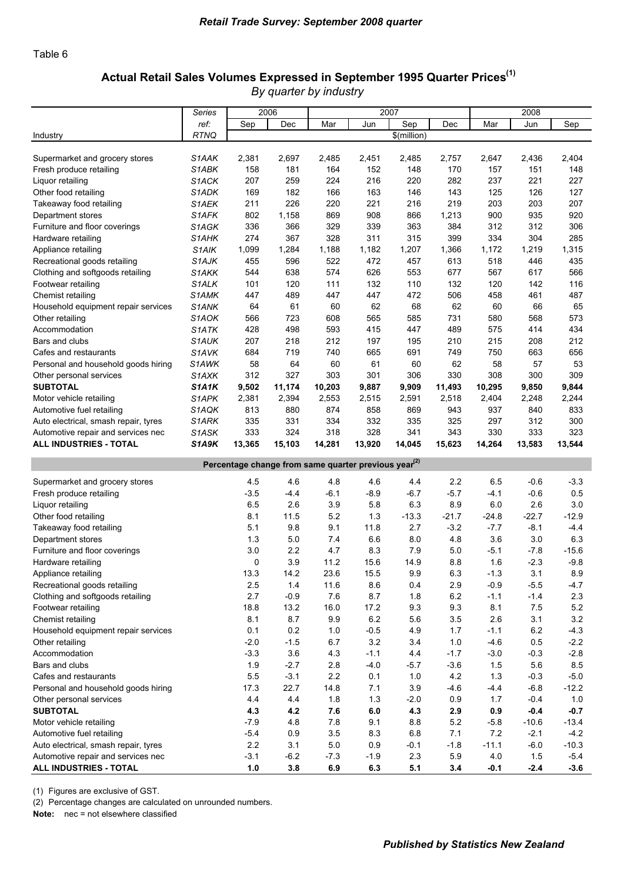#### Table 6

#### Actual Retail Sales Volumes Expressed in September 1995 Quarter Prices<sup>(1)</sup> *By quarter by industry*

|                                                              | Series             |               | 2006          |               |                                                                  | 2007        |            |               | 2008          |                  |
|--------------------------------------------------------------|--------------------|---------------|---------------|---------------|------------------------------------------------------------------|-------------|------------|---------------|---------------|------------------|
|                                                              | ref:               | Sep           | Dec           | Mar           | Jun                                                              | Sep         | Dec        | Mar           | Jun           | Sep              |
| Industry                                                     | <b>RTNQ</b>        |               |               |               |                                                                  | \$(million) |            |               |               |                  |
|                                                              |                    |               |               |               |                                                                  |             |            |               |               |                  |
| Supermarket and grocery stores                               | S1AAK              | 2,381         | 2,697         | 2,485         | 2,451                                                            | 2,485       | 2,757      | 2,647         | 2,436         | 2,404            |
| Fresh produce retailing                                      | S1ABK              | 158           | 181           | 164           | 152                                                              | 148         | 170        | 157           | 151           | 148              |
| Liquor retailing                                             | S1ACK              | 207           | 259           | 224           | 216                                                              | 220         | 282        | 237           | 221           | 227              |
| Other food retailing                                         | S1ADK              | 169           | 182           | 166           | 163                                                              | 146         | 143        | 125           | 126           | 127              |
| Takeaway food retailing                                      | S1AEK              | 211           | 226           | 220           | 221                                                              | 216         | 219        | 203           | 203           | 207              |
| Department stores                                            | S1AFK              | 802           | 1,158         | 869           | 908                                                              | 866         | 1,213      | 900           | 935           | 920              |
| Furniture and floor coverings                                | S1AGK              | 336           | 366           | 329           | 339                                                              | 363         | 384        | 312           | 312           | 306              |
| Hardware retailing                                           | S1AHK              | 274           | 367           | 328           | 311                                                              | 315         | 399        | 334           | 304           | 285              |
| Appliance retailing                                          | S <sub>1</sub> AIK | 1,099         | 1,284         | 1,188         | 1,182                                                            | 1,207       | 1,366      | 1,172         | 1,219         | 1,315            |
| Recreational goods retailing                                 | S <sub>1</sub> AJK | 455           | 596           | 522           | 472                                                              | 457         | 613        | 518           | 446           | 435              |
| Clothing and softgoods retailing                             | S <sub>1</sub> AKK | 544           | 638           | 574           | 626                                                              | 553         | 677        | 567           | 617           | 566              |
| Footwear retailing                                           | S1ALK              | 101           | 120           | 111           | 132                                                              | 110         | 132        | 120           | 142           | 116              |
| Chemist retailing                                            | S1AMK              | 447           | 489           | 447           | 447                                                              | 472         | 506        | 458           | 461           | 487              |
| Household equipment repair services                          | S <sub>1</sub> ANK | 64            | 61            | 60            | 62                                                               | 68          | 62         | 60            | 66            | 65               |
| Other retailing                                              | S1AOK              | 566           | 723           | 608           | 565                                                              | 585         | 731        | 580           | 568           | 573              |
| Accommodation                                                | S <sub>1</sub> ATK | 428           | 498           | 593           | 415                                                              | 447         | 489        | 575           | 414           | 434              |
| Bars and clubs                                               | S1AUK              | 207           | 218           | 212           | 197                                                              | 195         | 210        | 215           | 208           | 212              |
| Cafes and restaurants                                        | S1AVK              | 684           | 719           | 740           | 665                                                              | 691         | 749        | 750           | 663           | 656              |
| Personal and household goods hiring                          | S <sub>1</sub> AWK | 58            | 64            | 60            | 61                                                               | 60          | 62         | 58            | 57            | 53               |
| Other personal services                                      | S1AXK              | 312           | 327           | 303           | 301                                                              | 306         | 330        | 308           | 300           | 309              |
| <b>SUBTOTAL</b>                                              | S1A1K              | 9,502         | 11,174        | 10,203        | 9,887                                                            | 9,909       | 11,493     | 10,295        | 9,850         | 9,844            |
| Motor vehicle retailing                                      | S <sub>1</sub> APK | 2,381         | 2,394         | 2,553         | 2,515                                                            | 2,591       | 2,518      | 2,404         | 2,248         | 2,244            |
| Automotive fuel retailing                                    | S1AQK              | 813           | 880           | 874           | 858                                                              | 869         | 943        | 937           | 840           | 833              |
| Auto electrical, smash repair, tyres                         | S1ARK              | 335           | 331           | 334           | 332                                                              | 335         | 325        | 297           | 312           | 300              |
| Automotive repair and services nec                           | S1ASK              | 333           | 324           | 318           | 328                                                              | 341         | 343        | 330           | 333           | 323              |
| ALL INDUSTRIES - TOTAL                                       | S1A9K              | 13,365        | 15,103        | 14,281        | 13,920                                                           | 14,045      | 15,623     | 14,264        | 13,583        | 13,544           |
|                                                              |                    |               |               |               | Percentage change from same quarter previous year <sup>(2)</sup> |             |            |               |               |                  |
| Supermarket and grocery stores                               |                    | 4.5           | 4.6           | 4.8           | 4.6                                                              | 4.4         | 2.2        | 6.5           | $-0.6$        | $-3.3$           |
| Fresh produce retailing                                      |                    | -3.5          | $-4.4$        | $-6.1$        | $-8.9$                                                           | $-6.7$      | $-5.7$     | $-4.1$        | $-0.6$        | 0.5              |
| Liquor retailing                                             |                    | 6.5           | 2.6           | 3.9           | 5.8                                                              | 6.3         | 8.9        | 6.0           | 2.6           | 3.0              |
| Other food retailing                                         |                    | 8.1           | 11.5          | 5.2           | 1.3                                                              | $-13.3$     | $-21.7$    | $-24.8$       | $-22.7$       | $-12.9$          |
| Takeaway food retailing                                      |                    | 5.1           | 9.8           | 9.1           | 11.8                                                             | 2.7         | $-3.2$     | $-7.7$        | $-8.1$        | $-4.4$           |
| Department stores                                            |                    | 1.3           | 5.0           | 7.4           | 6.6                                                              | 8.0         | 4.8        | 3.6           | 3.0           | 6.3              |
| Furniture and floor coverings                                |                    | 3.0           | 2.2           | 4.7           | 8.3                                                              | 7.9         | 5.0        | $-5.1$        | $-7.8$        | $-15.6$          |
| Hardware retailing                                           |                    | 0             | 3.9           | 11.2          | 15.6                                                             | 14.9        | 8.8        | 1.6           | $-2.3$        | $-9.8$           |
| Appliance retailing                                          |                    | 13.3          | 14.2          | 23.6          | 15.5                                                             | 9.9         | 6.3        | $-1.3$        | 3.1           | 8.9              |
| Recreational goods retailing                                 |                    | 2.5           | 1.4           | 11.6          | 8.6                                                              | 0.4         | 2.9        | $-0.9$        | $-5.5$        | $-4.7$           |
| Clothing and softgoods retailing                             |                    | 2.7           | $-0.9$        | 7.6           | 8.7                                                              | 1.8         | 6.2        | $-1.1$        | $-1.4$        | 2.3              |
| Footwear retailing                                           |                    | 18.8          | 13.2          | 16.0          | 17.2                                                             | 9.3         | 9.3        | 8.1           | 7.5           | 5.2              |
| Chemist retailing                                            |                    | 8.1           | 8.7           | 9.9           | $6.2\,$                                                          | 5.6         | 3.5        | 2.6           | 3.1           | 3.2              |
| Household equipment repair services                          |                    | 0.1           | 0.2           | 1.0           | $-0.5$                                                           | 4.9         | 1.7        | $-1.1$        | $6.2\,$       | $-4.3$           |
| Other retailing                                              |                    | $-2.0$        | $-1.5$        | 6.7           | 3.2                                                              | 3.4         | 1.0        | $-4.6$        | 0.5           | $-2.2$           |
| Accommodation                                                |                    | $-3.3$        | 3.6           | 4.3           | $-1.1$                                                           | 4.4         | $-1.7$     | $-3.0$        | $-0.3$        | $-2.8$           |
| Bars and clubs                                               |                    | 1.9           | $-2.7$        | 2.8           | $-4.0$                                                           | $-5.7$      | $-3.6$     | 1.5           | 5.6           | 8.5              |
| Cafes and restaurants                                        |                    | 5.5           |               |               | 0.1                                                              | $1.0$       | 4.2        | $1.3$         | $-0.3$        | $-5.0$           |
| Personal and household goods hiring                          |                    |               | $-3.1$        | $2.2\,$       |                                                                  |             |            |               |               |                  |
|                                                              |                    | 17.3          | 22.7          | 14.8          | 7.1                                                              | 3.9         | $-4.6$     | $-4.4$        | $-6.8$        | $-12.2$          |
| Other personal services                                      |                    | 4.4           | 4.4           | 1.8           | 1.3                                                              | $-2.0$      | 0.9        | 1.7           | $-0.4$        | 1.0              |
| <b>SUBTOTAL</b>                                              |                    | 4.3           | 4.2           | 7.6           | 6.0                                                              | 4.3         | 2.9        | 0.9           | $-0.4$        | $-0.7$           |
| Motor vehicle retailing                                      |                    | $-7.9$        | 4.8           | 7.8           | 9.1                                                              | 8.8         | 5.2        | $-5.8$        | $-10.6$       | $-13.4$          |
| Automotive fuel retailing                                    |                    | $-5.4$        | 0.9           | 3.5           | 8.3                                                              | 6.8         | 7.1        | 7.2           | $-2.1$        | $-4.2$           |
| Auto electrical, smash repair, tyres                         |                    | 2.2           | 3.1           | 5.0           | 0.9                                                              | $-0.1$      | $-1.8$     | $-11.1$       | $-6.0$        | $-10.3$          |
| Automotive repair and services nec<br>ALL INDUSTRIES - TOTAL |                    | $-3.1$<br>1.0 | $-6.2$<br>3.8 | $-7.3$<br>6.9 | $-1.9$<br>6.3                                                    | 2.3<br>5.1  | 5.9<br>3.4 | 4.0<br>$-0.1$ | 1.5<br>$-2.4$ | $-5.4$<br>$-3.6$ |

(1) Figures are exclusive of GST.

(2) Percentage changes are calculated on unrounded numbers.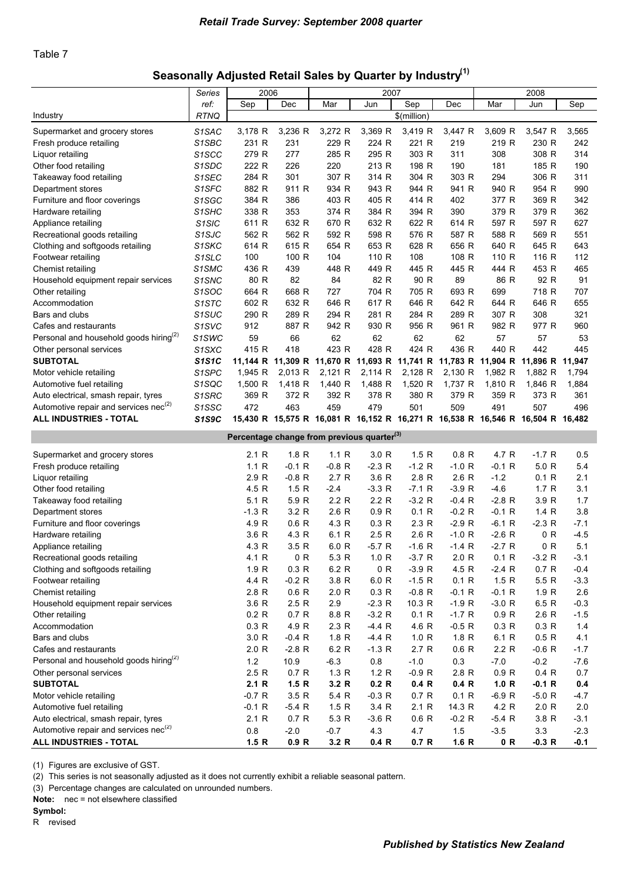#### Table 7

# Seasonally Adjusted Retail Sales by Quarter by Industry<sup>(1)</sup>

|                                                    | <b>Series</b>                   | 2006                                                   |                  |                                                                                | 2007          |                  |                     |                      | 2008           |            |
|----------------------------------------------------|---------------------------------|--------------------------------------------------------|------------------|--------------------------------------------------------------------------------|---------------|------------------|---------------------|----------------------|----------------|------------|
|                                                    | ref:                            | Sep                                                    | Dec              | Mar                                                                            | Jun           | Sep              | Dec                 | Mar                  | Jun            | Sep        |
| Industry                                           | <b>RTNQ</b>                     |                                                        |                  |                                                                                |               | \$(million)      |                     |                      |                |            |
| Supermarket and grocery stores                     | S <sub>1</sub> SAC              | 3,178 R                                                | 3,236 R          | 3,272 R                                                                        | 3,369 R       | 3,419 R          | 3,447 R             | 3,609 R              | 3,547 R        | 3,565      |
| Fresh produce retailing                            | S <sub>1</sub> SBC              | 231 R                                                  | 231              | 229 R                                                                          | 224 R         | 221 R            | 219                 | 219 R                | 230 R          | 242        |
| Liquor retailing                                   | S <sub>1</sub> SCC              | 279 R                                                  | 277              | 285 R                                                                          | 295 R         | 303 R            | 311                 | 308                  | 308 R          | 314        |
| Other food retailing                               | S <sub>1</sub> SDC              | 222 R                                                  | 226              | 220                                                                            | 213 R         | 198 R            | 190                 | 181                  | 185 R          | 190        |
| Takeaway food retailing                            | S1SEC                           | 284 R                                                  | 301              | 307 R                                                                          | 314 R         | 304 R            | 303 R               | 294                  | 306 R          | 311        |
| Department stores                                  | S <sub>1</sub> SFC              | 882 R                                                  | 911 R            | 934 R                                                                          | 943 R         | 944 R            | 941 R               | 940 R                | 954 R          | 990        |
| Furniture and floor coverings                      | S <sub>1</sub> SGC              | 384 R                                                  | 386              | 403 R                                                                          | 405 R         | 414 R            | 402                 | 377 R                | 369 R          | 342        |
| Hardware retailing                                 | S <sub>1</sub> SHC              | 338 R                                                  | 353              | 374 R                                                                          | 384 R         | 394 R            | 390                 | 379 R                | 379 R          | 362        |
| Appliance retailing                                | S <sub>1</sub> SIC              | 611 R                                                  | 632 R            | 670 R                                                                          | 632 R         | 622 R            | 614 R               | 597 R                | 597 R          | 627        |
| Recreational goods retailing                       | S <sub>1</sub> SJC              | 562 R                                                  | 562 R            | 592 R                                                                          | 598 R         | 576 R            | 587 R               | 588 R                | 569 R          | 551        |
| Clothing and softgoods retailing                   | S1SKC                           | 614 R                                                  | 615 R            | 654 R                                                                          | 653 R         | 628 R            | 656 R               | 640 R                | 645 R          | 643        |
| Footwear retailing                                 | S <sub>1</sub> SLC              | 100                                                    | 100 R            | 104                                                                            | 110 R         | 108              | 108 R               | 110 R                | 116 R          | 112        |
| Chemist retailing                                  | S1SMC                           | 436 R                                                  | 439              | 448 R                                                                          | 449 R         | 445 R            | 445 R               | 444 R                | 453 R          | 465        |
| Household equipment repair services                | S <sub>1</sub> S <sub>NC</sub>  | 80 R                                                   | 82               | 84                                                                             | 82 R          | 90 R             | 89                  | 86 R                 | 92 R           | 91         |
| Other retailing                                    | S <sub>1</sub> SOC              | 664 R                                                  | 668 R            | 727                                                                            | 704 R         | 705 R            | 693 R               | 699                  | 718 R          | 707        |
| Accommodation                                      | S <sub>1</sub> STC              | 602 R                                                  | 632 R            | 646 R                                                                          | 617 R         | 646 R            | 642 R               | 644 R                | 646 R          | 655        |
| Bars and clubs                                     | S <sub>1</sub> SUC              | 290 R                                                  | 289 R            | 294 R                                                                          | 281 R         | 284 R            | 289 R               | 307 R                | 308            | 321        |
| Cafes and restaurants                              | S <sub>1</sub> SV <sub>C</sub>  | 912                                                    | 887 R            | 942 R                                                                          | 930 R         | 956 R            | 961 R               | 982 R                | 977 R          | 960        |
| Personal and household goods hiring <sup>(2)</sup> | S <sub>1</sub> SW <sub>C</sub>  | 59                                                     | 66               | 62                                                                             | 62            | 62               | 62                  | 57                   | 57             | 53         |
| Other personal services                            | S <sub>1</sub> S <sub>X</sub> C | 415 R                                                  | 418              | 423 R                                                                          | 428 R         | 424 R            | 436 R               | 440 R                | 442            | 445        |
| <b>SUBTOTAL</b>                                    | <b>S1S1C</b>                    |                                                        |                  | 11,144 R 11,309 R 11,670 R 11,693 R 11,741 R 11,783 R 11,904 R 11,896 R        |               |                  |                     |                      |                | 11,947     |
| Motor vehicle retailing                            | S1SPC                           | 1,945 R                                                | 2,013 R          | 2,121 R                                                                        | 2,114 R       | 2,128 R          | 2,130 R             | 1,982 R              | 1,882 R        | 1,794      |
| Automotive fuel retailing                          | S1SQC                           | 1,500 R                                                | 1,418 R          | 1,440 R                                                                        | 1,488 R       | 1,520 R          | 1,737 R             | 1,810 R              | 1,846 R        | 1,884      |
| Auto electrical, smash repair, tyres               | S1SRC                           | 369 R                                                  | 372 R            | 392 R                                                                          | 378 R         | 380 R            | 379 R               | 359 R                | 373 R          | 361        |
| Automotive repair and services nec <sup>(2)</sup>  | S <sub>1</sub> SSC              | 472                                                    | 463              | 459                                                                            | 479           | 501              | 509                 | 491                  | 507            | 496        |
| <b>ALL INDUSTRIES - TOTAL</b>                      | S1S9C                           |                                                        |                  | 15,430 R 15,575 R 16,081 R 16,152 R 16,271 R 16,538 R 16,546 R 16,504 R 16,482 |               |                  |                     |                      |                |            |
|                                                    |                                 | Percentage change from previous quarter <sup>(3)</sup> |                  |                                                                                |               |                  |                     |                      |                |            |
|                                                    |                                 |                                                        |                  |                                                                                |               |                  |                     |                      |                |            |
| Supermarket and grocery stores                     |                                 | 2.1 R                                                  | 1.8 R            | 1.1R                                                                           | 3.0 R         | 1.5R             | 0.8 R               | 4.7 R                | $-1.7 R$       | 0.5        |
| Fresh produce retailing                            |                                 | 1.1 R                                                  | $-0.1 R$         | $-0.8 R$                                                                       | $-2.3 R$      | $-1.2 R$         | $-1.0 R$            | $-0.1 R$             | 5.0 R          | 5.4        |
| Liquor retailing                                   |                                 | 2.9 R                                                  | $-0.8 R$<br>1.5R | 2.7R                                                                           | 3.6 R         | 2.8 R<br>$-7.1R$ | 2.6R                | $-1.2$<br>$-4.6$     | 0.1 R          | 2.1<br>3.1 |
| Other food retailing                               |                                 | 4.5 R<br>5.1 R                                         |                  | $-2.4$<br>2.2 R                                                                | $-3.3 R$      | $-3.2 R$         | $-3.9R$<br>$-0.4 R$ |                      | 1.7R           | 1.7        |
| Takeaway food retailing                            |                                 | $-1.3$ R                                               | 5.9 R<br>3.2 R   | 2.6R                                                                           | 2.2R<br>0.9 R | 0.1 R            | $-0.2 R$            | $-2.8 R$<br>$-0.1 R$ | 3.9 R<br>1.4 R | 3.8        |
| Department stores<br>Furniture and floor coverings |                                 | 4.9 R                                                  | 0.6 R            | 4.3 R                                                                          | 0.3 R         | 2.3 R            | $-2.9R$             | $-6.1 R$             | $-2.3 R$       | $-7.1$     |
| Hardware retailing                                 |                                 | 3.6 R                                                  | 4.3 R            | 6.1 R                                                                          | 2.5R          | 2.6 R            | $-1.0 R$            | $-2.6 R$             | 0 R            | $-4.5$     |
| Appliance retailing                                |                                 | 4.3 R                                                  | 3.5R             | 6.0 R                                                                          | -5.7 R        | $-1.6 R$         | $-1.4 R$            | -2.7 R               | 0 R            | 5.1        |
| Recreational goods retailing                       |                                 | 4.1 R                                                  | 0 R              | 5.3 R                                                                          | 1.0 R         | $-3.7R$          | 2.0 R               | 0.1 R                | $-3.2 R$       | $-3.1$     |
| Clothing and softgoods retailing                   |                                 | 1.9 <sub>R</sub>                                       | 0.3R             | 6.2 R                                                                          | 0 R           | $-3.9 R$         | 4.5 R               | $-2.4 R$             | 0.7R           | $-0.4$     |
| Footwear retailing                                 |                                 | 4.4 R                                                  | $-0.2 R$         | 3.8 R                                                                          | 6.0 R         | $-1.5 R$         | 0.1 R               | 1.5 R                | 5.5 R          | $-3.3$     |
| Chemist retailing                                  |                                 | 2.8 R                                                  | 0.6R             | 2.0 R                                                                          | 0.3 R         | $-0.8 R$         | $-0.1 R$            | $-0.1 R$             | 1.9R           | 2.6        |
| Household equipment repair services                |                                 | 3.6 R                                                  | 2.5R             | 2.9                                                                            | $-2.3 R$      | 10.3 R           | $-1.9 R$            | $-3.0 R$             | 6.5 R          | $-0.3$     |
| Other retailing                                    |                                 | 0.2 R                                                  | 0.7 R            | 8.8 R                                                                          | $-3.2 R$      | 0.1 R            | $-1.7 R$            | 0.9 R                | 2.6R           | $-1.5$     |
| Accommodation                                      |                                 | 0.3 R                                                  | 4.9 R            | 2.3R                                                                           | $-4.4 R$      | 4.6 R            | $-0.5 R$            | 0.3 R                | 0.3 R          | 1.4        |
| Bars and clubs                                     |                                 | 3.0R                                                   | $-0.4 R$         | 1.8 R                                                                          | $-4.4 R$      | 1.0 R            | 1.8 R               | 6.1 R                | 0.5R           | 4.1        |
| Cafes and restaurants                              |                                 | 2.0 R                                                  | $-2.8 R$         | 6.2 R                                                                          | $-1.3 R$      | 2.7R             | 0.6 R               | 2.2 R                | $-0.6 R$       | $-1.7$     |
| Personal and household goods hiring <sup>(2)</sup> |                                 | $1.2$                                                  | 10.9             | $-6.3$                                                                         | 0.8           | $-1.0$           | 0.3                 | $-7.0$               | $-0.2$         | $-7.6$     |
| Other personal services                            |                                 | 2.5R                                                   | 0.7 R            | 1.3 R                                                                          | 1.2 R         | $-0.9 R$         | 2.8 R               | 0.9 R                | 0.4 R          | 0.7        |
| <b>SUBTOTAL</b>                                    |                                 | 2.1R                                                   | 1.5 R            | 3.2 R                                                                          | 0.2 R         | 0.4 R            | 0.4 R               | 1.0 R                | $-0.1 R$       | 0.4        |
| Motor vehicle retailing                            |                                 | $-0.7 R$                                               | 3.5 R            | 5.4 R                                                                          | $-0.3 R$      | 0.7 R            | 0.1 R               | $-6.9 R$             | $-5.0 R$       | $-4.7$     |
| Automotive fuel retailing                          |                                 | $-0.1 R$                                               | $-5.4 R$         | 1.5R                                                                           | 3.4 R         | 2.1 R            | 14.3 R              | 4.2 R                | 2.0 R          | $2.0\,$    |
| Auto electrical, smash repair, tyres               |                                 | 2.1R                                                   | 0.7R             | 5.3 R                                                                          | $-3.6 R$      | 0.6 R            | $-0.2 R$            | $-5.4 R$             | 3.8 R          | $-3.1$     |
| Automotive repair and services nec <sup>(2)</sup>  |                                 | 0.8                                                    | $-2.0$           | $-0.7$                                                                         | 4.3           | 4.7              | 1.5                 | $-3.5$               | 3.3            | $-2.3$     |
| ALL INDUSTRIES - TOTAL                             |                                 | 1.5R                                                   | 0.9 R            | 3.2 R                                                                          | 0.4 R         | 0.7 R            | 1.6 R               | 0 R                  | $-0.3 R$       | $-0.1$     |

(1) Figures are exclusive of GST.

(2) This series is not seasonally adjusted as it does not currently exhibit a reliable seasonal pattern.

(3) Percentage changes are calculated on unrounded numbers.

Note: nec = not elsewhere classified

Symbol: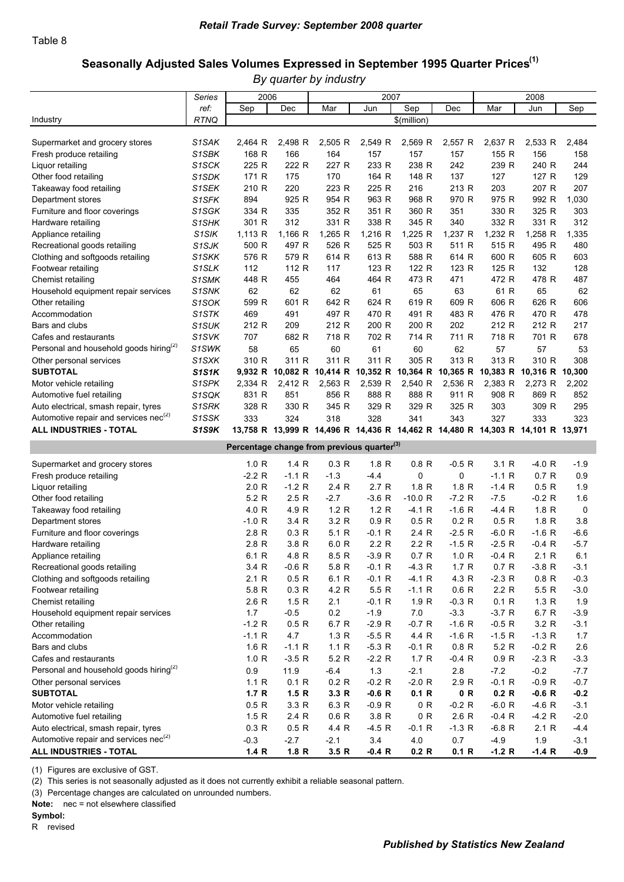### Seasonally Adjusted Sales Volumes Expressed in September 1995 Quarter Prices<sup>(1)</sup>

*By quarter by industry*

|                                                    | Series             | 2006                                                   |          |                                                                                | 2007     |                  |          |          | 2008            |        |
|----------------------------------------------------|--------------------|--------------------------------------------------------|----------|--------------------------------------------------------------------------------|----------|------------------|----------|----------|-----------------|--------|
|                                                    | ref:               | Sep                                                    | Dec      | Mar                                                                            | Jun      | Sep              | Dec      | Mar      | Jun             | Sep    |
| Industry                                           | <b>RTNQ</b>        |                                                        |          |                                                                                |          | \$(million)      |          |          |                 |        |
|                                                    |                    |                                                        |          |                                                                                |          |                  |          |          |                 |        |
| Supermarket and grocery stores                     | S <sub>1</sub> SAK | 2,464 R                                                | 2,498 R  | 2,505 R                                                                        | 2,549 R  | 2,569 R          | 2,557 R  | 2,637 R  | 2,533 R         | 2,484  |
| Fresh produce retailing                            | S <sub>1</sub> SBK | 168 R                                                  | 166      | 164                                                                            | 157      | 157              | 157      | 155 R    | 156             | 158    |
| Liquor retailing                                   | S <sub>1</sub> SCK | 225 R                                                  | 222 R    | 227 R                                                                          | 233 R    | 238 R            | 242      | 239 R    | 240 R           | 244    |
| Other food retailing                               | S1SDK              | 171 R                                                  | 175      | 170                                                                            | 164 R    | 148 R            | 137      | 127      | 127 R           | 129    |
| Takeaway food retailing                            | S1SEK              | 210 R                                                  | 220      | 223 R                                                                          | 225 R    | 216              | 213 R    | 203      | 207 R           | 207    |
| Department stores                                  | S1SFK              | 894                                                    | 925 R    | 954 R                                                                          | 963 R    | 968 R            | 970 R    | 975 R    | 992 R           | 1,030  |
| Furniture and floor coverings                      | S1SGK              | 334 R                                                  | 335      | 352 R                                                                          | 351 R    | 360 R            | 351      | 330 R    | 325 R           | 303    |
| Hardware retailing                                 | S <sub>1</sub> SHK | 301 R                                                  | 312      | 331 R                                                                          | 338 R    | 345 R            | 340      | 332 R    | 331 R           | 312    |
| Appliance retailing                                | S <sub>1</sub> SIK | 1,113 R                                                | 1,166 R  | $1,265$ R                                                                      | 1,216 R  | 1,225 R          | 1,237 R  | 1,232 R  | 1,258 R         | 1,335  |
| Recreational goods retailing                       | S <sub>1</sub> SJK | 500 R                                                  | 497 R    | 526 R                                                                          | 525 R    | 503 R            | 511 R    | 515 R    | 495 R           | 480    |
| Clothing and softgoods retailing                   | S1SKK              | 576 R                                                  | 579 R    | 614 R                                                                          | 613 R    | 588 R            | 614 R    | 600 R    | 605 R           | 603    |
| Footwear retailing                                 | S1SLK              | 112                                                    | 112 R    | 117                                                                            | 123 R    | 122 R            | 123 R    | 125 R    | 132             | 128    |
| Chemist retailing                                  | S1SMK              | 448 R                                                  | 455      | 464                                                                            | 464 R    | 473 R            | 471      | 472 R    | 478 R           | 487    |
| Household equipment repair services                | S1SNK              | 62                                                     | 62       | 62                                                                             | 61       | 65               | 63       | 61 R     | 65              | 62     |
| Other retailing                                    | S <sub>1</sub> SOK | 599 R                                                  | 601 R    | 642 R                                                                          | 624 R    | 619 R            | 609 R    | 606 R    | 626 R           | 606    |
| Accommodation                                      | S1STK              | 469                                                    | 491      | 497 R                                                                          | 470 R    | 491 R            | 483 R    | 476 R    | 470 R           | 478    |
| Bars and clubs                                     | S1SUK              | 212 R                                                  | 209      | 212 R                                                                          | 200 R    | 200 R            | 202      | 212 R    | 212 R           | 217    |
| Cafes and restaurants                              | S <sub>1</sub> SVK | 707                                                    | 682 R    | 718 R                                                                          | 702 R    | 714 R            | 711 R    | 718 R    | 701 R           | 678    |
| Personal and household goods hiring <sup>(2)</sup> | S1SWK              | 58                                                     | 65       | 60                                                                             | 61       | 60               | 62       | 57       | 57              | 53     |
| Other personal services                            | S <sub>1</sub> SXK | 310 R                                                  | 311 R    | 311 R                                                                          | 311 R    | 305 R            | 313 R    | 313 R    | 310 R           | 308    |
| <b>SUBTOTAL</b>                                    | S1S1K              |                                                        |          | 9,932 R 10,082 R 10,414 R 10,352 R 10,364 R 10,365 R 10,383 R                  |          |                  |          |          | 10,316 R 10,300 |        |
| Motor vehicle retailing                            | S1SPK              | 2,334 R                                                | 2,412 R  | 2,563 R                                                                        | 2,539 R  | 2,540 R          | 2,536 R  | 2,383 R  | 2,273 R         | 2,202  |
| Automotive fuel retailing                          | S1SQK              | 831 R                                                  | 851      | 856 R                                                                          | 888 R    | 888 R            | 911 R    | 908 R    | 869 R           | 852    |
| Auto electrical, smash repair, tyres               | S <sub>1</sub> SRK | 328 R                                                  | 330 R    | 345 R                                                                          | 329 R    | 329 R            | 325 R    | 303      | 309 R           | 295    |
| Automotive repair and services nec <sup>(2)</sup>  | S1SSK              | 333                                                    | 324      | 318                                                                            | 328      | 341              | 343      | 327      | 333             | 323    |
| ALL INDUSTRIES - TOTAL                             | S1S9K              |                                                        |          | 13,758 R 13,999 R 14,496 R 14,436 R 14,462 R 14,480 R 14,303 R 14,101 R 13,971 |          |                  |          |          |                 |        |
|                                                    |                    |                                                        |          |                                                                                |          |                  |          |          |                 |        |
|                                                    |                    |                                                        |          |                                                                                |          |                  |          |          |                 |        |
|                                                    |                    | Percentage change from previous quarter <sup>(3)</sup> |          |                                                                                |          |                  |          |          |                 |        |
| Supermarket and grocery stores                     |                    | 1.0 R                                                  | 1.4 R    | 0.3 R                                                                          | 1.8 R    | 0.8 R            | $-0.5 R$ | 3.1 R    | $-4.0 R$        | $-1.9$ |
| Fresh produce retailing                            |                    | $-2.2 R$                                               | $-1.1 R$ | $-1.3$                                                                         | $-4.4$   | 0                | 0        | $-1.1 R$ | 0.7R            | 0.9    |
| Liquor retailing                                   |                    | 2.0 R                                                  | $-1.2 R$ | 2.4 R                                                                          | 2.7R     | 1.8 R            | 1.8 R    | $-1.4 R$ | 0.5 R           | 1.9    |
| Other food retailing                               |                    | 5.2 R                                                  | 2.5R     | $-2.7$                                                                         | $-3.6 R$ | -10.0 R          | $-7.2 R$ | $-7.5$   | $-0.2 R$        | 1.6    |
| Takeaway food retailing                            |                    | 4.0 R                                                  | 4.9 R    | 1.2 R                                                                          | 1.2R     | $-4.1 R$         | $-1.6 R$ | $-4.4 R$ | 1.8 R           | 0      |
| Department stores                                  |                    | $-1.0 R$                                               | 3.4 R    | 3.2 R                                                                          | 0.9 R    | 0.5R             | 0.2 R    | 0.5R     | 1.8 R           | 3.8    |
| Furniture and floor coverings                      |                    | 2.8R                                                   | 0.3 R    | 5.1 R                                                                          | $-0.1 R$ | 2.4 R            | $-2.5R$  | $-6.0 R$ | $-1.6 R$        | -6.6   |
| Hardware retailing                                 |                    | 2.8 R                                                  | 3.8 R    | 6.0 R                                                                          | 2.2R     | 2.2R             | $-1.5 R$ | $-2.5R$  | $-0.4 R$        | $-5.7$ |
| Appliance retailing                                |                    | 6.1 R                                                  | 4.8 R    | 8.5 R                                                                          | $-3.9R$  | 0.7R             | 1.0 R    | $-0.4$ R | 2.1 R           | 6.1    |
| Recreational goods retailing                       |                    | 3.4 R                                                  | $-0.6 R$ | 5.8 R                                                                          | $-0.1 R$ | $-4.3 R$         | 1.7R     | 0.7R     | $-3.8 R$        | $-3.1$ |
| Clothing and softgoods retailing                   |                    | 2.1R                                                   | 0.5R     | 6.1 R                                                                          | $-0.1 R$ | $-4.1 R$         | 4.3 R    | $-2.3 R$ | 0.8 R           | $-0.3$ |
| Footwear retailing                                 |                    | 5.8 R                                                  | 0.3 R    | 4.2 R                                                                          | 5.5R     | $-1.1 R$         | 0.6R     | 2.2R     | 5.5R            | $-3.0$ |
| Chemist retailing                                  |                    | 2.6R                                                   | 1.5R     | 2.1                                                                            | $-0.1 R$ | 1.9 <sub>R</sub> | $-0.3 R$ | 0.1 R    | 1.3R            | 1.9    |
| Household equipment repair services                |                    | 1.7                                                    | $-0.5$   | 0.2                                                                            | $-1.9$   | $7.0\,$          | $-3.3$   | $-3.7R$  | 6.7 R           | $-3.9$ |
| Other retailing                                    |                    | $-1.2 R$                                               | 0.5 R    | 6.7 R                                                                          | $-2.9R$  | $-0.7 R$         | $-1.6 R$ | $-0.5 R$ | 3.2 R           | $-3.1$ |
| Accommodation                                      |                    | $-1.1 R$                                               | 4.7      | 1.3R                                                                           | $-5.5 R$ | 4.4 R            | $-1.6 R$ | $-1.5 R$ | $-1.3 R$        | 1.7    |
| Bars and clubs                                     |                    | 1.6R                                                   | $-1.1 R$ | 1.1R                                                                           | $-5.3 R$ | $-0.1 R$         | 0.8 R    | 5.2R     | $-0.2 R$        | 2.6    |
| Cafes and restaurants                              |                    | 1.0 R                                                  | $-3.5R$  | 5.2 R                                                                          | $-2.2 R$ | 1.7R             | $-0.4 R$ | 0.9 R    | $-2.3 R$        | $-3.3$ |
| Personal and household goods hiring <sup>(2)</sup> |                    | 0.9                                                    | 11.9     | $-6.4$                                                                         | $1.3$    | $-2.1$           | 2.8      | $-7.2$   | $-0.2$          | $-7.7$ |
| Other personal services                            |                    | 1.1 R                                                  | 0.1 R    | 0.2 R                                                                          | $-0.2 R$ | $-2.0 R$         | 2.9 R    | $-0.1 R$ | $-0.9 R$        | $-0.7$ |
| <b>SUBTOTAL</b>                                    |                    | 1.7R                                                   | 1.5R     | 3.3 R                                                                          | $-0.6 R$ | 0.1 R            | 0 R      | 0.2 R    | $-0.6 R$        | $-0.2$ |
| Motor vehicle retailing                            |                    | 0.5R                                                   | 3.3 R    | 6.3 R                                                                          | $-0.9 R$ | 0 R              | $-0.2 R$ | $-6.0 R$ | $-4.6 R$        | $-3.1$ |
| Automotive fuel retailing                          |                    | 1.5R                                                   | 2.4 R    | 0.6 R                                                                          | 3.8 R    | 0 R              | 2.6R     | $-0.4 R$ | $-4.2 R$        | $-2.0$ |
| Auto electrical, smash repair, tyres               |                    | 0.3 R                                                  | 0.5R     | 4.4 R                                                                          | $-4.5 R$ | $-0.1 R$         | $-1.3 R$ | $-6.8 R$ | 2.1R            | $-4.4$ |
| Automotive repair and services nec <sup>(2)</sup>  |                    | $-0.3$                                                 | $-2.7$   | $-2.1$                                                                         | 3.4      | $4.0\,$          | 0.7      | $-4.9$   | 1.9             | $-3.1$ |

(1) Figures are exclusive of GST.

(2) This series is not seasonally adjusted as it does not currently exhibit a reliable seasonal pattern.

(3) Percentage changes are calculated on unrounded numbers.

Note: nec = not elsewhere classified

#### Symbol: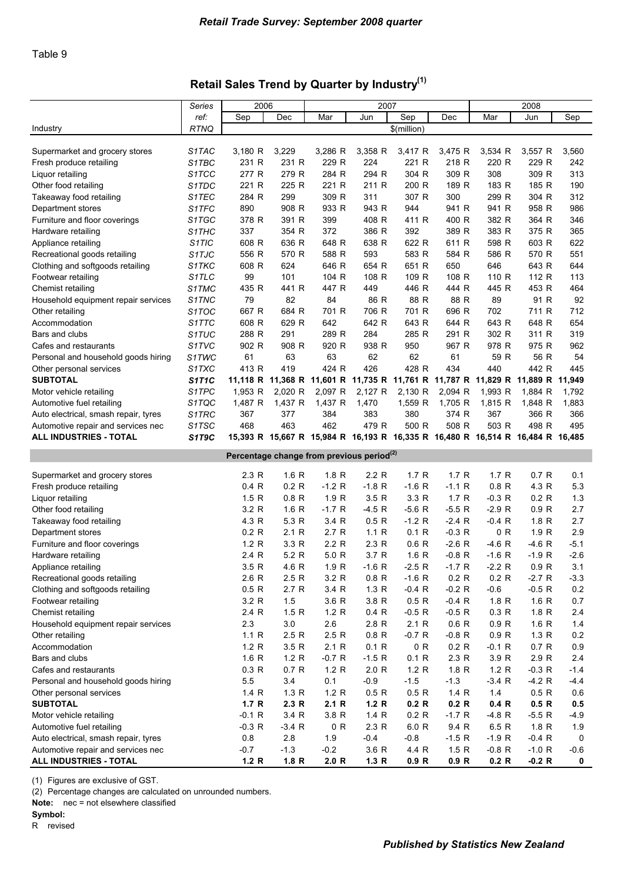### Retail Sales Trend by Quarter by Industry<sup>(1)</sup>

| ref:<br>Sep<br>Sep<br>Dec<br>Mar<br>Jun<br>Dec<br>Mar<br>Jun<br>Sep<br><b>RTNQ</b><br>\$(million)<br>Industry<br>3,180 R<br>3,229<br>3,286 R<br>3,358 R<br>3,417 R<br>3,534 R<br>3,560<br>Supermarket and grocery stores<br>S1TAC<br>3,475 R<br>3,557 R<br>229 R<br>231 R<br>231 R<br>224<br>221 R<br>218 R<br>220 R<br>229 R<br>242<br>Fresh produce retailing<br>S1TBC<br>284 R<br>304 R<br>308<br>277 R<br>279 R<br>294 R<br>309 R<br>309 R<br>313<br>Liquor retailing<br>S1TCC<br>221 R<br>225 R<br>221 R<br>211 R<br>200 R<br>189 R<br>183 R<br>185 R<br>190<br>Other food retailing<br>S1TDC<br>309 R<br>307 R<br>S1TEC<br>284 R<br>299<br>311<br>300<br>299 R<br>304 R<br>312<br>Takeaway food retailing<br>S1TFC<br>890<br>908 R<br>933 R<br>943 R<br>944<br>941 R<br>941 R<br>958 R<br>986<br>Department stores<br>378 R<br>411 R<br>Furniture and floor coverings<br>S1TGC<br>391 R<br>399<br>408 R<br>400 R<br>382 R<br>364 R<br>346<br>337<br>372<br>386 R<br>392<br>389 R<br>383 R<br>354 R<br>375 R<br>365<br>Hardware retailing<br>S1THC<br>622 R<br>608 R<br>636 R<br>648 R<br>638 R<br>598 R<br>603 R<br>622<br>S <sub>1</sub> TIC<br>611 R<br>Appliance retailing<br>556 R<br>593<br>583 R<br>551<br>Recreational goods retailing<br>S <sub>1</sub> TJC<br>570 R<br>588 R<br>584 R<br>586 R<br>570 R<br>608 R<br>651 R<br>646<br>643 R<br>Clothing and softgoods retailing<br>S1TKC<br>624<br>646 R<br>654 R<br>650<br>644<br>99<br>108 R<br>109 R<br>108 R<br>112 R<br>S <sub>1</sub> TLC<br>101<br>104 R<br>110 R<br>113<br>Footwear retailing<br>447 R<br>446 R<br>453 R<br>Chemist retailing<br>S1TMC<br>435 R<br>441 R<br>449<br>444 R<br>445 R<br>464<br>79<br>82<br>84<br>86 R<br>88 R<br>88 R<br>89<br>91 R<br>92<br>S1TNC<br>Household equipment repair services<br>667 R<br>684 R<br>706 R<br>701 R<br>696 R<br>702<br>711 R<br>712<br>S1TOC<br>701 R<br>Other retailing<br>642 R<br>643 R<br>643 R<br>608 R<br>629 R<br>642<br>644 R<br>648 R<br>654<br>Accommodation<br>S1TTC<br>302 R<br>319<br>Bars and clubs<br>S1TUC<br>288 R<br>291<br>289 R<br>284<br>285 R<br>291 R<br>311 R<br>902 R<br>920 R<br>938 R<br>978 R<br>S1TVC<br>908 R<br>950<br>967 R<br>975 R<br>962<br>Cafes and restaurants<br>63<br>63<br>62<br>62<br>59 R<br>56 R<br>61<br>61<br>54<br>Personal and household goods hiring<br>S1TWC<br>413 R<br>419<br>426<br>428 R<br>434<br>440<br>442 R<br>S1TXC<br>424 R<br>445<br>Other personal services<br><b>SUBTOTAL</b><br><b>S1T1C</b><br>11,118 R 11,368 R<br>11,601 R 11,735 R 11,761 R 11,787 R 11,829 R<br>11,889 R<br>11,949<br>S1TPC<br>2,097 R<br>2,127 R<br>2,130 R<br>1,993 R<br>1,953 R<br>2,020 R<br>2,094 R<br>1,884 R<br>1,792<br>Motor vehicle retailing<br>1,470<br>1,487 R<br>1,437 R<br>1,437 R<br>1,559 R<br>1,705 R<br>1,815 R<br>1,848 R<br>1,883<br>Automotive fuel retailing<br>S1TQC<br>367<br>377<br>384<br>383<br>380<br>374 R<br>367<br>366 R<br>366<br>Auto electrical, smash repair, tyres<br>S1TRC<br>468<br>463<br>462<br>479 R<br>500 R<br>508 R<br>503 R<br>498 R<br>S1TSC<br>495<br>Automotive repair and services nec<br><b>ALL INDUSTRIES - TOTAL</b><br>S1T9C<br>15,393 R 15,667 R 15,984 R 16,193 R 16,335 R 16,480 R 16,514 R 16,484 R 16,485<br>Percentage change from previous period <sup>(2)</sup><br>1.8R<br>1.7R<br>0.7R<br>2.3R<br>1.6R<br>2.2 R<br>1.7 R<br>1.7R<br>0.1<br>Supermarket and grocery stores<br>0.2 R<br>$-1.2 R$<br>$-1.8$ R<br>$-1.6 R$<br>4.3 R<br>5.3<br>0.4R<br>$-1.1 R$<br>0.8 <sub>R</sub><br>Fresh produce retailing<br>0.8 R<br>1.9R<br>3.5R<br>3.3 R<br>1.5R<br>1.7R<br>$-0.3 R$<br>0.2 R<br>1.3<br>Liquor retailing<br>3.2 R<br>$-5.6 R$<br>$-2.9 R$<br>1.6R<br>$-1.7R$<br>$-4.5 R$<br>$-5.5R$<br>0.9R<br>2.7<br>Other food retailing<br>4.3 R<br>5.3 R<br>3.4 R<br>0.5R<br>$-1.2$ R<br>$-0.4 R$<br>1.8 <sub>R</sub><br>2.7<br>Takeaway food retailing<br>$-2.4$ R<br>0 R<br>2.9<br>0.2 R<br>2.1R<br>2.7R<br>1.1 R<br>0.1 R<br>$-0.3 R$<br>1.9R<br>Department stores<br>1.2 R<br>3.3 R<br>2.2R<br>2.3R<br>0.6R<br>$-2.6 R$<br>$-4.6 R$<br>$-4.6 R$<br>$-5.1$<br>Furniture and floor coverings<br>2.4 R<br>5.2 R<br>1.6 R<br>$-2.6$<br>5.0 R<br>3.7 R<br>$-0.8$ R<br>$-1.6$ R<br>-1.9 R<br>Hardware retailing<br>3.5 R<br>3.1<br>4.6 R<br>1.9 <sub>R</sub><br>$-1.6 R$<br>$-2.5R$<br>$-1.7 R$<br>$-2.2 R$<br>0.9R<br>Appliance retailing<br>Recreational goods retailing<br>2.6R<br>3.2 R<br>$-1.6 R$<br>0.2 R<br>0.2 R<br>2.5 R<br>0.8 R<br>-2.7 R<br>$-3.3$<br>Clothing and softgoods retailing<br>0.5R<br>2.7 R<br>3.4 R<br>$-0.2$ R<br>$-0.6$<br>$-0.5 R$<br>1.3R<br>$-0.4$ R<br>0.2<br>3.2 R<br>1.5<br>3.6 R<br>3.8 R<br>0.5R<br>$-0.4$ R<br>1.8 <sub>R</sub><br>1.6R<br>0.7<br>Footwear retailing<br>2.4 R<br>1.5R<br>1.2 R<br>0.3 R<br>Chemist retailing<br>0.4 R<br>$-0.5 R$<br>$-0.5 R$<br>1.8 <sub>R</sub><br>2.4<br>2.3<br>$3.0\,$<br>2.6<br>Household equipment repair services<br>2.8 R<br>2.1R<br>0.6R<br>0.9R<br>1.6R<br>1.4<br>1.1R<br>2.5R<br>2.5R<br>0.8 <sub>R</sub><br>$-0.7 R$<br>$-0.8$ R<br>0.9 <sub>R</sub><br>1.3R<br>0.2<br>Other retailing<br>Accommodation<br>1.2 R<br>3.5 R<br>2.1R<br>0.1 R<br>0 R<br>0.2 R<br>$-0.1 R$<br>0.7R<br>0.9<br>Bars and clubs<br>1.6 R<br>1.2 R<br>$-0.7 R$<br>$-1.5 R$<br>0.1 R<br>2.3R<br>3.9 R<br>2.9 R<br>2.4<br>0.3 R<br>1.2 R<br>1.8 <sub>R</sub><br>1.2 R<br>$-0.3 R$<br>0.7R<br>2.0 R<br>1.2 <sub>R</sub><br>$-1.4$<br>Cafes and restaurants<br>5.5<br>$-1.5$<br>3.4<br>0.1<br>$-0.9$<br>$-1.3$<br>$-3.4 R$<br>$-4.2 R$<br>Personal and household goods hiring<br>$-4.4$<br>1.4R<br>1.3R<br>1.2 R<br>0.5 R<br>0.5R<br>1.4R<br>1.4<br>0.5R<br>Other personal services<br>0.6<br><b>SUBTOTAL</b><br>1.7R<br>2.3R<br>2.1R<br>1.2 <sub>R</sub><br>0.2 R<br>0.2 R<br>0.4 R<br>0.5R<br>0.5<br>$-0.1 R$<br>3.4 R<br>3.8 R<br>1.4R<br>0.2 R<br>$-1.7R$<br>$-4.8$ R<br>$-5.5R$<br>Motor vehicle retailing<br>-4.9<br>6.0 R<br>Automotive fuel retailing<br>$-0.3 R$<br>$-3.4 R$<br>0 R<br>2.3R<br>9.4 R<br>6.5 R<br>1.8 <sub>R</sub><br>1.9<br>$0.8\,$<br>2.8<br>1.9<br>$-0.8$<br>Auto electrical, smash repair, tyres<br>$-0.4$<br>$-1.5 R$<br>$-1.9$ R<br>$-0.4 R$<br>$\mathbf 0$<br>$-0.7$<br>$-1.3$<br>4.4 R<br>Automotive repair and services nec<br>$-0.2$<br>3.6 R<br>1.5R<br>$-0.8$ R<br>$-1.0 R$<br>-0.6<br>ALL INDUSTRIES - TOTAL<br>1.2 R<br>1.8 R<br>2.0 R<br>1.3 R<br>0.9 R<br>0.9 R<br>0.2 R<br>$-0.2$ R<br>0 | Series | 2006 |  | 2007 |  | 2008 |  |
|------------------------------------------------------------------------------------------------------------------------------------------------------------------------------------------------------------------------------------------------------------------------------------------------------------------------------------------------------------------------------------------------------------------------------------------------------------------------------------------------------------------------------------------------------------------------------------------------------------------------------------------------------------------------------------------------------------------------------------------------------------------------------------------------------------------------------------------------------------------------------------------------------------------------------------------------------------------------------------------------------------------------------------------------------------------------------------------------------------------------------------------------------------------------------------------------------------------------------------------------------------------------------------------------------------------------------------------------------------------------------------------------------------------------------------------------------------------------------------------------------------------------------------------------------------------------------------------------------------------------------------------------------------------------------------------------------------------------------------------------------------------------------------------------------------------------------------------------------------------------------------------------------------------------------------------------------------------------------------------------------------------------------------------------------------------------------------------------------------------------------------------------------------------------------------------------------------------------------------------------------------------------------------------------------------------------------------------------------------------------------------------------------------------------------------------------------------------------------------------------------------------------------------------------------------------------------------------------------------------------------------------------------------------------------------------------------------------------------------------------------------------------------------------------------------------------------------------------------------------------------------------------------------------------------------------------------------------------------------------------------------------------------------------------------------------------------------------------------------------------------------------------------------------------------------------------------------------------------------------------------------------------------------------------------------------------------------------------------------------------------------------------------------------------------------------------------------------------------------------------------------------------------------------------------------------------------------------------------------------------------------------------------------------------------------------------------------------------------------------------------------------------------------------------------------------------------------------------------------------------------------------------------------------------------------------------------------------------------------------------------------------------------------------------------------------------------------------------------------------------------------------------------------------------------------------------------------------------------------------------------------------------------------------------------------------------------------------------------------------------------------------------------------------------------------------------------------------------------------------------------------------------------------------------------------------------------------------------------------------------------------------------------------------------------------------------------------------------------------------------------------------------------------------------------------------------------------------------------------------------------------------------------------------------------------------------------------------------------------------------------------------------------------------------------------------------------------------------------------------------------------------------------------------------------------------------------------------------------------------------------------------------------------------------------------------------------------------------------------------------------------------------------------------------------------------------------------------------------------------------------------------------------------------------------------------------------------------------------------------------------------------------------------------------------------------------------------------------------------------------------------------------------------------------------------------------------------------------------------------------------------------------------------------------------------------------------------------------------------------------------------------------------------------------------------------------------------------------------------------------------------------------------------------------------------------------------------------------------------------------------------------------------------------------------------------------------------------------------------------------------------------------------------|--------|------|--|------|--|------|--|
|                                                                                                                                                                                                                                                                                                                                                                                                                                                                                                                                                                                                                                                                                                                                                                                                                                                                                                                                                                                                                                                                                                                                                                                                                                                                                                                                                                                                                                                                                                                                                                                                                                                                                                                                                                                                                                                                                                                                                                                                                                                                                                                                                                                                                                                                                                                                                                                                                                                                                                                                                                                                                                                                                                                                                                                                                                                                                                                                                                                                                                                                                                                                                                                                                                                                                                                                                                                                                                                                                                                                                                                                                                                                                                                                                                                                                                                                                                                                                                                                                                                                                                                                                                                                                                                                                                                                                                                                                                                                                                                                                                                                                                                                                                                                                                                                                                                                                                                                                                                                                                                                                                                                                                                                                                                                                                                                                                                                                                                                                                                                                                                                                                                                                                                                                                                                                                                                                                                                                                                                                                                                                                                                                                                                                                                                                                                                                                                                            |        |      |  |      |  |      |  |
|                                                                                                                                                                                                                                                                                                                                                                                                                                                                                                                                                                                                                                                                                                                                                                                                                                                                                                                                                                                                                                                                                                                                                                                                                                                                                                                                                                                                                                                                                                                                                                                                                                                                                                                                                                                                                                                                                                                                                                                                                                                                                                                                                                                                                                                                                                                                                                                                                                                                                                                                                                                                                                                                                                                                                                                                                                                                                                                                                                                                                                                                                                                                                                                                                                                                                                                                                                                                                                                                                                                                                                                                                                                                                                                                                                                                                                                                                                                                                                                                                                                                                                                                                                                                                                                                                                                                                                                                                                                                                                                                                                                                                                                                                                                                                                                                                                                                                                                                                                                                                                                                                                                                                                                                                                                                                                                                                                                                                                                                                                                                                                                                                                                                                                                                                                                                                                                                                                                                                                                                                                                                                                                                                                                                                                                                                                                                                                                                            |        |      |  |      |  |      |  |
|                                                                                                                                                                                                                                                                                                                                                                                                                                                                                                                                                                                                                                                                                                                                                                                                                                                                                                                                                                                                                                                                                                                                                                                                                                                                                                                                                                                                                                                                                                                                                                                                                                                                                                                                                                                                                                                                                                                                                                                                                                                                                                                                                                                                                                                                                                                                                                                                                                                                                                                                                                                                                                                                                                                                                                                                                                                                                                                                                                                                                                                                                                                                                                                                                                                                                                                                                                                                                                                                                                                                                                                                                                                                                                                                                                                                                                                                                                                                                                                                                                                                                                                                                                                                                                                                                                                                                                                                                                                                                                                                                                                                                                                                                                                                                                                                                                                                                                                                                                                                                                                                                                                                                                                                                                                                                                                                                                                                                                                                                                                                                                                                                                                                                                                                                                                                                                                                                                                                                                                                                                                                                                                                                                                                                                                                                                                                                                                                            |        |      |  |      |  |      |  |
|                                                                                                                                                                                                                                                                                                                                                                                                                                                                                                                                                                                                                                                                                                                                                                                                                                                                                                                                                                                                                                                                                                                                                                                                                                                                                                                                                                                                                                                                                                                                                                                                                                                                                                                                                                                                                                                                                                                                                                                                                                                                                                                                                                                                                                                                                                                                                                                                                                                                                                                                                                                                                                                                                                                                                                                                                                                                                                                                                                                                                                                                                                                                                                                                                                                                                                                                                                                                                                                                                                                                                                                                                                                                                                                                                                                                                                                                                                                                                                                                                                                                                                                                                                                                                                                                                                                                                                                                                                                                                                                                                                                                                                                                                                                                                                                                                                                                                                                                                                                                                                                                                                                                                                                                                                                                                                                                                                                                                                                                                                                                                                                                                                                                                                                                                                                                                                                                                                                                                                                                                                                                                                                                                                                                                                                                                                                                                                                                            |        |      |  |      |  |      |  |
|                                                                                                                                                                                                                                                                                                                                                                                                                                                                                                                                                                                                                                                                                                                                                                                                                                                                                                                                                                                                                                                                                                                                                                                                                                                                                                                                                                                                                                                                                                                                                                                                                                                                                                                                                                                                                                                                                                                                                                                                                                                                                                                                                                                                                                                                                                                                                                                                                                                                                                                                                                                                                                                                                                                                                                                                                                                                                                                                                                                                                                                                                                                                                                                                                                                                                                                                                                                                                                                                                                                                                                                                                                                                                                                                                                                                                                                                                                                                                                                                                                                                                                                                                                                                                                                                                                                                                                                                                                                                                                                                                                                                                                                                                                                                                                                                                                                                                                                                                                                                                                                                                                                                                                                                                                                                                                                                                                                                                                                                                                                                                                                                                                                                                                                                                                                                                                                                                                                                                                                                                                                                                                                                                                                                                                                                                                                                                                                                            |        |      |  |      |  |      |  |
|                                                                                                                                                                                                                                                                                                                                                                                                                                                                                                                                                                                                                                                                                                                                                                                                                                                                                                                                                                                                                                                                                                                                                                                                                                                                                                                                                                                                                                                                                                                                                                                                                                                                                                                                                                                                                                                                                                                                                                                                                                                                                                                                                                                                                                                                                                                                                                                                                                                                                                                                                                                                                                                                                                                                                                                                                                                                                                                                                                                                                                                                                                                                                                                                                                                                                                                                                                                                                                                                                                                                                                                                                                                                                                                                                                                                                                                                                                                                                                                                                                                                                                                                                                                                                                                                                                                                                                                                                                                                                                                                                                                                                                                                                                                                                                                                                                                                                                                                                                                                                                                                                                                                                                                                                                                                                                                                                                                                                                                                                                                                                                                                                                                                                                                                                                                                                                                                                                                                                                                                                                                                                                                                                                                                                                                                                                                                                                                                            |        |      |  |      |  |      |  |
|                                                                                                                                                                                                                                                                                                                                                                                                                                                                                                                                                                                                                                                                                                                                                                                                                                                                                                                                                                                                                                                                                                                                                                                                                                                                                                                                                                                                                                                                                                                                                                                                                                                                                                                                                                                                                                                                                                                                                                                                                                                                                                                                                                                                                                                                                                                                                                                                                                                                                                                                                                                                                                                                                                                                                                                                                                                                                                                                                                                                                                                                                                                                                                                                                                                                                                                                                                                                                                                                                                                                                                                                                                                                                                                                                                                                                                                                                                                                                                                                                                                                                                                                                                                                                                                                                                                                                                                                                                                                                                                                                                                                                                                                                                                                                                                                                                                                                                                                                                                                                                                                                                                                                                                                                                                                                                                                                                                                                                                                                                                                                                                                                                                                                                                                                                                                                                                                                                                                                                                                                                                                                                                                                                                                                                                                                                                                                                                                            |        |      |  |      |  |      |  |
|                                                                                                                                                                                                                                                                                                                                                                                                                                                                                                                                                                                                                                                                                                                                                                                                                                                                                                                                                                                                                                                                                                                                                                                                                                                                                                                                                                                                                                                                                                                                                                                                                                                                                                                                                                                                                                                                                                                                                                                                                                                                                                                                                                                                                                                                                                                                                                                                                                                                                                                                                                                                                                                                                                                                                                                                                                                                                                                                                                                                                                                                                                                                                                                                                                                                                                                                                                                                                                                                                                                                                                                                                                                                                                                                                                                                                                                                                                                                                                                                                                                                                                                                                                                                                                                                                                                                                                                                                                                                                                                                                                                                                                                                                                                                                                                                                                                                                                                                                                                                                                                                                                                                                                                                                                                                                                                                                                                                                                                                                                                                                                                                                                                                                                                                                                                                                                                                                                                                                                                                                                                                                                                                                                                                                                                                                                                                                                                                            |        |      |  |      |  |      |  |
|                                                                                                                                                                                                                                                                                                                                                                                                                                                                                                                                                                                                                                                                                                                                                                                                                                                                                                                                                                                                                                                                                                                                                                                                                                                                                                                                                                                                                                                                                                                                                                                                                                                                                                                                                                                                                                                                                                                                                                                                                                                                                                                                                                                                                                                                                                                                                                                                                                                                                                                                                                                                                                                                                                                                                                                                                                                                                                                                                                                                                                                                                                                                                                                                                                                                                                                                                                                                                                                                                                                                                                                                                                                                                                                                                                                                                                                                                                                                                                                                                                                                                                                                                                                                                                                                                                                                                                                                                                                                                                                                                                                                                                                                                                                                                                                                                                                                                                                                                                                                                                                                                                                                                                                                                                                                                                                                                                                                                                                                                                                                                                                                                                                                                                                                                                                                                                                                                                                                                                                                                                                                                                                                                                                                                                                                                                                                                                                                            |        |      |  |      |  |      |  |
|                                                                                                                                                                                                                                                                                                                                                                                                                                                                                                                                                                                                                                                                                                                                                                                                                                                                                                                                                                                                                                                                                                                                                                                                                                                                                                                                                                                                                                                                                                                                                                                                                                                                                                                                                                                                                                                                                                                                                                                                                                                                                                                                                                                                                                                                                                                                                                                                                                                                                                                                                                                                                                                                                                                                                                                                                                                                                                                                                                                                                                                                                                                                                                                                                                                                                                                                                                                                                                                                                                                                                                                                                                                                                                                                                                                                                                                                                                                                                                                                                                                                                                                                                                                                                                                                                                                                                                                                                                                                                                                                                                                                                                                                                                                                                                                                                                                                                                                                                                                                                                                                                                                                                                                                                                                                                                                                                                                                                                                                                                                                                                                                                                                                                                                                                                                                                                                                                                                                                                                                                                                                                                                                                                                                                                                                                                                                                                                                            |        |      |  |      |  |      |  |
|                                                                                                                                                                                                                                                                                                                                                                                                                                                                                                                                                                                                                                                                                                                                                                                                                                                                                                                                                                                                                                                                                                                                                                                                                                                                                                                                                                                                                                                                                                                                                                                                                                                                                                                                                                                                                                                                                                                                                                                                                                                                                                                                                                                                                                                                                                                                                                                                                                                                                                                                                                                                                                                                                                                                                                                                                                                                                                                                                                                                                                                                                                                                                                                                                                                                                                                                                                                                                                                                                                                                                                                                                                                                                                                                                                                                                                                                                                                                                                                                                                                                                                                                                                                                                                                                                                                                                                                                                                                                                                                                                                                                                                                                                                                                                                                                                                                                                                                                                                                                                                                                                                                                                                                                                                                                                                                                                                                                                                                                                                                                                                                                                                                                                                                                                                                                                                                                                                                                                                                                                                                                                                                                                                                                                                                                                                                                                                                                            |        |      |  |      |  |      |  |
|                                                                                                                                                                                                                                                                                                                                                                                                                                                                                                                                                                                                                                                                                                                                                                                                                                                                                                                                                                                                                                                                                                                                                                                                                                                                                                                                                                                                                                                                                                                                                                                                                                                                                                                                                                                                                                                                                                                                                                                                                                                                                                                                                                                                                                                                                                                                                                                                                                                                                                                                                                                                                                                                                                                                                                                                                                                                                                                                                                                                                                                                                                                                                                                                                                                                                                                                                                                                                                                                                                                                                                                                                                                                                                                                                                                                                                                                                                                                                                                                                                                                                                                                                                                                                                                                                                                                                                                                                                                                                                                                                                                                                                                                                                                                                                                                                                                                                                                                                                                                                                                                                                                                                                                                                                                                                                                                                                                                                                                                                                                                                                                                                                                                                                                                                                                                                                                                                                                                                                                                                                                                                                                                                                                                                                                                                                                                                                                                            |        |      |  |      |  |      |  |
|                                                                                                                                                                                                                                                                                                                                                                                                                                                                                                                                                                                                                                                                                                                                                                                                                                                                                                                                                                                                                                                                                                                                                                                                                                                                                                                                                                                                                                                                                                                                                                                                                                                                                                                                                                                                                                                                                                                                                                                                                                                                                                                                                                                                                                                                                                                                                                                                                                                                                                                                                                                                                                                                                                                                                                                                                                                                                                                                                                                                                                                                                                                                                                                                                                                                                                                                                                                                                                                                                                                                                                                                                                                                                                                                                                                                                                                                                                                                                                                                                                                                                                                                                                                                                                                                                                                                                                                                                                                                                                                                                                                                                                                                                                                                                                                                                                                                                                                                                                                                                                                                                                                                                                                                                                                                                                                                                                                                                                                                                                                                                                                                                                                                                                                                                                                                                                                                                                                                                                                                                                                                                                                                                                                                                                                                                                                                                                                                            |        |      |  |      |  |      |  |
|                                                                                                                                                                                                                                                                                                                                                                                                                                                                                                                                                                                                                                                                                                                                                                                                                                                                                                                                                                                                                                                                                                                                                                                                                                                                                                                                                                                                                                                                                                                                                                                                                                                                                                                                                                                                                                                                                                                                                                                                                                                                                                                                                                                                                                                                                                                                                                                                                                                                                                                                                                                                                                                                                                                                                                                                                                                                                                                                                                                                                                                                                                                                                                                                                                                                                                                                                                                                                                                                                                                                                                                                                                                                                                                                                                                                                                                                                                                                                                                                                                                                                                                                                                                                                                                                                                                                                                                                                                                                                                                                                                                                                                                                                                                                                                                                                                                                                                                                                                                                                                                                                                                                                                                                                                                                                                                                                                                                                                                                                                                                                                                                                                                                                                                                                                                                                                                                                                                                                                                                                                                                                                                                                                                                                                                                                                                                                                                                            |        |      |  |      |  |      |  |
|                                                                                                                                                                                                                                                                                                                                                                                                                                                                                                                                                                                                                                                                                                                                                                                                                                                                                                                                                                                                                                                                                                                                                                                                                                                                                                                                                                                                                                                                                                                                                                                                                                                                                                                                                                                                                                                                                                                                                                                                                                                                                                                                                                                                                                                                                                                                                                                                                                                                                                                                                                                                                                                                                                                                                                                                                                                                                                                                                                                                                                                                                                                                                                                                                                                                                                                                                                                                                                                                                                                                                                                                                                                                                                                                                                                                                                                                                                                                                                                                                                                                                                                                                                                                                                                                                                                                                                                                                                                                                                                                                                                                                                                                                                                                                                                                                                                                                                                                                                                                                                                                                                                                                                                                                                                                                                                                                                                                                                                                                                                                                                                                                                                                                                                                                                                                                                                                                                                                                                                                                                                                                                                                                                                                                                                                                                                                                                                                            |        |      |  |      |  |      |  |
|                                                                                                                                                                                                                                                                                                                                                                                                                                                                                                                                                                                                                                                                                                                                                                                                                                                                                                                                                                                                                                                                                                                                                                                                                                                                                                                                                                                                                                                                                                                                                                                                                                                                                                                                                                                                                                                                                                                                                                                                                                                                                                                                                                                                                                                                                                                                                                                                                                                                                                                                                                                                                                                                                                                                                                                                                                                                                                                                                                                                                                                                                                                                                                                                                                                                                                                                                                                                                                                                                                                                                                                                                                                                                                                                                                                                                                                                                                                                                                                                                                                                                                                                                                                                                                                                                                                                                                                                                                                                                                                                                                                                                                                                                                                                                                                                                                                                                                                                                                                                                                                                                                                                                                                                                                                                                                                                                                                                                                                                                                                                                                                                                                                                                                                                                                                                                                                                                                                                                                                                                                                                                                                                                                                                                                                                                                                                                                                                            |        |      |  |      |  |      |  |
|                                                                                                                                                                                                                                                                                                                                                                                                                                                                                                                                                                                                                                                                                                                                                                                                                                                                                                                                                                                                                                                                                                                                                                                                                                                                                                                                                                                                                                                                                                                                                                                                                                                                                                                                                                                                                                                                                                                                                                                                                                                                                                                                                                                                                                                                                                                                                                                                                                                                                                                                                                                                                                                                                                                                                                                                                                                                                                                                                                                                                                                                                                                                                                                                                                                                                                                                                                                                                                                                                                                                                                                                                                                                                                                                                                                                                                                                                                                                                                                                                                                                                                                                                                                                                                                                                                                                                                                                                                                                                                                                                                                                                                                                                                                                                                                                                                                                                                                                                                                                                                                                                                                                                                                                                                                                                                                                                                                                                                                                                                                                                                                                                                                                                                                                                                                                                                                                                                                                                                                                                                                                                                                                                                                                                                                                                                                                                                                                            |        |      |  |      |  |      |  |
|                                                                                                                                                                                                                                                                                                                                                                                                                                                                                                                                                                                                                                                                                                                                                                                                                                                                                                                                                                                                                                                                                                                                                                                                                                                                                                                                                                                                                                                                                                                                                                                                                                                                                                                                                                                                                                                                                                                                                                                                                                                                                                                                                                                                                                                                                                                                                                                                                                                                                                                                                                                                                                                                                                                                                                                                                                                                                                                                                                                                                                                                                                                                                                                                                                                                                                                                                                                                                                                                                                                                                                                                                                                                                                                                                                                                                                                                                                                                                                                                                                                                                                                                                                                                                                                                                                                                                                                                                                                                                                                                                                                                                                                                                                                                                                                                                                                                                                                                                                                                                                                                                                                                                                                                                                                                                                                                                                                                                                                                                                                                                                                                                                                                                                                                                                                                                                                                                                                                                                                                                                                                                                                                                                                                                                                                                                                                                                                                            |        |      |  |      |  |      |  |
|                                                                                                                                                                                                                                                                                                                                                                                                                                                                                                                                                                                                                                                                                                                                                                                                                                                                                                                                                                                                                                                                                                                                                                                                                                                                                                                                                                                                                                                                                                                                                                                                                                                                                                                                                                                                                                                                                                                                                                                                                                                                                                                                                                                                                                                                                                                                                                                                                                                                                                                                                                                                                                                                                                                                                                                                                                                                                                                                                                                                                                                                                                                                                                                                                                                                                                                                                                                                                                                                                                                                                                                                                                                                                                                                                                                                                                                                                                                                                                                                                                                                                                                                                                                                                                                                                                                                                                                                                                                                                                                                                                                                                                                                                                                                                                                                                                                                                                                                                                                                                                                                                                                                                                                                                                                                                                                                                                                                                                                                                                                                                                                                                                                                                                                                                                                                                                                                                                                                                                                                                                                                                                                                                                                                                                                                                                                                                                                                            |        |      |  |      |  |      |  |
|                                                                                                                                                                                                                                                                                                                                                                                                                                                                                                                                                                                                                                                                                                                                                                                                                                                                                                                                                                                                                                                                                                                                                                                                                                                                                                                                                                                                                                                                                                                                                                                                                                                                                                                                                                                                                                                                                                                                                                                                                                                                                                                                                                                                                                                                                                                                                                                                                                                                                                                                                                                                                                                                                                                                                                                                                                                                                                                                                                                                                                                                                                                                                                                                                                                                                                                                                                                                                                                                                                                                                                                                                                                                                                                                                                                                                                                                                                                                                                                                                                                                                                                                                                                                                                                                                                                                                                                                                                                                                                                                                                                                                                                                                                                                                                                                                                                                                                                                                                                                                                                                                                                                                                                                                                                                                                                                                                                                                                                                                                                                                                                                                                                                                                                                                                                                                                                                                                                                                                                                                                                                                                                                                                                                                                                                                                                                                                                                            |        |      |  |      |  |      |  |
|                                                                                                                                                                                                                                                                                                                                                                                                                                                                                                                                                                                                                                                                                                                                                                                                                                                                                                                                                                                                                                                                                                                                                                                                                                                                                                                                                                                                                                                                                                                                                                                                                                                                                                                                                                                                                                                                                                                                                                                                                                                                                                                                                                                                                                                                                                                                                                                                                                                                                                                                                                                                                                                                                                                                                                                                                                                                                                                                                                                                                                                                                                                                                                                                                                                                                                                                                                                                                                                                                                                                                                                                                                                                                                                                                                                                                                                                                                                                                                                                                                                                                                                                                                                                                                                                                                                                                                                                                                                                                                                                                                                                                                                                                                                                                                                                                                                                                                                                                                                                                                                                                                                                                                                                                                                                                                                                                                                                                                                                                                                                                                                                                                                                                                                                                                                                                                                                                                                                                                                                                                                                                                                                                                                                                                                                                                                                                                                                            |        |      |  |      |  |      |  |
|                                                                                                                                                                                                                                                                                                                                                                                                                                                                                                                                                                                                                                                                                                                                                                                                                                                                                                                                                                                                                                                                                                                                                                                                                                                                                                                                                                                                                                                                                                                                                                                                                                                                                                                                                                                                                                                                                                                                                                                                                                                                                                                                                                                                                                                                                                                                                                                                                                                                                                                                                                                                                                                                                                                                                                                                                                                                                                                                                                                                                                                                                                                                                                                                                                                                                                                                                                                                                                                                                                                                                                                                                                                                                                                                                                                                                                                                                                                                                                                                                                                                                                                                                                                                                                                                                                                                                                                                                                                                                                                                                                                                                                                                                                                                                                                                                                                                                                                                                                                                                                                                                                                                                                                                                                                                                                                                                                                                                                                                                                                                                                                                                                                                                                                                                                                                                                                                                                                                                                                                                                                                                                                                                                                                                                                                                                                                                                                                            |        |      |  |      |  |      |  |
|                                                                                                                                                                                                                                                                                                                                                                                                                                                                                                                                                                                                                                                                                                                                                                                                                                                                                                                                                                                                                                                                                                                                                                                                                                                                                                                                                                                                                                                                                                                                                                                                                                                                                                                                                                                                                                                                                                                                                                                                                                                                                                                                                                                                                                                                                                                                                                                                                                                                                                                                                                                                                                                                                                                                                                                                                                                                                                                                                                                                                                                                                                                                                                                                                                                                                                                                                                                                                                                                                                                                                                                                                                                                                                                                                                                                                                                                                                                                                                                                                                                                                                                                                                                                                                                                                                                                                                                                                                                                                                                                                                                                                                                                                                                                                                                                                                                                                                                                                                                                                                                                                                                                                                                                                                                                                                                                                                                                                                                                                                                                                                                                                                                                                                                                                                                                                                                                                                                                                                                                                                                                                                                                                                                                                                                                                                                                                                                                            |        |      |  |      |  |      |  |
|                                                                                                                                                                                                                                                                                                                                                                                                                                                                                                                                                                                                                                                                                                                                                                                                                                                                                                                                                                                                                                                                                                                                                                                                                                                                                                                                                                                                                                                                                                                                                                                                                                                                                                                                                                                                                                                                                                                                                                                                                                                                                                                                                                                                                                                                                                                                                                                                                                                                                                                                                                                                                                                                                                                                                                                                                                                                                                                                                                                                                                                                                                                                                                                                                                                                                                                                                                                                                                                                                                                                                                                                                                                                                                                                                                                                                                                                                                                                                                                                                                                                                                                                                                                                                                                                                                                                                                                                                                                                                                                                                                                                                                                                                                                                                                                                                                                                                                                                                                                                                                                                                                                                                                                                                                                                                                                                                                                                                                                                                                                                                                                                                                                                                                                                                                                                                                                                                                                                                                                                                                                                                                                                                                                                                                                                                                                                                                                                            |        |      |  |      |  |      |  |
|                                                                                                                                                                                                                                                                                                                                                                                                                                                                                                                                                                                                                                                                                                                                                                                                                                                                                                                                                                                                                                                                                                                                                                                                                                                                                                                                                                                                                                                                                                                                                                                                                                                                                                                                                                                                                                                                                                                                                                                                                                                                                                                                                                                                                                                                                                                                                                                                                                                                                                                                                                                                                                                                                                                                                                                                                                                                                                                                                                                                                                                                                                                                                                                                                                                                                                                                                                                                                                                                                                                                                                                                                                                                                                                                                                                                                                                                                                                                                                                                                                                                                                                                                                                                                                                                                                                                                                                                                                                                                                                                                                                                                                                                                                                                                                                                                                                                                                                                                                                                                                                                                                                                                                                                                                                                                                                                                                                                                                                                                                                                                                                                                                                                                                                                                                                                                                                                                                                                                                                                                                                                                                                                                                                                                                                                                                                                                                                                            |        |      |  |      |  |      |  |
|                                                                                                                                                                                                                                                                                                                                                                                                                                                                                                                                                                                                                                                                                                                                                                                                                                                                                                                                                                                                                                                                                                                                                                                                                                                                                                                                                                                                                                                                                                                                                                                                                                                                                                                                                                                                                                                                                                                                                                                                                                                                                                                                                                                                                                                                                                                                                                                                                                                                                                                                                                                                                                                                                                                                                                                                                                                                                                                                                                                                                                                                                                                                                                                                                                                                                                                                                                                                                                                                                                                                                                                                                                                                                                                                                                                                                                                                                                                                                                                                                                                                                                                                                                                                                                                                                                                                                                                                                                                                                                                                                                                                                                                                                                                                                                                                                                                                                                                                                                                                                                                                                                                                                                                                                                                                                                                                                                                                                                                                                                                                                                                                                                                                                                                                                                                                                                                                                                                                                                                                                                                                                                                                                                                                                                                                                                                                                                                                            |        |      |  |      |  |      |  |
|                                                                                                                                                                                                                                                                                                                                                                                                                                                                                                                                                                                                                                                                                                                                                                                                                                                                                                                                                                                                                                                                                                                                                                                                                                                                                                                                                                                                                                                                                                                                                                                                                                                                                                                                                                                                                                                                                                                                                                                                                                                                                                                                                                                                                                                                                                                                                                                                                                                                                                                                                                                                                                                                                                                                                                                                                                                                                                                                                                                                                                                                                                                                                                                                                                                                                                                                                                                                                                                                                                                                                                                                                                                                                                                                                                                                                                                                                                                                                                                                                                                                                                                                                                                                                                                                                                                                                                                                                                                                                                                                                                                                                                                                                                                                                                                                                                                                                                                                                                                                                                                                                                                                                                                                                                                                                                                                                                                                                                                                                                                                                                                                                                                                                                                                                                                                                                                                                                                                                                                                                                                                                                                                                                                                                                                                                                                                                                                                            |        |      |  |      |  |      |  |
|                                                                                                                                                                                                                                                                                                                                                                                                                                                                                                                                                                                                                                                                                                                                                                                                                                                                                                                                                                                                                                                                                                                                                                                                                                                                                                                                                                                                                                                                                                                                                                                                                                                                                                                                                                                                                                                                                                                                                                                                                                                                                                                                                                                                                                                                                                                                                                                                                                                                                                                                                                                                                                                                                                                                                                                                                                                                                                                                                                                                                                                                                                                                                                                                                                                                                                                                                                                                                                                                                                                                                                                                                                                                                                                                                                                                                                                                                                                                                                                                                                                                                                                                                                                                                                                                                                                                                                                                                                                                                                                                                                                                                                                                                                                                                                                                                                                                                                                                                                                                                                                                                                                                                                                                                                                                                                                                                                                                                                                                                                                                                                                                                                                                                                                                                                                                                                                                                                                                                                                                                                                                                                                                                                                                                                                                                                                                                                                                            |        |      |  |      |  |      |  |
|                                                                                                                                                                                                                                                                                                                                                                                                                                                                                                                                                                                                                                                                                                                                                                                                                                                                                                                                                                                                                                                                                                                                                                                                                                                                                                                                                                                                                                                                                                                                                                                                                                                                                                                                                                                                                                                                                                                                                                                                                                                                                                                                                                                                                                                                                                                                                                                                                                                                                                                                                                                                                                                                                                                                                                                                                                                                                                                                                                                                                                                                                                                                                                                                                                                                                                                                                                                                                                                                                                                                                                                                                                                                                                                                                                                                                                                                                                                                                                                                                                                                                                                                                                                                                                                                                                                                                                                                                                                                                                                                                                                                                                                                                                                                                                                                                                                                                                                                                                                                                                                                                                                                                                                                                                                                                                                                                                                                                                                                                                                                                                                                                                                                                                                                                                                                                                                                                                                                                                                                                                                                                                                                                                                                                                                                                                                                                                                                            |        |      |  |      |  |      |  |
|                                                                                                                                                                                                                                                                                                                                                                                                                                                                                                                                                                                                                                                                                                                                                                                                                                                                                                                                                                                                                                                                                                                                                                                                                                                                                                                                                                                                                                                                                                                                                                                                                                                                                                                                                                                                                                                                                                                                                                                                                                                                                                                                                                                                                                                                                                                                                                                                                                                                                                                                                                                                                                                                                                                                                                                                                                                                                                                                                                                                                                                                                                                                                                                                                                                                                                                                                                                                                                                                                                                                                                                                                                                                                                                                                                                                                                                                                                                                                                                                                                                                                                                                                                                                                                                                                                                                                                                                                                                                                                                                                                                                                                                                                                                                                                                                                                                                                                                                                                                                                                                                                                                                                                                                                                                                                                                                                                                                                                                                                                                                                                                                                                                                                                                                                                                                                                                                                                                                                                                                                                                                                                                                                                                                                                                                                                                                                                                                            |        |      |  |      |  |      |  |
|                                                                                                                                                                                                                                                                                                                                                                                                                                                                                                                                                                                                                                                                                                                                                                                                                                                                                                                                                                                                                                                                                                                                                                                                                                                                                                                                                                                                                                                                                                                                                                                                                                                                                                                                                                                                                                                                                                                                                                                                                                                                                                                                                                                                                                                                                                                                                                                                                                                                                                                                                                                                                                                                                                                                                                                                                                                                                                                                                                                                                                                                                                                                                                                                                                                                                                                                                                                                                                                                                                                                                                                                                                                                                                                                                                                                                                                                                                                                                                                                                                                                                                                                                                                                                                                                                                                                                                                                                                                                                                                                                                                                                                                                                                                                                                                                                                                                                                                                                                                                                                                                                                                                                                                                                                                                                                                                                                                                                                                                                                                                                                                                                                                                                                                                                                                                                                                                                                                                                                                                                                                                                                                                                                                                                                                                                                                                                                                                            |        |      |  |      |  |      |  |
|                                                                                                                                                                                                                                                                                                                                                                                                                                                                                                                                                                                                                                                                                                                                                                                                                                                                                                                                                                                                                                                                                                                                                                                                                                                                                                                                                                                                                                                                                                                                                                                                                                                                                                                                                                                                                                                                                                                                                                                                                                                                                                                                                                                                                                                                                                                                                                                                                                                                                                                                                                                                                                                                                                                                                                                                                                                                                                                                                                                                                                                                                                                                                                                                                                                                                                                                                                                                                                                                                                                                                                                                                                                                                                                                                                                                                                                                                                                                                                                                                                                                                                                                                                                                                                                                                                                                                                                                                                                                                                                                                                                                                                                                                                                                                                                                                                                                                                                                                                                                                                                                                                                                                                                                                                                                                                                                                                                                                                                                                                                                                                                                                                                                                                                                                                                                                                                                                                                                                                                                                                                                                                                                                                                                                                                                                                                                                                                                            |        |      |  |      |  |      |  |
|                                                                                                                                                                                                                                                                                                                                                                                                                                                                                                                                                                                                                                                                                                                                                                                                                                                                                                                                                                                                                                                                                                                                                                                                                                                                                                                                                                                                                                                                                                                                                                                                                                                                                                                                                                                                                                                                                                                                                                                                                                                                                                                                                                                                                                                                                                                                                                                                                                                                                                                                                                                                                                                                                                                                                                                                                                                                                                                                                                                                                                                                                                                                                                                                                                                                                                                                                                                                                                                                                                                                                                                                                                                                                                                                                                                                                                                                                                                                                                                                                                                                                                                                                                                                                                                                                                                                                                                                                                                                                                                                                                                                                                                                                                                                                                                                                                                                                                                                                                                                                                                                                                                                                                                                                                                                                                                                                                                                                                                                                                                                                                                                                                                                                                                                                                                                                                                                                                                                                                                                                                                                                                                                                                                                                                                                                                                                                                                                            |        |      |  |      |  |      |  |
|                                                                                                                                                                                                                                                                                                                                                                                                                                                                                                                                                                                                                                                                                                                                                                                                                                                                                                                                                                                                                                                                                                                                                                                                                                                                                                                                                                                                                                                                                                                                                                                                                                                                                                                                                                                                                                                                                                                                                                                                                                                                                                                                                                                                                                                                                                                                                                                                                                                                                                                                                                                                                                                                                                                                                                                                                                                                                                                                                                                                                                                                                                                                                                                                                                                                                                                                                                                                                                                                                                                                                                                                                                                                                                                                                                                                                                                                                                                                                                                                                                                                                                                                                                                                                                                                                                                                                                                                                                                                                                                                                                                                                                                                                                                                                                                                                                                                                                                                                                                                                                                                                                                                                                                                                                                                                                                                                                                                                                                                                                                                                                                                                                                                                                                                                                                                                                                                                                                                                                                                                                                                                                                                                                                                                                                                                                                                                                                                            |        |      |  |      |  |      |  |
|                                                                                                                                                                                                                                                                                                                                                                                                                                                                                                                                                                                                                                                                                                                                                                                                                                                                                                                                                                                                                                                                                                                                                                                                                                                                                                                                                                                                                                                                                                                                                                                                                                                                                                                                                                                                                                                                                                                                                                                                                                                                                                                                                                                                                                                                                                                                                                                                                                                                                                                                                                                                                                                                                                                                                                                                                                                                                                                                                                                                                                                                                                                                                                                                                                                                                                                                                                                                                                                                                                                                                                                                                                                                                                                                                                                                                                                                                                                                                                                                                                                                                                                                                                                                                                                                                                                                                                                                                                                                                                                                                                                                                                                                                                                                                                                                                                                                                                                                                                                                                                                                                                                                                                                                                                                                                                                                                                                                                                                                                                                                                                                                                                                                                                                                                                                                                                                                                                                                                                                                                                                                                                                                                                                                                                                                                                                                                                                                            |        |      |  |      |  |      |  |
|                                                                                                                                                                                                                                                                                                                                                                                                                                                                                                                                                                                                                                                                                                                                                                                                                                                                                                                                                                                                                                                                                                                                                                                                                                                                                                                                                                                                                                                                                                                                                                                                                                                                                                                                                                                                                                                                                                                                                                                                                                                                                                                                                                                                                                                                                                                                                                                                                                                                                                                                                                                                                                                                                                                                                                                                                                                                                                                                                                                                                                                                                                                                                                                                                                                                                                                                                                                                                                                                                                                                                                                                                                                                                                                                                                                                                                                                                                                                                                                                                                                                                                                                                                                                                                                                                                                                                                                                                                                                                                                                                                                                                                                                                                                                                                                                                                                                                                                                                                                                                                                                                                                                                                                                                                                                                                                                                                                                                                                                                                                                                                                                                                                                                                                                                                                                                                                                                                                                                                                                                                                                                                                                                                                                                                                                                                                                                                                                            |        |      |  |      |  |      |  |
|                                                                                                                                                                                                                                                                                                                                                                                                                                                                                                                                                                                                                                                                                                                                                                                                                                                                                                                                                                                                                                                                                                                                                                                                                                                                                                                                                                                                                                                                                                                                                                                                                                                                                                                                                                                                                                                                                                                                                                                                                                                                                                                                                                                                                                                                                                                                                                                                                                                                                                                                                                                                                                                                                                                                                                                                                                                                                                                                                                                                                                                                                                                                                                                                                                                                                                                                                                                                                                                                                                                                                                                                                                                                                                                                                                                                                                                                                                                                                                                                                                                                                                                                                                                                                                                                                                                                                                                                                                                                                                                                                                                                                                                                                                                                                                                                                                                                                                                                                                                                                                                                                                                                                                                                                                                                                                                                                                                                                                                                                                                                                                                                                                                                                                                                                                                                                                                                                                                                                                                                                                                                                                                                                                                                                                                                                                                                                                                                            |        |      |  |      |  |      |  |
|                                                                                                                                                                                                                                                                                                                                                                                                                                                                                                                                                                                                                                                                                                                                                                                                                                                                                                                                                                                                                                                                                                                                                                                                                                                                                                                                                                                                                                                                                                                                                                                                                                                                                                                                                                                                                                                                                                                                                                                                                                                                                                                                                                                                                                                                                                                                                                                                                                                                                                                                                                                                                                                                                                                                                                                                                                                                                                                                                                                                                                                                                                                                                                                                                                                                                                                                                                                                                                                                                                                                                                                                                                                                                                                                                                                                                                                                                                                                                                                                                                                                                                                                                                                                                                                                                                                                                                                                                                                                                                                                                                                                                                                                                                                                                                                                                                                                                                                                                                                                                                                                                                                                                                                                                                                                                                                                                                                                                                                                                                                                                                                                                                                                                                                                                                                                                                                                                                                                                                                                                                                                                                                                                                                                                                                                                                                                                                                                            |        |      |  |      |  |      |  |
|                                                                                                                                                                                                                                                                                                                                                                                                                                                                                                                                                                                                                                                                                                                                                                                                                                                                                                                                                                                                                                                                                                                                                                                                                                                                                                                                                                                                                                                                                                                                                                                                                                                                                                                                                                                                                                                                                                                                                                                                                                                                                                                                                                                                                                                                                                                                                                                                                                                                                                                                                                                                                                                                                                                                                                                                                                                                                                                                                                                                                                                                                                                                                                                                                                                                                                                                                                                                                                                                                                                                                                                                                                                                                                                                                                                                                                                                                                                                                                                                                                                                                                                                                                                                                                                                                                                                                                                                                                                                                                                                                                                                                                                                                                                                                                                                                                                                                                                                                                                                                                                                                                                                                                                                                                                                                                                                                                                                                                                                                                                                                                                                                                                                                                                                                                                                                                                                                                                                                                                                                                                                                                                                                                                                                                                                                                                                                                                                            |        |      |  |      |  |      |  |
|                                                                                                                                                                                                                                                                                                                                                                                                                                                                                                                                                                                                                                                                                                                                                                                                                                                                                                                                                                                                                                                                                                                                                                                                                                                                                                                                                                                                                                                                                                                                                                                                                                                                                                                                                                                                                                                                                                                                                                                                                                                                                                                                                                                                                                                                                                                                                                                                                                                                                                                                                                                                                                                                                                                                                                                                                                                                                                                                                                                                                                                                                                                                                                                                                                                                                                                                                                                                                                                                                                                                                                                                                                                                                                                                                                                                                                                                                                                                                                                                                                                                                                                                                                                                                                                                                                                                                                                                                                                                                                                                                                                                                                                                                                                                                                                                                                                                                                                                                                                                                                                                                                                                                                                                                                                                                                                                                                                                                                                                                                                                                                                                                                                                                                                                                                                                                                                                                                                                                                                                                                                                                                                                                                                                                                                                                                                                                                                                            |        |      |  |      |  |      |  |
|                                                                                                                                                                                                                                                                                                                                                                                                                                                                                                                                                                                                                                                                                                                                                                                                                                                                                                                                                                                                                                                                                                                                                                                                                                                                                                                                                                                                                                                                                                                                                                                                                                                                                                                                                                                                                                                                                                                                                                                                                                                                                                                                                                                                                                                                                                                                                                                                                                                                                                                                                                                                                                                                                                                                                                                                                                                                                                                                                                                                                                                                                                                                                                                                                                                                                                                                                                                                                                                                                                                                                                                                                                                                                                                                                                                                                                                                                                                                                                                                                                                                                                                                                                                                                                                                                                                                                                                                                                                                                                                                                                                                                                                                                                                                                                                                                                                                                                                                                                                                                                                                                                                                                                                                                                                                                                                                                                                                                                                                                                                                                                                                                                                                                                                                                                                                                                                                                                                                                                                                                                                                                                                                                                                                                                                                                                                                                                                                            |        |      |  |      |  |      |  |
|                                                                                                                                                                                                                                                                                                                                                                                                                                                                                                                                                                                                                                                                                                                                                                                                                                                                                                                                                                                                                                                                                                                                                                                                                                                                                                                                                                                                                                                                                                                                                                                                                                                                                                                                                                                                                                                                                                                                                                                                                                                                                                                                                                                                                                                                                                                                                                                                                                                                                                                                                                                                                                                                                                                                                                                                                                                                                                                                                                                                                                                                                                                                                                                                                                                                                                                                                                                                                                                                                                                                                                                                                                                                                                                                                                                                                                                                                                                                                                                                                                                                                                                                                                                                                                                                                                                                                                                                                                                                                                                                                                                                                                                                                                                                                                                                                                                                                                                                                                                                                                                                                                                                                                                                                                                                                                                                                                                                                                                                                                                                                                                                                                                                                                                                                                                                                                                                                                                                                                                                                                                                                                                                                                                                                                                                                                                                                                                                            |        |      |  |      |  |      |  |
|                                                                                                                                                                                                                                                                                                                                                                                                                                                                                                                                                                                                                                                                                                                                                                                                                                                                                                                                                                                                                                                                                                                                                                                                                                                                                                                                                                                                                                                                                                                                                                                                                                                                                                                                                                                                                                                                                                                                                                                                                                                                                                                                                                                                                                                                                                                                                                                                                                                                                                                                                                                                                                                                                                                                                                                                                                                                                                                                                                                                                                                                                                                                                                                                                                                                                                                                                                                                                                                                                                                                                                                                                                                                                                                                                                                                                                                                                                                                                                                                                                                                                                                                                                                                                                                                                                                                                                                                                                                                                                                                                                                                                                                                                                                                                                                                                                                                                                                                                                                                                                                                                                                                                                                                                                                                                                                                                                                                                                                                                                                                                                                                                                                                                                                                                                                                                                                                                                                                                                                                                                                                                                                                                                                                                                                                                                                                                                                                            |        |      |  |      |  |      |  |
|                                                                                                                                                                                                                                                                                                                                                                                                                                                                                                                                                                                                                                                                                                                                                                                                                                                                                                                                                                                                                                                                                                                                                                                                                                                                                                                                                                                                                                                                                                                                                                                                                                                                                                                                                                                                                                                                                                                                                                                                                                                                                                                                                                                                                                                                                                                                                                                                                                                                                                                                                                                                                                                                                                                                                                                                                                                                                                                                                                                                                                                                                                                                                                                                                                                                                                                                                                                                                                                                                                                                                                                                                                                                                                                                                                                                                                                                                                                                                                                                                                                                                                                                                                                                                                                                                                                                                                                                                                                                                                                                                                                                                                                                                                                                                                                                                                                                                                                                                                                                                                                                                                                                                                                                                                                                                                                                                                                                                                                                                                                                                                                                                                                                                                                                                                                                                                                                                                                                                                                                                                                                                                                                                                                                                                                                                                                                                                                                            |        |      |  |      |  |      |  |
|                                                                                                                                                                                                                                                                                                                                                                                                                                                                                                                                                                                                                                                                                                                                                                                                                                                                                                                                                                                                                                                                                                                                                                                                                                                                                                                                                                                                                                                                                                                                                                                                                                                                                                                                                                                                                                                                                                                                                                                                                                                                                                                                                                                                                                                                                                                                                                                                                                                                                                                                                                                                                                                                                                                                                                                                                                                                                                                                                                                                                                                                                                                                                                                                                                                                                                                                                                                                                                                                                                                                                                                                                                                                                                                                                                                                                                                                                                                                                                                                                                                                                                                                                                                                                                                                                                                                                                                                                                                                                                                                                                                                                                                                                                                                                                                                                                                                                                                                                                                                                                                                                                                                                                                                                                                                                                                                                                                                                                                                                                                                                                                                                                                                                                                                                                                                                                                                                                                                                                                                                                                                                                                                                                                                                                                                                                                                                                                                            |        |      |  |      |  |      |  |
|                                                                                                                                                                                                                                                                                                                                                                                                                                                                                                                                                                                                                                                                                                                                                                                                                                                                                                                                                                                                                                                                                                                                                                                                                                                                                                                                                                                                                                                                                                                                                                                                                                                                                                                                                                                                                                                                                                                                                                                                                                                                                                                                                                                                                                                                                                                                                                                                                                                                                                                                                                                                                                                                                                                                                                                                                                                                                                                                                                                                                                                                                                                                                                                                                                                                                                                                                                                                                                                                                                                                                                                                                                                                                                                                                                                                                                                                                                                                                                                                                                                                                                                                                                                                                                                                                                                                                                                                                                                                                                                                                                                                                                                                                                                                                                                                                                                                                                                                                                                                                                                                                                                                                                                                                                                                                                                                                                                                                                                                                                                                                                                                                                                                                                                                                                                                                                                                                                                                                                                                                                                                                                                                                                                                                                                                                                                                                                                                            |        |      |  |      |  |      |  |
|                                                                                                                                                                                                                                                                                                                                                                                                                                                                                                                                                                                                                                                                                                                                                                                                                                                                                                                                                                                                                                                                                                                                                                                                                                                                                                                                                                                                                                                                                                                                                                                                                                                                                                                                                                                                                                                                                                                                                                                                                                                                                                                                                                                                                                                                                                                                                                                                                                                                                                                                                                                                                                                                                                                                                                                                                                                                                                                                                                                                                                                                                                                                                                                                                                                                                                                                                                                                                                                                                                                                                                                                                                                                                                                                                                                                                                                                                                                                                                                                                                                                                                                                                                                                                                                                                                                                                                                                                                                                                                                                                                                                                                                                                                                                                                                                                                                                                                                                                                                                                                                                                                                                                                                                                                                                                                                                                                                                                                                                                                                                                                                                                                                                                                                                                                                                                                                                                                                                                                                                                                                                                                                                                                                                                                                                                                                                                                                                            |        |      |  |      |  |      |  |
|                                                                                                                                                                                                                                                                                                                                                                                                                                                                                                                                                                                                                                                                                                                                                                                                                                                                                                                                                                                                                                                                                                                                                                                                                                                                                                                                                                                                                                                                                                                                                                                                                                                                                                                                                                                                                                                                                                                                                                                                                                                                                                                                                                                                                                                                                                                                                                                                                                                                                                                                                                                                                                                                                                                                                                                                                                                                                                                                                                                                                                                                                                                                                                                                                                                                                                                                                                                                                                                                                                                                                                                                                                                                                                                                                                                                                                                                                                                                                                                                                                                                                                                                                                                                                                                                                                                                                                                                                                                                                                                                                                                                                                                                                                                                                                                                                                                                                                                                                                                                                                                                                                                                                                                                                                                                                                                                                                                                                                                                                                                                                                                                                                                                                                                                                                                                                                                                                                                                                                                                                                                                                                                                                                                                                                                                                                                                                                                                            |        |      |  |      |  |      |  |
|                                                                                                                                                                                                                                                                                                                                                                                                                                                                                                                                                                                                                                                                                                                                                                                                                                                                                                                                                                                                                                                                                                                                                                                                                                                                                                                                                                                                                                                                                                                                                                                                                                                                                                                                                                                                                                                                                                                                                                                                                                                                                                                                                                                                                                                                                                                                                                                                                                                                                                                                                                                                                                                                                                                                                                                                                                                                                                                                                                                                                                                                                                                                                                                                                                                                                                                                                                                                                                                                                                                                                                                                                                                                                                                                                                                                                                                                                                                                                                                                                                                                                                                                                                                                                                                                                                                                                                                                                                                                                                                                                                                                                                                                                                                                                                                                                                                                                                                                                                                                                                                                                                                                                                                                                                                                                                                                                                                                                                                                                                                                                                                                                                                                                                                                                                                                                                                                                                                                                                                                                                                                                                                                                                                                                                                                                                                                                                                                            |        |      |  |      |  |      |  |
|                                                                                                                                                                                                                                                                                                                                                                                                                                                                                                                                                                                                                                                                                                                                                                                                                                                                                                                                                                                                                                                                                                                                                                                                                                                                                                                                                                                                                                                                                                                                                                                                                                                                                                                                                                                                                                                                                                                                                                                                                                                                                                                                                                                                                                                                                                                                                                                                                                                                                                                                                                                                                                                                                                                                                                                                                                                                                                                                                                                                                                                                                                                                                                                                                                                                                                                                                                                                                                                                                                                                                                                                                                                                                                                                                                                                                                                                                                                                                                                                                                                                                                                                                                                                                                                                                                                                                                                                                                                                                                                                                                                                                                                                                                                                                                                                                                                                                                                                                                                                                                                                                                                                                                                                                                                                                                                                                                                                                                                                                                                                                                                                                                                                                                                                                                                                                                                                                                                                                                                                                                                                                                                                                                                                                                                                                                                                                                                                            |        |      |  |      |  |      |  |
|                                                                                                                                                                                                                                                                                                                                                                                                                                                                                                                                                                                                                                                                                                                                                                                                                                                                                                                                                                                                                                                                                                                                                                                                                                                                                                                                                                                                                                                                                                                                                                                                                                                                                                                                                                                                                                                                                                                                                                                                                                                                                                                                                                                                                                                                                                                                                                                                                                                                                                                                                                                                                                                                                                                                                                                                                                                                                                                                                                                                                                                                                                                                                                                                                                                                                                                                                                                                                                                                                                                                                                                                                                                                                                                                                                                                                                                                                                                                                                                                                                                                                                                                                                                                                                                                                                                                                                                                                                                                                                                                                                                                                                                                                                                                                                                                                                                                                                                                                                                                                                                                                                                                                                                                                                                                                                                                                                                                                                                                                                                                                                                                                                                                                                                                                                                                                                                                                                                                                                                                                                                                                                                                                                                                                                                                                                                                                                                                            |        |      |  |      |  |      |  |
|                                                                                                                                                                                                                                                                                                                                                                                                                                                                                                                                                                                                                                                                                                                                                                                                                                                                                                                                                                                                                                                                                                                                                                                                                                                                                                                                                                                                                                                                                                                                                                                                                                                                                                                                                                                                                                                                                                                                                                                                                                                                                                                                                                                                                                                                                                                                                                                                                                                                                                                                                                                                                                                                                                                                                                                                                                                                                                                                                                                                                                                                                                                                                                                                                                                                                                                                                                                                                                                                                                                                                                                                                                                                                                                                                                                                                                                                                                                                                                                                                                                                                                                                                                                                                                                                                                                                                                                                                                                                                                                                                                                                                                                                                                                                                                                                                                                                                                                                                                                                                                                                                                                                                                                                                                                                                                                                                                                                                                                                                                                                                                                                                                                                                                                                                                                                                                                                                                                                                                                                                                                                                                                                                                                                                                                                                                                                                                                                            |        |      |  |      |  |      |  |
|                                                                                                                                                                                                                                                                                                                                                                                                                                                                                                                                                                                                                                                                                                                                                                                                                                                                                                                                                                                                                                                                                                                                                                                                                                                                                                                                                                                                                                                                                                                                                                                                                                                                                                                                                                                                                                                                                                                                                                                                                                                                                                                                                                                                                                                                                                                                                                                                                                                                                                                                                                                                                                                                                                                                                                                                                                                                                                                                                                                                                                                                                                                                                                                                                                                                                                                                                                                                                                                                                                                                                                                                                                                                                                                                                                                                                                                                                                                                                                                                                                                                                                                                                                                                                                                                                                                                                                                                                                                                                                                                                                                                                                                                                                                                                                                                                                                                                                                                                                                                                                                                                                                                                                                                                                                                                                                                                                                                                                                                                                                                                                                                                                                                                                                                                                                                                                                                                                                                                                                                                                                                                                                                                                                                                                                                                                                                                                                                            |        |      |  |      |  |      |  |
|                                                                                                                                                                                                                                                                                                                                                                                                                                                                                                                                                                                                                                                                                                                                                                                                                                                                                                                                                                                                                                                                                                                                                                                                                                                                                                                                                                                                                                                                                                                                                                                                                                                                                                                                                                                                                                                                                                                                                                                                                                                                                                                                                                                                                                                                                                                                                                                                                                                                                                                                                                                                                                                                                                                                                                                                                                                                                                                                                                                                                                                                                                                                                                                                                                                                                                                                                                                                                                                                                                                                                                                                                                                                                                                                                                                                                                                                                                                                                                                                                                                                                                                                                                                                                                                                                                                                                                                                                                                                                                                                                                                                                                                                                                                                                                                                                                                                                                                                                                                                                                                                                                                                                                                                                                                                                                                                                                                                                                                                                                                                                                                                                                                                                                                                                                                                                                                                                                                                                                                                                                                                                                                                                                                                                                                                                                                                                                                                            |        |      |  |      |  |      |  |
|                                                                                                                                                                                                                                                                                                                                                                                                                                                                                                                                                                                                                                                                                                                                                                                                                                                                                                                                                                                                                                                                                                                                                                                                                                                                                                                                                                                                                                                                                                                                                                                                                                                                                                                                                                                                                                                                                                                                                                                                                                                                                                                                                                                                                                                                                                                                                                                                                                                                                                                                                                                                                                                                                                                                                                                                                                                                                                                                                                                                                                                                                                                                                                                                                                                                                                                                                                                                                                                                                                                                                                                                                                                                                                                                                                                                                                                                                                                                                                                                                                                                                                                                                                                                                                                                                                                                                                                                                                                                                                                                                                                                                                                                                                                                                                                                                                                                                                                                                                                                                                                                                                                                                                                                                                                                                                                                                                                                                                                                                                                                                                                                                                                                                                                                                                                                                                                                                                                                                                                                                                                                                                                                                                                                                                                                                                                                                                                                            |        |      |  |      |  |      |  |
|                                                                                                                                                                                                                                                                                                                                                                                                                                                                                                                                                                                                                                                                                                                                                                                                                                                                                                                                                                                                                                                                                                                                                                                                                                                                                                                                                                                                                                                                                                                                                                                                                                                                                                                                                                                                                                                                                                                                                                                                                                                                                                                                                                                                                                                                                                                                                                                                                                                                                                                                                                                                                                                                                                                                                                                                                                                                                                                                                                                                                                                                                                                                                                                                                                                                                                                                                                                                                                                                                                                                                                                                                                                                                                                                                                                                                                                                                                                                                                                                                                                                                                                                                                                                                                                                                                                                                                                                                                                                                                                                                                                                                                                                                                                                                                                                                                                                                                                                                                                                                                                                                                                                                                                                                                                                                                                                                                                                                                                                                                                                                                                                                                                                                                                                                                                                                                                                                                                                                                                                                                                                                                                                                                                                                                                                                                                                                                                                            |        |      |  |      |  |      |  |
|                                                                                                                                                                                                                                                                                                                                                                                                                                                                                                                                                                                                                                                                                                                                                                                                                                                                                                                                                                                                                                                                                                                                                                                                                                                                                                                                                                                                                                                                                                                                                                                                                                                                                                                                                                                                                                                                                                                                                                                                                                                                                                                                                                                                                                                                                                                                                                                                                                                                                                                                                                                                                                                                                                                                                                                                                                                                                                                                                                                                                                                                                                                                                                                                                                                                                                                                                                                                                                                                                                                                                                                                                                                                                                                                                                                                                                                                                                                                                                                                                                                                                                                                                                                                                                                                                                                                                                                                                                                                                                                                                                                                                                                                                                                                                                                                                                                                                                                                                                                                                                                                                                                                                                                                                                                                                                                                                                                                                                                                                                                                                                                                                                                                                                                                                                                                                                                                                                                                                                                                                                                                                                                                                                                                                                                                                                                                                                                                            |        |      |  |      |  |      |  |

(1) Figures are exclusive of GST.

(2) Percentage changes are calculated on unrounded numbers.

Note: nec = not elsewhere classified

#### Symbol: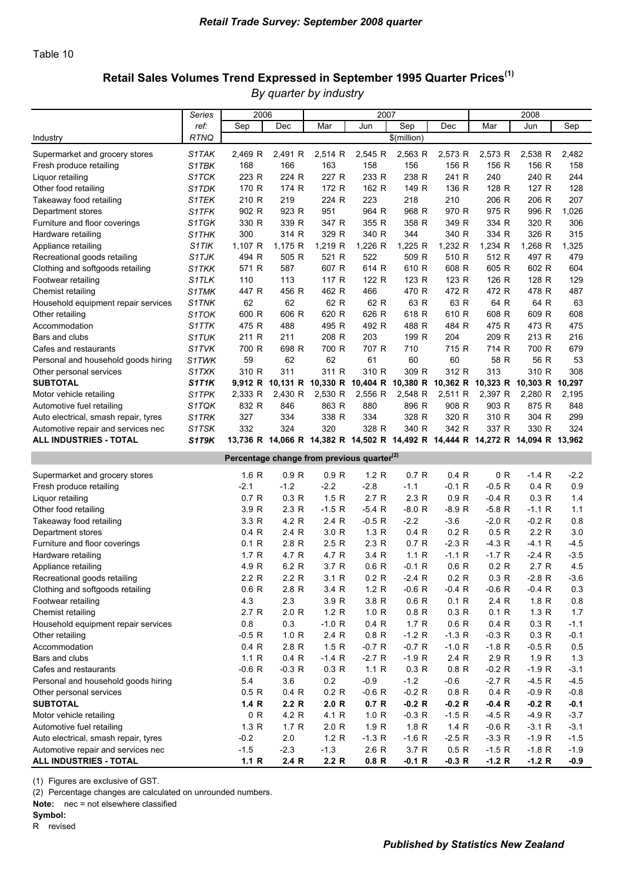# Retail Sales Volumes Trend Expressed in September 1995 Quarter Prices<sup>(1)</sup>

*By quarter by industry*

| ref:<br>Sep<br>Sep<br>Dec<br>Mar<br>Jun<br>Dec<br>Mar<br>Jun<br>Sep<br><b>RTNQ</b><br>\$(million)<br>Industry<br>2,491 R<br>2,514 R<br>2,545 R<br>2,563 R<br>2,573 R<br>2,573 R<br>2,538 R<br>2,482<br>Supermarket and grocery stores<br>S1TAK<br>2,469 R<br>S1TBK<br>168<br>166<br>163<br>158<br>156<br>156 R<br>156 R<br>156 R<br>158<br>Fresh produce retailing<br>S1TCK<br>223 R<br>224 R<br>227 R<br>233 R<br>238 R<br>240 R<br>241 R<br>240<br>244<br>Liquor retailing<br>170 R<br>174 R<br>172 R<br>162 R<br>149 R<br>136 R<br>128 R<br>128<br>S1TDK<br>127 R<br>Other food retailing<br>219<br>223<br>210<br>206 R<br>206 R<br>210 R<br>224 R<br>218<br>207<br>Takeaway food retailing<br>S1TEK<br>964 R<br>970 R<br>Department stores<br>S1TFK<br>902 R<br>923 R<br>951<br>968 R<br>975 R<br>996 R<br>1,026<br>339 R<br>355 R<br>320 R<br>306<br>Furniture and floor coverings<br>S1TGK<br>330 R<br>347 R<br>358 R<br>349 R<br>334 R<br>329 R<br>340 R<br>340 R<br>326 R<br>300<br>314 R<br>344<br>334 R<br>315<br>Hardware retailing<br>S1THK<br>1,226 R<br>1,225 R<br>1,232 R<br>1,107 R<br>1,175 R<br>1,219 R<br>1,234 R<br>1,268 R<br>1,325<br>Appliance retailing<br>S1TIK<br>522<br>510 R<br>Recreational goods retailing<br>S1TJK<br>494 R<br>505 R<br>521 R<br>509 R<br>512 R<br>497 R<br>479<br>587<br>614 R<br>610 R<br>608 R<br>602 R<br>Clothing and softgoods retailing<br><b>S1TKK</b><br>571 R<br>607 R<br>605 R<br>604<br>S1TLK<br>123 R<br>Footwear retailing<br>110<br>113<br>117 R<br>122 R<br>123 R<br>126 R<br>128 R<br>129<br>447 R<br>456 R<br>462 R<br>466<br>470 R<br>472 R<br>472 R<br>478 R<br>487<br>Chemist retailing<br>S1TMK<br>62<br>62<br>62 R<br>62 R<br>63 R<br>63 R<br>64 R<br>64 R<br>63<br>Household equipment repair services<br>S1TNK<br>606 R<br>626 R<br>618 R<br>610 R<br>609 R<br>600 R<br>620 R<br>608 R<br>608<br>Other retailing<br>S1TOK<br>475 R<br>488<br>495 R<br>492 R<br>488 R<br>484 R<br>475 R<br>473 R<br>475<br>Accommodation<br>S1TTK<br>Bars and clubs<br>S1TUK<br>211 R<br>211<br>208 R<br>203<br>199 R<br>204<br>209 R<br>213 R<br>216<br>S1TVK<br>700 R<br>698 R<br>700 R<br>707 R<br>710<br>715 R<br>700 R<br>679<br>714 R<br>Cafes and restaurants<br>62<br>58 R<br>56 R<br>S1TWK<br>59<br>62<br>61<br>60<br>60<br>53<br>Personal and household goods hiring<br>311<br>311 R<br>310 R<br>312 R<br>310 R<br>310 R<br>309 R<br>313<br>308<br>Other personal services<br>S1TXK<br><b>SUBTOTAL</b><br>9,912 R<br>10,131 R 10,330 R 10,404 R 10,380 R 10,362 R 10,323 R 10,303 R 10,297<br>S1T1K<br>2,430 R<br>2,556 R<br>2,511 R<br>2,333 R<br>2,530 R<br>2,548 R<br>2,397 R<br>2,280 R<br>2,195<br>Motor vehicle retailing<br>S1TPK<br>896 R<br>908 R<br>903 R<br>875 R<br>832 R<br>846<br>863 R<br>880<br>848<br>Automotive fuel retailing<br>S1TQK<br>327<br>334<br>338 R<br>334<br>328 R<br>320 R<br>310 R<br>304 R<br>299<br>Auto electrical, smash repair, tyres<br>S1TRK<br>S1TSK<br>332<br>324<br>328 R<br>340 R<br>342 R<br>330 R<br>320<br>337 R<br>324<br>Automotive repair and services nec<br>S1T9K<br><b>ALL INDUSTRIES - TOTAL</b><br>13,736 R 14,066 R 14,382 R 14,502 R 14,492 R 14,444 R 14,272 R 14,094 R 13,962<br>Percentage change from previous quarter <sup>(2)</sup><br>1.2 R<br>$-1.4 R$<br>1.6R<br>0.9 <sub>R</sub><br>0.9 <sub>R</sub><br>0.7R<br>0.4R<br>0 R<br>$-2.2$<br>Supermarket and grocery stores<br>$-1.2$<br>$-2.2$<br>$-2.8$<br>0.4 R<br>0.9<br>$-2.1$<br>$-1.1$<br>$-0.1$ R<br>$-0.5R$<br>Fresh produce retailing<br>0.7R<br>0.3 R<br>1.5R<br>2.7R<br>2.3R<br>0.9 R<br>0.3 R<br>$-0.4$ R<br>1.4<br>Liquor retailing<br>2.3R<br>3.9 R<br>$-1.5 R$<br>$-5.4R$<br>$-8.0 R$<br>$-8.9R$<br>$-5.8$ R<br>$-1.1R$<br>1.1<br>Other food retailing<br>$-0.5 R$<br>$-3.6$<br>3.3 R<br>4.2 R<br>2.4 R<br>$-2.2$<br>$-2.0$ R<br>$-0.2 R$<br>0.8<br>Takeaway food retailing<br>2.2 R<br>0.4R<br>2.4 R<br>3.0 R<br>1.3R<br>0.4R<br>0.2 R<br>0.5R<br>3.0<br>Department stores<br>$-2.3 R$<br>0.1R<br>2.8R<br>2.5R<br>2.3R<br>0.7R<br>$-4.3 R$<br>$-4.1R$<br>$-4.5$<br>Furniture and floor coverings<br>1.7 R<br>4.7 R<br>4.7 R<br>3.4 R<br>1.1R<br>$-1.1R$<br>$-1.7R$<br>$-2.4R$<br>$-3.5$<br>Hardware retailing<br>4.9 R<br>6.2 R<br>3.7 R<br>0.6R<br>$-0.1$ R<br>0.6R<br>0.2 R<br>2.7R<br>4.5<br>Appliance retailing<br>2.2 R<br>2.2 R<br>0.2 R<br>$-2.8 R$<br>$-3.6$<br>Recreational goods retailing<br>3.1 R<br>$-2.4 R$<br>0.2 R<br>0.3 R<br>1.2 R<br>Clothing and softgoods retailing<br>0.6R<br>2.8R<br>3.4 R<br>$-0.6 R$<br>$-0.4$ R<br>$-0.6 R$<br>$-0.4 R$<br>0.3<br>Footwear retailing<br>4.3<br>2.3<br>3.9 R<br>3.8 R<br>0.6R<br>0.1 R<br>2.4 R<br>1.8 <sub>R</sub><br>0.8<br>2.0 R<br>Chemist retailing<br>2.7R<br>1.2 R<br>1.0 <sub>R</sub><br>0.8 <sub>R</sub><br>0.3 R<br>0.1 R<br>1.3R<br>1.7<br>$0.8\,$<br>0.3<br>$-1.0 R$<br>0.6 R<br>Household equipment repair services<br>0.4 R<br>1.7R<br>0.4 R<br>0.3 R<br>$-1.1$<br>$-0.5 R$<br>0.3 R<br>1.0 R<br>2.4 R<br>0.8 <sub>R</sub><br>$-1.2 R$<br>$-1.3 R$<br>$-0.3 R$<br>$-0.1$<br>Other retailing<br>2.8 R<br>1.5R<br>$-0.7R$<br>$-1.0 R$<br>$-0.5 R$<br>Accommodation<br>0.4 R<br>$-0.7R$<br>$-1.8 R$<br>0.5<br>1.1R<br>1.9 R<br>Bars and clubs<br>0.4 R<br>$-1.4 R$<br>$-2.7R$<br>$-1.9$ R<br>2.4 R<br>2.9 R<br>1.3<br>$-0.3 R$<br>1.1R<br>$-1.9 R$<br>$-0.6 R$<br>0.3 R<br>0.3 R<br>0.8 <sub>R</sub><br>$-0.2 R$<br>$-3.1$<br>Cafes and restaurants<br>5.4<br>$-4.5 R$<br>Personal and household goods hiring<br>3.6<br>0.2<br>$-0.9$<br>$-1.2$<br>$-0.6$<br>$-2.7R$<br>$-4.5$<br>0.2 R<br>$-0.6 R$<br>$-0.2 R$<br>$-0.9 R$<br>0.5R<br>0.4 R<br>0.8 <sub>R</sub><br>0.4 R<br>$-0.8$<br>Other personal services<br>2.2 R<br>$-0.2 R$<br>$-0.2 R$<br><b>SUBTOTAL</b><br>1.4R<br>2.0 R<br>0.7 R<br>$-0.2 R$<br>$-0.4 R$<br>$-0.1$<br>$-4.9 R$<br>0 R<br>4.2 R<br>4.1 R<br>1.0 <sub>R</sub><br>$-0.3 R$<br>$-1.5 R$<br>$-4.5 R$<br>$-3.7$<br>Motor vehicle retailing<br>Automotive fuel retailing<br>1.3R<br>1.7R<br>2.0 R<br>1.9 R<br>1.8 <sub>R</sub><br>1.4R<br>$-0.6 R$<br>$-3.1 R$<br>$-3.1$<br>$-0.2$<br>2.0<br>1.2 R<br>$-1.3 R$<br>$-1.9 R$<br>Auto electrical, smash repair, tyres<br>$-1.6 R$<br>$-2.5R$<br>$-3.3 R$<br>$-1.5$ | Series | 2006 |  | 2007 |  | 2008 |  |
|----------------------------------------------------------------------------------------------------------------------------------------------------------------------------------------------------------------------------------------------------------------------------------------------------------------------------------------------------------------------------------------------------------------------------------------------------------------------------------------------------------------------------------------------------------------------------------------------------------------------------------------------------------------------------------------------------------------------------------------------------------------------------------------------------------------------------------------------------------------------------------------------------------------------------------------------------------------------------------------------------------------------------------------------------------------------------------------------------------------------------------------------------------------------------------------------------------------------------------------------------------------------------------------------------------------------------------------------------------------------------------------------------------------------------------------------------------------------------------------------------------------------------------------------------------------------------------------------------------------------------------------------------------------------------------------------------------------------------------------------------------------------------------------------------------------------------------------------------------------------------------------------------------------------------------------------------------------------------------------------------------------------------------------------------------------------------------------------------------------------------------------------------------------------------------------------------------------------------------------------------------------------------------------------------------------------------------------------------------------------------------------------------------------------------------------------------------------------------------------------------------------------------------------------------------------------------------------------------------------------------------------------------------------------------------------------------------------------------------------------------------------------------------------------------------------------------------------------------------------------------------------------------------------------------------------------------------------------------------------------------------------------------------------------------------------------------------------------------------------------------------------------------------------------------------------------------------------------------------------------------------------------------------------------------------------------------------------------------------------------------------------------------------------------------------------------------------------------------------------------------------------------------------------------------------------------------------------------------------------------------------------------------------------------------------------------------------------------------------------------------------------------------------------------------------------------------------------------------------------------------------------------------------------------------------------------------------------------------------------------------------------------------------------------------------------------------------------------------------------------------------------------------------------------------------------------------------------------------------------------------------------------------------------------------------------------------------------------------------------------------------------------------------------------------------------------------------------------------------------------------------------------------------------------------------------------------------------------------------------------------------------------------------------------------------------------------------------------------------------------------------------------------------------------------------------------------------------------------------------------------------------------------------------------------------------------------------------------------------------------------------------------------------------------------------------------------------------------------------------------------------------------------------------------------------------------------------------------------------------------------------------------------------------------------------------------------------------------------------------------------------------------------------------------------------------------------------------------------------------------------------------------------------------------------------------------------------------------------------------------------------------------------------------------------------------------------------------------------------------------------------------------------------------------------------------------------------------------------------------------------------------------------------------------------------------------------------------------------------------------------------------------------------------------------------------------------------------------------------------------------------------------------------------------------------------------------------|--------|------|--|------|--|------|--|
|                                                                                                                                                                                                                                                                                                                                                                                                                                                                                                                                                                                                                                                                                                                                                                                                                                                                                                                                                                                                                                                                                                                                                                                                                                                                                                                                                                                                                                                                                                                                                                                                                                                                                                                                                                                                                                                                                                                                                                                                                                                                                                                                                                                                                                                                                                                                                                                                                                                                                                                                                                                                                                                                                                                                                                                                                                                                                                                                                                                                                                                                                                                                                                                                                                                                                                                                                                                                                                                                                                                                                                                                                                                                                                                                                                                                                                                                                                                                                                                                                                                                                                                                                                                                                                                                                                                                                                                                                                                                                                                                                                                                                                                                                                                                                                                                                                                                                                                                                                                                                                                                                                                                                                                                                                                                                                                                                                                                                                                                                                                                                                                                                                                                                                                                                                                                                                                                                                                                                                                                                                                                                                                                                                                                          |        |      |  |      |  |      |  |
|                                                                                                                                                                                                                                                                                                                                                                                                                                                                                                                                                                                                                                                                                                                                                                                                                                                                                                                                                                                                                                                                                                                                                                                                                                                                                                                                                                                                                                                                                                                                                                                                                                                                                                                                                                                                                                                                                                                                                                                                                                                                                                                                                                                                                                                                                                                                                                                                                                                                                                                                                                                                                                                                                                                                                                                                                                                                                                                                                                                                                                                                                                                                                                                                                                                                                                                                                                                                                                                                                                                                                                                                                                                                                                                                                                                                                                                                                                                                                                                                                                                                                                                                                                                                                                                                                                                                                                                                                                                                                                                                                                                                                                                                                                                                                                                                                                                                                                                                                                                                                                                                                                                                                                                                                                                                                                                                                                                                                                                                                                                                                                                                                                                                                                                                                                                                                                                                                                                                                                                                                                                                                                                                                                                                          |        |      |  |      |  |      |  |
|                                                                                                                                                                                                                                                                                                                                                                                                                                                                                                                                                                                                                                                                                                                                                                                                                                                                                                                                                                                                                                                                                                                                                                                                                                                                                                                                                                                                                                                                                                                                                                                                                                                                                                                                                                                                                                                                                                                                                                                                                                                                                                                                                                                                                                                                                                                                                                                                                                                                                                                                                                                                                                                                                                                                                                                                                                                                                                                                                                                                                                                                                                                                                                                                                                                                                                                                                                                                                                                                                                                                                                                                                                                                                                                                                                                                                                                                                                                                                                                                                                                                                                                                                                                                                                                                                                                                                                                                                                                                                                                                                                                                                                                                                                                                                                                                                                                                                                                                                                                                                                                                                                                                                                                                                                                                                                                                                                                                                                                                                                                                                                                                                                                                                                                                                                                                                                                                                                                                                                                                                                                                                                                                                                                                          |        |      |  |      |  |      |  |
|                                                                                                                                                                                                                                                                                                                                                                                                                                                                                                                                                                                                                                                                                                                                                                                                                                                                                                                                                                                                                                                                                                                                                                                                                                                                                                                                                                                                                                                                                                                                                                                                                                                                                                                                                                                                                                                                                                                                                                                                                                                                                                                                                                                                                                                                                                                                                                                                                                                                                                                                                                                                                                                                                                                                                                                                                                                                                                                                                                                                                                                                                                                                                                                                                                                                                                                                                                                                                                                                                                                                                                                                                                                                                                                                                                                                                                                                                                                                                                                                                                                                                                                                                                                                                                                                                                                                                                                                                                                                                                                                                                                                                                                                                                                                                                                                                                                                                                                                                                                                                                                                                                                                                                                                                                                                                                                                                                                                                                                                                                                                                                                                                                                                                                                                                                                                                                                                                                                                                                                                                                                                                                                                                                                                          |        |      |  |      |  |      |  |
|                                                                                                                                                                                                                                                                                                                                                                                                                                                                                                                                                                                                                                                                                                                                                                                                                                                                                                                                                                                                                                                                                                                                                                                                                                                                                                                                                                                                                                                                                                                                                                                                                                                                                                                                                                                                                                                                                                                                                                                                                                                                                                                                                                                                                                                                                                                                                                                                                                                                                                                                                                                                                                                                                                                                                                                                                                                                                                                                                                                                                                                                                                                                                                                                                                                                                                                                                                                                                                                                                                                                                                                                                                                                                                                                                                                                                                                                                                                                                                                                                                                                                                                                                                                                                                                                                                                                                                                                                                                                                                                                                                                                                                                                                                                                                                                                                                                                                                                                                                                                                                                                                                                                                                                                                                                                                                                                                                                                                                                                                                                                                                                                                                                                                                                                                                                                                                                                                                                                                                                                                                                                                                                                                                                                          |        |      |  |      |  |      |  |
|                                                                                                                                                                                                                                                                                                                                                                                                                                                                                                                                                                                                                                                                                                                                                                                                                                                                                                                                                                                                                                                                                                                                                                                                                                                                                                                                                                                                                                                                                                                                                                                                                                                                                                                                                                                                                                                                                                                                                                                                                                                                                                                                                                                                                                                                                                                                                                                                                                                                                                                                                                                                                                                                                                                                                                                                                                                                                                                                                                                                                                                                                                                                                                                                                                                                                                                                                                                                                                                                                                                                                                                                                                                                                                                                                                                                                                                                                                                                                                                                                                                                                                                                                                                                                                                                                                                                                                                                                                                                                                                                                                                                                                                                                                                                                                                                                                                                                                                                                                                                                                                                                                                                                                                                                                                                                                                                                                                                                                                                                                                                                                                                                                                                                                                                                                                                                                                                                                                                                                                                                                                                                                                                                                                                          |        |      |  |      |  |      |  |
|                                                                                                                                                                                                                                                                                                                                                                                                                                                                                                                                                                                                                                                                                                                                                                                                                                                                                                                                                                                                                                                                                                                                                                                                                                                                                                                                                                                                                                                                                                                                                                                                                                                                                                                                                                                                                                                                                                                                                                                                                                                                                                                                                                                                                                                                                                                                                                                                                                                                                                                                                                                                                                                                                                                                                                                                                                                                                                                                                                                                                                                                                                                                                                                                                                                                                                                                                                                                                                                                                                                                                                                                                                                                                                                                                                                                                                                                                                                                                                                                                                                                                                                                                                                                                                                                                                                                                                                                                                                                                                                                                                                                                                                                                                                                                                                                                                                                                                                                                                                                                                                                                                                                                                                                                                                                                                                                                                                                                                                                                                                                                                                                                                                                                                                                                                                                                                                                                                                                                                                                                                                                                                                                                                                                          |        |      |  |      |  |      |  |
|                                                                                                                                                                                                                                                                                                                                                                                                                                                                                                                                                                                                                                                                                                                                                                                                                                                                                                                                                                                                                                                                                                                                                                                                                                                                                                                                                                                                                                                                                                                                                                                                                                                                                                                                                                                                                                                                                                                                                                                                                                                                                                                                                                                                                                                                                                                                                                                                                                                                                                                                                                                                                                                                                                                                                                                                                                                                                                                                                                                                                                                                                                                                                                                                                                                                                                                                                                                                                                                                                                                                                                                                                                                                                                                                                                                                                                                                                                                                                                                                                                                                                                                                                                                                                                                                                                                                                                                                                                                                                                                                                                                                                                                                                                                                                                                                                                                                                                                                                                                                                                                                                                                                                                                                                                                                                                                                                                                                                                                                                                                                                                                                                                                                                                                                                                                                                                                                                                                                                                                                                                                                                                                                                                                                          |        |      |  |      |  |      |  |
|                                                                                                                                                                                                                                                                                                                                                                                                                                                                                                                                                                                                                                                                                                                                                                                                                                                                                                                                                                                                                                                                                                                                                                                                                                                                                                                                                                                                                                                                                                                                                                                                                                                                                                                                                                                                                                                                                                                                                                                                                                                                                                                                                                                                                                                                                                                                                                                                                                                                                                                                                                                                                                                                                                                                                                                                                                                                                                                                                                                                                                                                                                                                                                                                                                                                                                                                                                                                                                                                                                                                                                                                                                                                                                                                                                                                                                                                                                                                                                                                                                                                                                                                                                                                                                                                                                                                                                                                                                                                                                                                                                                                                                                                                                                                                                                                                                                                                                                                                                                                                                                                                                                                                                                                                                                                                                                                                                                                                                                                                                                                                                                                                                                                                                                                                                                                                                                                                                                                                                                                                                                                                                                                                                                                          |        |      |  |      |  |      |  |
|                                                                                                                                                                                                                                                                                                                                                                                                                                                                                                                                                                                                                                                                                                                                                                                                                                                                                                                                                                                                                                                                                                                                                                                                                                                                                                                                                                                                                                                                                                                                                                                                                                                                                                                                                                                                                                                                                                                                                                                                                                                                                                                                                                                                                                                                                                                                                                                                                                                                                                                                                                                                                                                                                                                                                                                                                                                                                                                                                                                                                                                                                                                                                                                                                                                                                                                                                                                                                                                                                                                                                                                                                                                                                                                                                                                                                                                                                                                                                                                                                                                                                                                                                                                                                                                                                                                                                                                                                                                                                                                                                                                                                                                                                                                                                                                                                                                                                                                                                                                                                                                                                                                                                                                                                                                                                                                                                                                                                                                                                                                                                                                                                                                                                                                                                                                                                                                                                                                                                                                                                                                                                                                                                                                                          |        |      |  |      |  |      |  |
|                                                                                                                                                                                                                                                                                                                                                                                                                                                                                                                                                                                                                                                                                                                                                                                                                                                                                                                                                                                                                                                                                                                                                                                                                                                                                                                                                                                                                                                                                                                                                                                                                                                                                                                                                                                                                                                                                                                                                                                                                                                                                                                                                                                                                                                                                                                                                                                                                                                                                                                                                                                                                                                                                                                                                                                                                                                                                                                                                                                                                                                                                                                                                                                                                                                                                                                                                                                                                                                                                                                                                                                                                                                                                                                                                                                                                                                                                                                                                                                                                                                                                                                                                                                                                                                                                                                                                                                                                                                                                                                                                                                                                                                                                                                                                                                                                                                                                                                                                                                                                                                                                                                                                                                                                                                                                                                                                                                                                                                                                                                                                                                                                                                                                                                                                                                                                                                                                                                                                                                                                                                                                                                                                                                                          |        |      |  |      |  |      |  |
|                                                                                                                                                                                                                                                                                                                                                                                                                                                                                                                                                                                                                                                                                                                                                                                                                                                                                                                                                                                                                                                                                                                                                                                                                                                                                                                                                                                                                                                                                                                                                                                                                                                                                                                                                                                                                                                                                                                                                                                                                                                                                                                                                                                                                                                                                                                                                                                                                                                                                                                                                                                                                                                                                                                                                                                                                                                                                                                                                                                                                                                                                                                                                                                                                                                                                                                                                                                                                                                                                                                                                                                                                                                                                                                                                                                                                                                                                                                                                                                                                                                                                                                                                                                                                                                                                                                                                                                                                                                                                                                                                                                                                                                                                                                                                                                                                                                                                                                                                                                                                                                                                                                                                                                                                                                                                                                                                                                                                                                                                                                                                                                                                                                                                                                                                                                                                                                                                                                                                                                                                                                                                                                                                                                                          |        |      |  |      |  |      |  |
|                                                                                                                                                                                                                                                                                                                                                                                                                                                                                                                                                                                                                                                                                                                                                                                                                                                                                                                                                                                                                                                                                                                                                                                                                                                                                                                                                                                                                                                                                                                                                                                                                                                                                                                                                                                                                                                                                                                                                                                                                                                                                                                                                                                                                                                                                                                                                                                                                                                                                                                                                                                                                                                                                                                                                                                                                                                                                                                                                                                                                                                                                                                                                                                                                                                                                                                                                                                                                                                                                                                                                                                                                                                                                                                                                                                                                                                                                                                                                                                                                                                                                                                                                                                                                                                                                                                                                                                                                                                                                                                                                                                                                                                                                                                                                                                                                                                                                                                                                                                                                                                                                                                                                                                                                                                                                                                                                                                                                                                                                                                                                                                                                                                                                                                                                                                                                                                                                                                                                                                                                                                                                                                                                                                                          |        |      |  |      |  |      |  |
|                                                                                                                                                                                                                                                                                                                                                                                                                                                                                                                                                                                                                                                                                                                                                                                                                                                                                                                                                                                                                                                                                                                                                                                                                                                                                                                                                                                                                                                                                                                                                                                                                                                                                                                                                                                                                                                                                                                                                                                                                                                                                                                                                                                                                                                                                                                                                                                                                                                                                                                                                                                                                                                                                                                                                                                                                                                                                                                                                                                                                                                                                                                                                                                                                                                                                                                                                                                                                                                                                                                                                                                                                                                                                                                                                                                                                                                                                                                                                                                                                                                                                                                                                                                                                                                                                                                                                                                                                                                                                                                                                                                                                                                                                                                                                                                                                                                                                                                                                                                                                                                                                                                                                                                                                                                                                                                                                                                                                                                                                                                                                                                                                                                                                                                                                                                                                                                                                                                                                                                                                                                                                                                                                                                                          |        |      |  |      |  |      |  |
|                                                                                                                                                                                                                                                                                                                                                                                                                                                                                                                                                                                                                                                                                                                                                                                                                                                                                                                                                                                                                                                                                                                                                                                                                                                                                                                                                                                                                                                                                                                                                                                                                                                                                                                                                                                                                                                                                                                                                                                                                                                                                                                                                                                                                                                                                                                                                                                                                                                                                                                                                                                                                                                                                                                                                                                                                                                                                                                                                                                                                                                                                                                                                                                                                                                                                                                                                                                                                                                                                                                                                                                                                                                                                                                                                                                                                                                                                                                                                                                                                                                                                                                                                                                                                                                                                                                                                                                                                                                                                                                                                                                                                                                                                                                                                                                                                                                                                                                                                                                                                                                                                                                                                                                                                                                                                                                                                                                                                                                                                                                                                                                                                                                                                                                                                                                                                                                                                                                                                                                                                                                                                                                                                                                                          |        |      |  |      |  |      |  |
|                                                                                                                                                                                                                                                                                                                                                                                                                                                                                                                                                                                                                                                                                                                                                                                                                                                                                                                                                                                                                                                                                                                                                                                                                                                                                                                                                                                                                                                                                                                                                                                                                                                                                                                                                                                                                                                                                                                                                                                                                                                                                                                                                                                                                                                                                                                                                                                                                                                                                                                                                                                                                                                                                                                                                                                                                                                                                                                                                                                                                                                                                                                                                                                                                                                                                                                                                                                                                                                                                                                                                                                                                                                                                                                                                                                                                                                                                                                                                                                                                                                                                                                                                                                                                                                                                                                                                                                                                                                                                                                                                                                                                                                                                                                                                                                                                                                                                                                                                                                                                                                                                                                                                                                                                                                                                                                                                                                                                                                                                                                                                                                                                                                                                                                                                                                                                                                                                                                                                                                                                                                                                                                                                                                                          |        |      |  |      |  |      |  |
|                                                                                                                                                                                                                                                                                                                                                                                                                                                                                                                                                                                                                                                                                                                                                                                                                                                                                                                                                                                                                                                                                                                                                                                                                                                                                                                                                                                                                                                                                                                                                                                                                                                                                                                                                                                                                                                                                                                                                                                                                                                                                                                                                                                                                                                                                                                                                                                                                                                                                                                                                                                                                                                                                                                                                                                                                                                                                                                                                                                                                                                                                                                                                                                                                                                                                                                                                                                                                                                                                                                                                                                                                                                                                                                                                                                                                                                                                                                                                                                                                                                                                                                                                                                                                                                                                                                                                                                                                                                                                                                                                                                                                                                                                                                                                                                                                                                                                                                                                                                                                                                                                                                                                                                                                                                                                                                                                                                                                                                                                                                                                                                                                                                                                                                                                                                                                                                                                                                                                                                                                                                                                                                                                                                                          |        |      |  |      |  |      |  |
|                                                                                                                                                                                                                                                                                                                                                                                                                                                                                                                                                                                                                                                                                                                                                                                                                                                                                                                                                                                                                                                                                                                                                                                                                                                                                                                                                                                                                                                                                                                                                                                                                                                                                                                                                                                                                                                                                                                                                                                                                                                                                                                                                                                                                                                                                                                                                                                                                                                                                                                                                                                                                                                                                                                                                                                                                                                                                                                                                                                                                                                                                                                                                                                                                                                                                                                                                                                                                                                                                                                                                                                                                                                                                                                                                                                                                                                                                                                                                                                                                                                                                                                                                                                                                                                                                                                                                                                                                                                                                                                                                                                                                                                                                                                                                                                                                                                                                                                                                                                                                                                                                                                                                                                                                                                                                                                                                                                                                                                                                                                                                                                                                                                                                                                                                                                                                                                                                                                                                                                                                                                                                                                                                                                                          |        |      |  |      |  |      |  |
|                                                                                                                                                                                                                                                                                                                                                                                                                                                                                                                                                                                                                                                                                                                                                                                                                                                                                                                                                                                                                                                                                                                                                                                                                                                                                                                                                                                                                                                                                                                                                                                                                                                                                                                                                                                                                                                                                                                                                                                                                                                                                                                                                                                                                                                                                                                                                                                                                                                                                                                                                                                                                                                                                                                                                                                                                                                                                                                                                                                                                                                                                                                                                                                                                                                                                                                                                                                                                                                                                                                                                                                                                                                                                                                                                                                                                                                                                                                                                                                                                                                                                                                                                                                                                                                                                                                                                                                                                                                                                                                                                                                                                                                                                                                                                                                                                                                                                                                                                                                                                                                                                                                                                                                                                                                                                                                                                                                                                                                                                                                                                                                                                                                                                                                                                                                                                                                                                                                                                                                                                                                                                                                                                                                                          |        |      |  |      |  |      |  |
|                                                                                                                                                                                                                                                                                                                                                                                                                                                                                                                                                                                                                                                                                                                                                                                                                                                                                                                                                                                                                                                                                                                                                                                                                                                                                                                                                                                                                                                                                                                                                                                                                                                                                                                                                                                                                                                                                                                                                                                                                                                                                                                                                                                                                                                                                                                                                                                                                                                                                                                                                                                                                                                                                                                                                                                                                                                                                                                                                                                                                                                                                                                                                                                                                                                                                                                                                                                                                                                                                                                                                                                                                                                                                                                                                                                                                                                                                                                                                                                                                                                                                                                                                                                                                                                                                                                                                                                                                                                                                                                                                                                                                                                                                                                                                                                                                                                                                                                                                                                                                                                                                                                                                                                                                                                                                                                                                                                                                                                                                                                                                                                                                                                                                                                                                                                                                                                                                                                                                                                                                                                                                                                                                                                                          |        |      |  |      |  |      |  |
|                                                                                                                                                                                                                                                                                                                                                                                                                                                                                                                                                                                                                                                                                                                                                                                                                                                                                                                                                                                                                                                                                                                                                                                                                                                                                                                                                                                                                                                                                                                                                                                                                                                                                                                                                                                                                                                                                                                                                                                                                                                                                                                                                                                                                                                                                                                                                                                                                                                                                                                                                                                                                                                                                                                                                                                                                                                                                                                                                                                                                                                                                                                                                                                                                                                                                                                                                                                                                                                                                                                                                                                                                                                                                                                                                                                                                                                                                                                                                                                                                                                                                                                                                                                                                                                                                                                                                                                                                                                                                                                                                                                                                                                                                                                                                                                                                                                                                                                                                                                                                                                                                                                                                                                                                                                                                                                                                                                                                                                                                                                                                                                                                                                                                                                                                                                                                                                                                                                                                                                                                                                                                                                                                                                                          |        |      |  |      |  |      |  |
|                                                                                                                                                                                                                                                                                                                                                                                                                                                                                                                                                                                                                                                                                                                                                                                                                                                                                                                                                                                                                                                                                                                                                                                                                                                                                                                                                                                                                                                                                                                                                                                                                                                                                                                                                                                                                                                                                                                                                                                                                                                                                                                                                                                                                                                                                                                                                                                                                                                                                                                                                                                                                                                                                                                                                                                                                                                                                                                                                                                                                                                                                                                                                                                                                                                                                                                                                                                                                                                                                                                                                                                                                                                                                                                                                                                                                                                                                                                                                                                                                                                                                                                                                                                                                                                                                                                                                                                                                                                                                                                                                                                                                                                                                                                                                                                                                                                                                                                                                                                                                                                                                                                                                                                                                                                                                                                                                                                                                                                                                                                                                                                                                                                                                                                                                                                                                                                                                                                                                                                                                                                                                                                                                                                                          |        |      |  |      |  |      |  |
|                                                                                                                                                                                                                                                                                                                                                                                                                                                                                                                                                                                                                                                                                                                                                                                                                                                                                                                                                                                                                                                                                                                                                                                                                                                                                                                                                                                                                                                                                                                                                                                                                                                                                                                                                                                                                                                                                                                                                                                                                                                                                                                                                                                                                                                                                                                                                                                                                                                                                                                                                                                                                                                                                                                                                                                                                                                                                                                                                                                                                                                                                                                                                                                                                                                                                                                                                                                                                                                                                                                                                                                                                                                                                                                                                                                                                                                                                                                                                                                                                                                                                                                                                                                                                                                                                                                                                                                                                                                                                                                                                                                                                                                                                                                                                                                                                                                                                                                                                                                                                                                                                                                                                                                                                                                                                                                                                                                                                                                                                                                                                                                                                                                                                                                                                                                                                                                                                                                                                                                                                                                                                                                                                                                                          |        |      |  |      |  |      |  |
|                                                                                                                                                                                                                                                                                                                                                                                                                                                                                                                                                                                                                                                                                                                                                                                                                                                                                                                                                                                                                                                                                                                                                                                                                                                                                                                                                                                                                                                                                                                                                                                                                                                                                                                                                                                                                                                                                                                                                                                                                                                                                                                                                                                                                                                                                                                                                                                                                                                                                                                                                                                                                                                                                                                                                                                                                                                                                                                                                                                                                                                                                                                                                                                                                                                                                                                                                                                                                                                                                                                                                                                                                                                                                                                                                                                                                                                                                                                                                                                                                                                                                                                                                                                                                                                                                                                                                                                                                                                                                                                                                                                                                                                                                                                                                                                                                                                                                                                                                                                                                                                                                                                                                                                                                                                                                                                                                                                                                                                                                                                                                                                                                                                                                                                                                                                                                                                                                                                                                                                                                                                                                                                                                                                                          |        |      |  |      |  |      |  |
|                                                                                                                                                                                                                                                                                                                                                                                                                                                                                                                                                                                                                                                                                                                                                                                                                                                                                                                                                                                                                                                                                                                                                                                                                                                                                                                                                                                                                                                                                                                                                                                                                                                                                                                                                                                                                                                                                                                                                                                                                                                                                                                                                                                                                                                                                                                                                                                                                                                                                                                                                                                                                                                                                                                                                                                                                                                                                                                                                                                                                                                                                                                                                                                                                                                                                                                                                                                                                                                                                                                                                                                                                                                                                                                                                                                                                                                                                                                                                                                                                                                                                                                                                                                                                                                                                                                                                                                                                                                                                                                                                                                                                                                                                                                                                                                                                                                                                                                                                                                                                                                                                                                                                                                                                                                                                                                                                                                                                                                                                                                                                                                                                                                                                                                                                                                                                                                                                                                                                                                                                                                                                                                                                                                                          |        |      |  |      |  |      |  |
|                                                                                                                                                                                                                                                                                                                                                                                                                                                                                                                                                                                                                                                                                                                                                                                                                                                                                                                                                                                                                                                                                                                                                                                                                                                                                                                                                                                                                                                                                                                                                                                                                                                                                                                                                                                                                                                                                                                                                                                                                                                                                                                                                                                                                                                                                                                                                                                                                                                                                                                                                                                                                                                                                                                                                                                                                                                                                                                                                                                                                                                                                                                                                                                                                                                                                                                                                                                                                                                                                                                                                                                                                                                                                                                                                                                                                                                                                                                                                                                                                                                                                                                                                                                                                                                                                                                                                                                                                                                                                                                                                                                                                                                                                                                                                                                                                                                                                                                                                                                                                                                                                                                                                                                                                                                                                                                                                                                                                                                                                                                                                                                                                                                                                                                                                                                                                                                                                                                                                                                                                                                                                                                                                                                                          |        |      |  |      |  |      |  |
|                                                                                                                                                                                                                                                                                                                                                                                                                                                                                                                                                                                                                                                                                                                                                                                                                                                                                                                                                                                                                                                                                                                                                                                                                                                                                                                                                                                                                                                                                                                                                                                                                                                                                                                                                                                                                                                                                                                                                                                                                                                                                                                                                                                                                                                                                                                                                                                                                                                                                                                                                                                                                                                                                                                                                                                                                                                                                                                                                                                                                                                                                                                                                                                                                                                                                                                                                                                                                                                                                                                                                                                                                                                                                                                                                                                                                                                                                                                                                                                                                                                                                                                                                                                                                                                                                                                                                                                                                                                                                                                                                                                                                                                                                                                                                                                                                                                                                                                                                                                                                                                                                                                                                                                                                                                                                                                                                                                                                                                                                                                                                                                                                                                                                                                                                                                                                                                                                                                                                                                                                                                                                                                                                                                                          |        |      |  |      |  |      |  |
|                                                                                                                                                                                                                                                                                                                                                                                                                                                                                                                                                                                                                                                                                                                                                                                                                                                                                                                                                                                                                                                                                                                                                                                                                                                                                                                                                                                                                                                                                                                                                                                                                                                                                                                                                                                                                                                                                                                                                                                                                                                                                                                                                                                                                                                                                                                                                                                                                                                                                                                                                                                                                                                                                                                                                                                                                                                                                                                                                                                                                                                                                                                                                                                                                                                                                                                                                                                                                                                                                                                                                                                                                                                                                                                                                                                                                                                                                                                                                                                                                                                                                                                                                                                                                                                                                                                                                                                                                                                                                                                                                                                                                                                                                                                                                                                                                                                                                                                                                                                                                                                                                                                                                                                                                                                                                                                                                                                                                                                                                                                                                                                                                                                                                                                                                                                                                                                                                                                                                                                                                                                                                                                                                                                                          |        |      |  |      |  |      |  |
|                                                                                                                                                                                                                                                                                                                                                                                                                                                                                                                                                                                                                                                                                                                                                                                                                                                                                                                                                                                                                                                                                                                                                                                                                                                                                                                                                                                                                                                                                                                                                                                                                                                                                                                                                                                                                                                                                                                                                                                                                                                                                                                                                                                                                                                                                                                                                                                                                                                                                                                                                                                                                                                                                                                                                                                                                                                                                                                                                                                                                                                                                                                                                                                                                                                                                                                                                                                                                                                                                                                                                                                                                                                                                                                                                                                                                                                                                                                                                                                                                                                                                                                                                                                                                                                                                                                                                                                                                                                                                                                                                                                                                                                                                                                                                                                                                                                                                                                                                                                                                                                                                                                                                                                                                                                                                                                                                                                                                                                                                                                                                                                                                                                                                                                                                                                                                                                                                                                                                                                                                                                                                                                                                                                                          |        |      |  |      |  |      |  |
|                                                                                                                                                                                                                                                                                                                                                                                                                                                                                                                                                                                                                                                                                                                                                                                                                                                                                                                                                                                                                                                                                                                                                                                                                                                                                                                                                                                                                                                                                                                                                                                                                                                                                                                                                                                                                                                                                                                                                                                                                                                                                                                                                                                                                                                                                                                                                                                                                                                                                                                                                                                                                                                                                                                                                                                                                                                                                                                                                                                                                                                                                                                                                                                                                                                                                                                                                                                                                                                                                                                                                                                                                                                                                                                                                                                                                                                                                                                                                                                                                                                                                                                                                                                                                                                                                                                                                                                                                                                                                                                                                                                                                                                                                                                                                                                                                                                                                                                                                                                                                                                                                                                                                                                                                                                                                                                                                                                                                                                                                                                                                                                                                                                                                                                                                                                                                                                                                                                                                                                                                                                                                                                                                                                                          |        |      |  |      |  |      |  |
|                                                                                                                                                                                                                                                                                                                                                                                                                                                                                                                                                                                                                                                                                                                                                                                                                                                                                                                                                                                                                                                                                                                                                                                                                                                                                                                                                                                                                                                                                                                                                                                                                                                                                                                                                                                                                                                                                                                                                                                                                                                                                                                                                                                                                                                                                                                                                                                                                                                                                                                                                                                                                                                                                                                                                                                                                                                                                                                                                                                                                                                                                                                                                                                                                                                                                                                                                                                                                                                                                                                                                                                                                                                                                                                                                                                                                                                                                                                                                                                                                                                                                                                                                                                                                                                                                                                                                                                                                                                                                                                                                                                                                                                                                                                                                                                                                                                                                                                                                                                                                                                                                                                                                                                                                                                                                                                                                                                                                                                                                                                                                                                                                                                                                                                                                                                                                                                                                                                                                                                                                                                                                                                                                                                                          |        |      |  |      |  |      |  |
|                                                                                                                                                                                                                                                                                                                                                                                                                                                                                                                                                                                                                                                                                                                                                                                                                                                                                                                                                                                                                                                                                                                                                                                                                                                                                                                                                                                                                                                                                                                                                                                                                                                                                                                                                                                                                                                                                                                                                                                                                                                                                                                                                                                                                                                                                                                                                                                                                                                                                                                                                                                                                                                                                                                                                                                                                                                                                                                                                                                                                                                                                                                                                                                                                                                                                                                                                                                                                                                                                                                                                                                                                                                                                                                                                                                                                                                                                                                                                                                                                                                                                                                                                                                                                                                                                                                                                                                                                                                                                                                                                                                                                                                                                                                                                                                                                                                                                                                                                                                                                                                                                                                                                                                                                                                                                                                                                                                                                                                                                                                                                                                                                                                                                                                                                                                                                                                                                                                                                                                                                                                                                                                                                                                                          |        |      |  |      |  |      |  |
|                                                                                                                                                                                                                                                                                                                                                                                                                                                                                                                                                                                                                                                                                                                                                                                                                                                                                                                                                                                                                                                                                                                                                                                                                                                                                                                                                                                                                                                                                                                                                                                                                                                                                                                                                                                                                                                                                                                                                                                                                                                                                                                                                                                                                                                                                                                                                                                                                                                                                                                                                                                                                                                                                                                                                                                                                                                                                                                                                                                                                                                                                                                                                                                                                                                                                                                                                                                                                                                                                                                                                                                                                                                                                                                                                                                                                                                                                                                                                                                                                                                                                                                                                                                                                                                                                                                                                                                                                                                                                                                                                                                                                                                                                                                                                                                                                                                                                                                                                                                                                                                                                                                                                                                                                                                                                                                                                                                                                                                                                                                                                                                                                                                                                                                                                                                                                                                                                                                                                                                                                                                                                                                                                                                                          |        |      |  |      |  |      |  |
|                                                                                                                                                                                                                                                                                                                                                                                                                                                                                                                                                                                                                                                                                                                                                                                                                                                                                                                                                                                                                                                                                                                                                                                                                                                                                                                                                                                                                                                                                                                                                                                                                                                                                                                                                                                                                                                                                                                                                                                                                                                                                                                                                                                                                                                                                                                                                                                                                                                                                                                                                                                                                                                                                                                                                                                                                                                                                                                                                                                                                                                                                                                                                                                                                                                                                                                                                                                                                                                                                                                                                                                                                                                                                                                                                                                                                                                                                                                                                                                                                                                                                                                                                                                                                                                                                                                                                                                                                                                                                                                                                                                                                                                                                                                                                                                                                                                                                                                                                                                                                                                                                                                                                                                                                                                                                                                                                                                                                                                                                                                                                                                                                                                                                                                                                                                                                                                                                                                                                                                                                                                                                                                                                                                                          |        |      |  |      |  |      |  |
|                                                                                                                                                                                                                                                                                                                                                                                                                                                                                                                                                                                                                                                                                                                                                                                                                                                                                                                                                                                                                                                                                                                                                                                                                                                                                                                                                                                                                                                                                                                                                                                                                                                                                                                                                                                                                                                                                                                                                                                                                                                                                                                                                                                                                                                                                                                                                                                                                                                                                                                                                                                                                                                                                                                                                                                                                                                                                                                                                                                                                                                                                                                                                                                                                                                                                                                                                                                                                                                                                                                                                                                                                                                                                                                                                                                                                                                                                                                                                                                                                                                                                                                                                                                                                                                                                                                                                                                                                                                                                                                                                                                                                                                                                                                                                                                                                                                                                                                                                                                                                                                                                                                                                                                                                                                                                                                                                                                                                                                                                                                                                                                                                                                                                                                                                                                                                                                                                                                                                                                                                                                                                                                                                                                                          |        |      |  |      |  |      |  |
|                                                                                                                                                                                                                                                                                                                                                                                                                                                                                                                                                                                                                                                                                                                                                                                                                                                                                                                                                                                                                                                                                                                                                                                                                                                                                                                                                                                                                                                                                                                                                                                                                                                                                                                                                                                                                                                                                                                                                                                                                                                                                                                                                                                                                                                                                                                                                                                                                                                                                                                                                                                                                                                                                                                                                                                                                                                                                                                                                                                                                                                                                                                                                                                                                                                                                                                                                                                                                                                                                                                                                                                                                                                                                                                                                                                                                                                                                                                                                                                                                                                                                                                                                                                                                                                                                                                                                                                                                                                                                                                                                                                                                                                                                                                                                                                                                                                                                                                                                                                                                                                                                                                                                                                                                                                                                                                                                                                                                                                                                                                                                                                                                                                                                                                                                                                                                                                                                                                                                                                                                                                                                                                                                                                                          |        |      |  |      |  |      |  |
|                                                                                                                                                                                                                                                                                                                                                                                                                                                                                                                                                                                                                                                                                                                                                                                                                                                                                                                                                                                                                                                                                                                                                                                                                                                                                                                                                                                                                                                                                                                                                                                                                                                                                                                                                                                                                                                                                                                                                                                                                                                                                                                                                                                                                                                                                                                                                                                                                                                                                                                                                                                                                                                                                                                                                                                                                                                                                                                                                                                                                                                                                                                                                                                                                                                                                                                                                                                                                                                                                                                                                                                                                                                                                                                                                                                                                                                                                                                                                                                                                                                                                                                                                                                                                                                                                                                                                                                                                                                                                                                                                                                                                                                                                                                                                                                                                                                                                                                                                                                                                                                                                                                                                                                                                                                                                                                                                                                                                                                                                                                                                                                                                                                                                                                                                                                                                                                                                                                                                                                                                                                                                                                                                                                                          |        |      |  |      |  |      |  |
|                                                                                                                                                                                                                                                                                                                                                                                                                                                                                                                                                                                                                                                                                                                                                                                                                                                                                                                                                                                                                                                                                                                                                                                                                                                                                                                                                                                                                                                                                                                                                                                                                                                                                                                                                                                                                                                                                                                                                                                                                                                                                                                                                                                                                                                                                                                                                                                                                                                                                                                                                                                                                                                                                                                                                                                                                                                                                                                                                                                                                                                                                                                                                                                                                                                                                                                                                                                                                                                                                                                                                                                                                                                                                                                                                                                                                                                                                                                                                                                                                                                                                                                                                                                                                                                                                                                                                                                                                                                                                                                                                                                                                                                                                                                                                                                                                                                                                                                                                                                                                                                                                                                                                                                                                                                                                                                                                                                                                                                                                                                                                                                                                                                                                                                                                                                                                                                                                                                                                                                                                                                                                                                                                                                                          |        |      |  |      |  |      |  |
|                                                                                                                                                                                                                                                                                                                                                                                                                                                                                                                                                                                                                                                                                                                                                                                                                                                                                                                                                                                                                                                                                                                                                                                                                                                                                                                                                                                                                                                                                                                                                                                                                                                                                                                                                                                                                                                                                                                                                                                                                                                                                                                                                                                                                                                                                                                                                                                                                                                                                                                                                                                                                                                                                                                                                                                                                                                                                                                                                                                                                                                                                                                                                                                                                                                                                                                                                                                                                                                                                                                                                                                                                                                                                                                                                                                                                                                                                                                                                                                                                                                                                                                                                                                                                                                                                                                                                                                                                                                                                                                                                                                                                                                                                                                                                                                                                                                                                                                                                                                                                                                                                                                                                                                                                                                                                                                                                                                                                                                                                                                                                                                                                                                                                                                                                                                                                                                                                                                                                                                                                                                                                                                                                                                                          |        |      |  |      |  |      |  |
|                                                                                                                                                                                                                                                                                                                                                                                                                                                                                                                                                                                                                                                                                                                                                                                                                                                                                                                                                                                                                                                                                                                                                                                                                                                                                                                                                                                                                                                                                                                                                                                                                                                                                                                                                                                                                                                                                                                                                                                                                                                                                                                                                                                                                                                                                                                                                                                                                                                                                                                                                                                                                                                                                                                                                                                                                                                                                                                                                                                                                                                                                                                                                                                                                                                                                                                                                                                                                                                                                                                                                                                                                                                                                                                                                                                                                                                                                                                                                                                                                                                                                                                                                                                                                                                                                                                                                                                                                                                                                                                                                                                                                                                                                                                                                                                                                                                                                                                                                                                                                                                                                                                                                                                                                                                                                                                                                                                                                                                                                                                                                                                                                                                                                                                                                                                                                                                                                                                                                                                                                                                                                                                                                                                                          |        |      |  |      |  |      |  |
|                                                                                                                                                                                                                                                                                                                                                                                                                                                                                                                                                                                                                                                                                                                                                                                                                                                                                                                                                                                                                                                                                                                                                                                                                                                                                                                                                                                                                                                                                                                                                                                                                                                                                                                                                                                                                                                                                                                                                                                                                                                                                                                                                                                                                                                                                                                                                                                                                                                                                                                                                                                                                                                                                                                                                                                                                                                                                                                                                                                                                                                                                                                                                                                                                                                                                                                                                                                                                                                                                                                                                                                                                                                                                                                                                                                                                                                                                                                                                                                                                                                                                                                                                                                                                                                                                                                                                                                                                                                                                                                                                                                                                                                                                                                                                                                                                                                                                                                                                                                                                                                                                                                                                                                                                                                                                                                                                                                                                                                                                                                                                                                                                                                                                                                                                                                                                                                                                                                                                                                                                                                                                                                                                                                                          |        |      |  |      |  |      |  |
|                                                                                                                                                                                                                                                                                                                                                                                                                                                                                                                                                                                                                                                                                                                                                                                                                                                                                                                                                                                                                                                                                                                                                                                                                                                                                                                                                                                                                                                                                                                                                                                                                                                                                                                                                                                                                                                                                                                                                                                                                                                                                                                                                                                                                                                                                                                                                                                                                                                                                                                                                                                                                                                                                                                                                                                                                                                                                                                                                                                                                                                                                                                                                                                                                                                                                                                                                                                                                                                                                                                                                                                                                                                                                                                                                                                                                                                                                                                                                                                                                                                                                                                                                                                                                                                                                                                                                                                                                                                                                                                                                                                                                                                                                                                                                                                                                                                                                                                                                                                                                                                                                                                                                                                                                                                                                                                                                                                                                                                                                                                                                                                                                                                                                                                                                                                                                                                                                                                                                                                                                                                                                                                                                                                                          |        |      |  |      |  |      |  |
|                                                                                                                                                                                                                                                                                                                                                                                                                                                                                                                                                                                                                                                                                                                                                                                                                                                                                                                                                                                                                                                                                                                                                                                                                                                                                                                                                                                                                                                                                                                                                                                                                                                                                                                                                                                                                                                                                                                                                                                                                                                                                                                                                                                                                                                                                                                                                                                                                                                                                                                                                                                                                                                                                                                                                                                                                                                                                                                                                                                                                                                                                                                                                                                                                                                                                                                                                                                                                                                                                                                                                                                                                                                                                                                                                                                                                                                                                                                                                                                                                                                                                                                                                                                                                                                                                                                                                                                                                                                                                                                                                                                                                                                                                                                                                                                                                                                                                                                                                                                                                                                                                                                                                                                                                                                                                                                                                                                                                                                                                                                                                                                                                                                                                                                                                                                                                                                                                                                                                                                                                                                                                                                                                                                                          |        |      |  |      |  |      |  |
|                                                                                                                                                                                                                                                                                                                                                                                                                                                                                                                                                                                                                                                                                                                                                                                                                                                                                                                                                                                                                                                                                                                                                                                                                                                                                                                                                                                                                                                                                                                                                                                                                                                                                                                                                                                                                                                                                                                                                                                                                                                                                                                                                                                                                                                                                                                                                                                                                                                                                                                                                                                                                                                                                                                                                                                                                                                                                                                                                                                                                                                                                                                                                                                                                                                                                                                                                                                                                                                                                                                                                                                                                                                                                                                                                                                                                                                                                                                                                                                                                                                                                                                                                                                                                                                                                                                                                                                                                                                                                                                                                                                                                                                                                                                                                                                                                                                                                                                                                                                                                                                                                                                                                                                                                                                                                                                                                                                                                                                                                                                                                                                                                                                                                                                                                                                                                                                                                                                                                                                                                                                                                                                                                                                                          |        |      |  |      |  |      |  |
|                                                                                                                                                                                                                                                                                                                                                                                                                                                                                                                                                                                                                                                                                                                                                                                                                                                                                                                                                                                                                                                                                                                                                                                                                                                                                                                                                                                                                                                                                                                                                                                                                                                                                                                                                                                                                                                                                                                                                                                                                                                                                                                                                                                                                                                                                                                                                                                                                                                                                                                                                                                                                                                                                                                                                                                                                                                                                                                                                                                                                                                                                                                                                                                                                                                                                                                                                                                                                                                                                                                                                                                                                                                                                                                                                                                                                                                                                                                                                                                                                                                                                                                                                                                                                                                                                                                                                                                                                                                                                                                                                                                                                                                                                                                                                                                                                                                                                                                                                                                                                                                                                                                                                                                                                                                                                                                                                                                                                                                                                                                                                                                                                                                                                                                                                                                                                                                                                                                                                                                                                                                                                                                                                                                                          |        |      |  |      |  |      |  |
|                                                                                                                                                                                                                                                                                                                                                                                                                                                                                                                                                                                                                                                                                                                                                                                                                                                                                                                                                                                                                                                                                                                                                                                                                                                                                                                                                                                                                                                                                                                                                                                                                                                                                                                                                                                                                                                                                                                                                                                                                                                                                                                                                                                                                                                                                                                                                                                                                                                                                                                                                                                                                                                                                                                                                                                                                                                                                                                                                                                                                                                                                                                                                                                                                                                                                                                                                                                                                                                                                                                                                                                                                                                                                                                                                                                                                                                                                                                                                                                                                                                                                                                                                                                                                                                                                                                                                                                                                                                                                                                                                                                                                                                                                                                                                                                                                                                                                                                                                                                                                                                                                                                                                                                                                                                                                                                                                                                                                                                                                                                                                                                                                                                                                                                                                                                                                                                                                                                                                                                                                                                                                                                                                                                                          |        |      |  |      |  |      |  |
|                                                                                                                                                                                                                                                                                                                                                                                                                                                                                                                                                                                                                                                                                                                                                                                                                                                                                                                                                                                                                                                                                                                                                                                                                                                                                                                                                                                                                                                                                                                                                                                                                                                                                                                                                                                                                                                                                                                                                                                                                                                                                                                                                                                                                                                                                                                                                                                                                                                                                                                                                                                                                                                                                                                                                                                                                                                                                                                                                                                                                                                                                                                                                                                                                                                                                                                                                                                                                                                                                                                                                                                                                                                                                                                                                                                                                                                                                                                                                                                                                                                                                                                                                                                                                                                                                                                                                                                                                                                                                                                                                                                                                                                                                                                                                                                                                                                                                                                                                                                                                                                                                                                                                                                                                                                                                                                                                                                                                                                                                                                                                                                                                                                                                                                                                                                                                                                                                                                                                                                                                                                                                                                                                                                                          |        |      |  |      |  |      |  |
|                                                                                                                                                                                                                                                                                                                                                                                                                                                                                                                                                                                                                                                                                                                                                                                                                                                                                                                                                                                                                                                                                                                                                                                                                                                                                                                                                                                                                                                                                                                                                                                                                                                                                                                                                                                                                                                                                                                                                                                                                                                                                                                                                                                                                                                                                                                                                                                                                                                                                                                                                                                                                                                                                                                                                                                                                                                                                                                                                                                                                                                                                                                                                                                                                                                                                                                                                                                                                                                                                                                                                                                                                                                                                                                                                                                                                                                                                                                                                                                                                                                                                                                                                                                                                                                                                                                                                                                                                                                                                                                                                                                                                                                                                                                                                                                                                                                                                                                                                                                                                                                                                                                                                                                                                                                                                                                                                                                                                                                                                                                                                                                                                                                                                                                                                                                                                                                                                                                                                                                                                                                                                                                                                                                                          |        |      |  |      |  |      |  |
|                                                                                                                                                                                                                                                                                                                                                                                                                                                                                                                                                                                                                                                                                                                                                                                                                                                                                                                                                                                                                                                                                                                                                                                                                                                                                                                                                                                                                                                                                                                                                                                                                                                                                                                                                                                                                                                                                                                                                                                                                                                                                                                                                                                                                                                                                                                                                                                                                                                                                                                                                                                                                                                                                                                                                                                                                                                                                                                                                                                                                                                                                                                                                                                                                                                                                                                                                                                                                                                                                                                                                                                                                                                                                                                                                                                                                                                                                                                                                                                                                                                                                                                                                                                                                                                                                                                                                                                                                                                                                                                                                                                                                                                                                                                                                                                                                                                                                                                                                                                                                                                                                                                                                                                                                                                                                                                                                                                                                                                                                                                                                                                                                                                                                                                                                                                                                                                                                                                                                                                                                                                                                                                                                                                                          |        |      |  |      |  |      |  |
|                                                                                                                                                                                                                                                                                                                                                                                                                                                                                                                                                                                                                                                                                                                                                                                                                                                                                                                                                                                                                                                                                                                                                                                                                                                                                                                                                                                                                                                                                                                                                                                                                                                                                                                                                                                                                                                                                                                                                                                                                                                                                                                                                                                                                                                                                                                                                                                                                                                                                                                                                                                                                                                                                                                                                                                                                                                                                                                                                                                                                                                                                                                                                                                                                                                                                                                                                                                                                                                                                                                                                                                                                                                                                                                                                                                                                                                                                                                                                                                                                                                                                                                                                                                                                                                                                                                                                                                                                                                                                                                                                                                                                                                                                                                                                                                                                                                                                                                                                                                                                                                                                                                                                                                                                                                                                                                                                                                                                                                                                                                                                                                                                                                                                                                                                                                                                                                                                                                                                                                                                                                                                                                                                                                                          |        |      |  |      |  |      |  |
|                                                                                                                                                                                                                                                                                                                                                                                                                                                                                                                                                                                                                                                                                                                                                                                                                                                                                                                                                                                                                                                                                                                                                                                                                                                                                                                                                                                                                                                                                                                                                                                                                                                                                                                                                                                                                                                                                                                                                                                                                                                                                                                                                                                                                                                                                                                                                                                                                                                                                                                                                                                                                                                                                                                                                                                                                                                                                                                                                                                                                                                                                                                                                                                                                                                                                                                                                                                                                                                                                                                                                                                                                                                                                                                                                                                                                                                                                                                                                                                                                                                                                                                                                                                                                                                                                                                                                                                                                                                                                                                                                                                                                                                                                                                                                                                                                                                                                                                                                                                                                                                                                                                                                                                                                                                                                                                                                                                                                                                                                                                                                                                                                                                                                                                                                                                                                                                                                                                                                                                                                                                                                                                                                                                                          |        |      |  |      |  |      |  |
|                                                                                                                                                                                                                                                                                                                                                                                                                                                                                                                                                                                                                                                                                                                                                                                                                                                                                                                                                                                                                                                                                                                                                                                                                                                                                                                                                                                                                                                                                                                                                                                                                                                                                                                                                                                                                                                                                                                                                                                                                                                                                                                                                                                                                                                                                                                                                                                                                                                                                                                                                                                                                                                                                                                                                                                                                                                                                                                                                                                                                                                                                                                                                                                                                                                                                                                                                                                                                                                                                                                                                                                                                                                                                                                                                                                                                                                                                                                                                                                                                                                                                                                                                                                                                                                                                                                                                                                                                                                                                                                                                                                                                                                                                                                                                                                                                                                                                                                                                                                                                                                                                                                                                                                                                                                                                                                                                                                                                                                                                                                                                                                                                                                                                                                                                                                                                                                                                                                                                                                                                                                                                                                                                                                                          |        |      |  |      |  |      |  |
|                                                                                                                                                                                                                                                                                                                                                                                                                                                                                                                                                                                                                                                                                                                                                                                                                                                                                                                                                                                                                                                                                                                                                                                                                                                                                                                                                                                                                                                                                                                                                                                                                                                                                                                                                                                                                                                                                                                                                                                                                                                                                                                                                                                                                                                                                                                                                                                                                                                                                                                                                                                                                                                                                                                                                                                                                                                                                                                                                                                                                                                                                                                                                                                                                                                                                                                                                                                                                                                                                                                                                                                                                                                                                                                                                                                                                                                                                                                                                                                                                                                                                                                                                                                                                                                                                                                                                                                                                                                                                                                                                                                                                                                                                                                                                                                                                                                                                                                                                                                                                                                                                                                                                                                                                                                                                                                                                                                                                                                                                                                                                                                                                                                                                                                                                                                                                                                                                                                                                                                                                                                                                                                                                                                                          |        |      |  |      |  |      |  |
| $-2.3$<br>Automotive repair and services nec<br>$-1.5$<br>$-1.3$<br>2.6R<br>3.7 R<br>0.5R<br>$-1.5 R$<br>$-1.8 R$<br>$-1.9$                                                                                                                                                                                                                                                                                                                                                                                                                                                                                                                                                                                                                                                                                                                                                                                                                                                                                                                                                                                                                                                                                                                                                                                                                                                                                                                                                                                                                                                                                                                                                                                                                                                                                                                                                                                                                                                                                                                                                                                                                                                                                                                                                                                                                                                                                                                                                                                                                                                                                                                                                                                                                                                                                                                                                                                                                                                                                                                                                                                                                                                                                                                                                                                                                                                                                                                                                                                                                                                                                                                                                                                                                                                                                                                                                                                                                                                                                                                                                                                                                                                                                                                                                                                                                                                                                                                                                                                                                                                                                                                                                                                                                                                                                                                                                                                                                                                                                                                                                                                                                                                                                                                                                                                                                                                                                                                                                                                                                                                                                                                                                                                                                                                                                                                                                                                                                                                                                                                                                                                                                                                                              |        |      |  |      |  |      |  |
| ALL INDUSTRIES - TOTAL<br>1.1 R<br>2.4R<br>2.2 R<br>0.8 R<br>$-0.1 R$<br>$-0.3 R$<br>$-1.2 R$<br>$-1.2 R$<br>$-0.9$                                                                                                                                                                                                                                                                                                                                                                                                                                                                                                                                                                                                                                                                                                                                                                                                                                                                                                                                                                                                                                                                                                                                                                                                                                                                                                                                                                                                                                                                                                                                                                                                                                                                                                                                                                                                                                                                                                                                                                                                                                                                                                                                                                                                                                                                                                                                                                                                                                                                                                                                                                                                                                                                                                                                                                                                                                                                                                                                                                                                                                                                                                                                                                                                                                                                                                                                                                                                                                                                                                                                                                                                                                                                                                                                                                                                                                                                                                                                                                                                                                                                                                                                                                                                                                                                                                                                                                                                                                                                                                                                                                                                                                                                                                                                                                                                                                                                                                                                                                                                                                                                                                                                                                                                                                                                                                                                                                                                                                                                                                                                                                                                                                                                                                                                                                                                                                                                                                                                                                                                                                                                                      |        |      |  |      |  |      |  |

(1) Figures are exclusive of GST.

(2) Percentage changes are calculated on unrounded numbers.

Note: nec = not elsewhere classified

#### Symbol: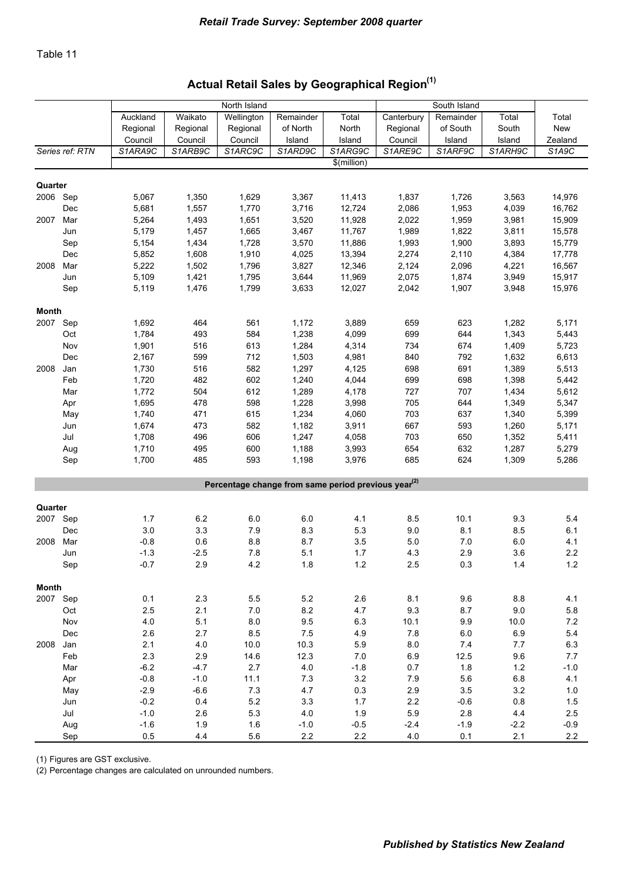# Actual Retail Sales by Geographical Region<sup>(1)</sup>

|              |                 |          |          | North Island |                                                                 |                  |            | South Island |         |         |
|--------------|-----------------|----------|----------|--------------|-----------------------------------------------------------------|------------------|------------|--------------|---------|---------|
|              |                 | Auckland | Waikato  | Wellington   | Remainder                                                       | Total            | Canterbury | Remainder    | Total   | Total   |
|              |                 | Regional | Regional | Regional     | of North                                                        | North            | Regional   | of South     | South   | New     |
|              |                 | Council  | Council  | Council      | Island                                                          | Island           | Council    | Island       | Island  | Zealand |
|              | Series ref: RTN | S1ARA9C  | S1ARB9C  | S1ARC9C      | S1ARD9C                                                         | S1ARG9C          | S1ARE9C    | S1ARF9C      | S1ARH9C | S1A9C   |
|              |                 |          |          |              |                                                                 | \$(million)      |            |              |         |         |
| Quarter      |                 |          |          |              |                                                                 |                  |            |              |         |         |
| 2006 Sep     |                 | 5,067    | 1,350    | 1,629        | 3,367                                                           |                  | 1,837      | 1,726        | 3,563   | 14,976  |
|              | Dec             | 5,681    | 1,557    | 1,770        | 3,716                                                           | 11,413<br>12,724 | 2,086      | 1,953        | 4,039   | 16,762  |
|              |                 |          |          |              |                                                                 |                  |            |              |         |         |
| 2007         | Mar             | 5,264    | 1,493    | 1,651        | 3,520                                                           | 11,928           | 2,022      | 1,959        | 3,981   | 15,909  |
|              | Jun             | 5,179    | 1,457    | 1,665        | 3,467                                                           | 11,767           | 1,989      | 1,822        | 3,811   | 15,578  |
|              | Sep             | 5,154    | 1,434    | 1,728        | 3,570                                                           | 11,886           | 1,993      | 1,900        | 3,893   | 15,779  |
|              | Dec             | 5,852    | 1,608    | 1,910        | 4,025                                                           | 13,394           | 2,274      | 2,110        | 4,384   | 17,778  |
| 2008         | Mar             | 5,222    | 1,502    | 1,796        | 3,827                                                           | 12,346           | 2,124      | 2,096        | 4,221   | 16,567  |
|              | Jun             | 5,109    | 1,421    | 1,795        | 3,644                                                           | 11,969           | 2,075      | 1,874        | 3,949   | 15,917  |
|              | Sep             | 5,119    | 1,476    | 1,799        | 3,633                                                           | 12,027           | 2,042      | 1,907        | 3,948   | 15,976  |
| <b>Month</b> |                 |          |          |              |                                                                 |                  |            |              |         |         |
| 2007         | Sep             | 1,692    | 464      | 561          | 1,172                                                           | 3,889            | 659        | 623          | 1,282   | 5,171   |
|              | Oct             | 1,784    | 493      | 584          | 1,238                                                           | 4,099            | 699        | 644          | 1,343   | 5,443   |
|              | Nov             | 1,901    | 516      | 613          | 1,284                                                           | 4,314            | 734        | 674          | 1,409   | 5,723   |
|              | Dec             | 2,167    | 599      | 712          | 1,503                                                           | 4,981            | 840        | 792          | 1,632   | 6,613   |
| 2008         | Jan             | 1,730    | 516      | 582          | 1,297                                                           | 4,125            | 698        | 691          | 1,389   | 5,513   |
|              | Feb             | 1,720    | 482      | 602          | 1,240                                                           | 4,044            | 699        | 698          | 1,398   | 5,442   |
|              |                 |          |          | 612          |                                                                 |                  |            |              |         |         |
|              | Mar             | 1,772    | 504      |              | 1,289                                                           | 4,178            | 727        | 707          | 1,434   | 5,612   |
|              | Apr             | 1,695    | 478      | 598          | 1,228                                                           | 3,998            | 705        | 644          | 1,349   | 5,347   |
|              | May             | 1,740    | 471      | 615          | 1,234                                                           | 4,060            | 703        | 637          | 1,340   | 5,399   |
|              | Jun             | 1,674    | 473      | 582          | 1,182                                                           | 3,911            | 667        | 593          | 1,260   | 5,171   |
|              | Jul             | 1,708    | 496      | 606          | 1,247                                                           | 4,058            | 703        | 650          | 1,352   | 5,411   |
|              | Aug             | 1,710    | 495      | 600          | 1,188                                                           | 3,993            | 654        | 632          | 1,287   | 5,279   |
|              | Sep             | 1,700    | 485      | 593          | 1,198                                                           | 3,976            | 685        | 624          | 1,309   | 5,286   |
|              |                 |          |          |              | Percentage change from same period previous year <sup>(2)</sup> |                  |            |              |         |         |
|              |                 |          |          |              |                                                                 |                  |            |              |         |         |
| Quarter      |                 |          |          |              |                                                                 |                  |            |              |         |         |
| 2007 Sep     |                 | 1.7      | 6.2      | 6.0          | 6.0                                                             | 4.1              | 8.5        | 10.1         | 9.3     | 5.4     |
|              | Dec             | 3.0      | 3.3      | 7.9          | 8.3                                                             | 5.3              | 9.0        | 8.1          | 8.5     | 6.1     |
| 2008         | Mar             | $-0.8$   | 0.6      | 8.8          | 8.7                                                             | 3.5              | 5.0        | 7.0          | 6.0     | 4.1     |
|              | Jun             | $-1.3$   | $-2.5$   | 7.8          | 5.1                                                             | 1.7              | 4.3        | 2.9          | 3.6     | 2.2     |
|              | Sep             | $-0.7$   | 2.9      | 4.2          | 1.8                                                             | 1.2              | 2.5        | 0.3          | 1.4     | 1.2     |
|              |                 |          |          |              |                                                                 |                  |            |              |         |         |
| <b>Month</b> |                 |          |          |              |                                                                 |                  |            |              |         |         |
| 2007 Sep     |                 | 0.1      | 2.3      | 5.5          | 5.2                                                             | 2.6              | 8.1        | 9.6          | 8.8     | 4.1     |
|              | Oct             | 2.5      | 2.1      | 7.0          | 8.2                                                             | 4.7              | 9.3        | 8.7          | $9.0\,$ | 5.8     |
|              | Nov             | 4.0      | 5.1      | 8.0          | 9.5                                                             | 6.3              | 10.1       | 9.9          | 10.0    | $7.2\,$ |
|              | Dec             | 2.6      | 2.7      | 8.5          | $7.5\,$                                                         | 4.9              | 7.8        | $6.0\,$      | 6.9     | 5.4     |
| 2008         | Jan             | 2.1      | 4.0      | 10.0         | 10.3                                                            | 5.9              | $8.0\,$    | 7.4          | 7.7     | 6.3     |
|              | Feb             | 2.3      | 2.9      | 14.6         | 12.3                                                            | 7.0              | 6.9        | 12.5         | 9.6     | 7.7     |
|              | Mar             | $-6.2$   | $-4.7$   | $2.7\,$      | $4.0$                                                           | $-1.8$           | 0.7        | 1.8          | $1.2$   | $-1.0$  |
|              | Apr             | $-0.8$   | $-1.0$   | 11.1         | 7.3                                                             | 3.2              | $7.9$      | 5.6          | $6.8\,$ | 4.1     |
|              | May             | $-2.9$   | $-6.6$   | 7.3          | 4.7                                                             | 0.3              | 2.9        | 3.5          | 3.2     | 1.0     |
|              | Jun             | $-0.2$   | 0.4      | 5.2          | 3.3                                                             | $1.7$            | 2.2        | $-0.6$       | $0.8\,$ | 1.5     |
|              | Jul             | $-1.0$   | 2.6      | 5.3          | 4.0                                                             | 1.9              | 5.9        | 2.8          | 4.4     | 2.5     |
|              | Aug             | $-1.6$   | 1.9      | 1.6          | $-1.0$                                                          | $-0.5$           | $-2.4$     | $-1.9$       | $-2.2$  | $-0.9$  |
|              | Sep             | 0.5      | 4.4      | 5.6          | 2.2                                                             | $2.2\,$          | 4.0        | 0.1          | 2.1     | 2.2     |

(1) Figures are GST exclusive.

(2) Percentage changes are calculated on unrounded numbers.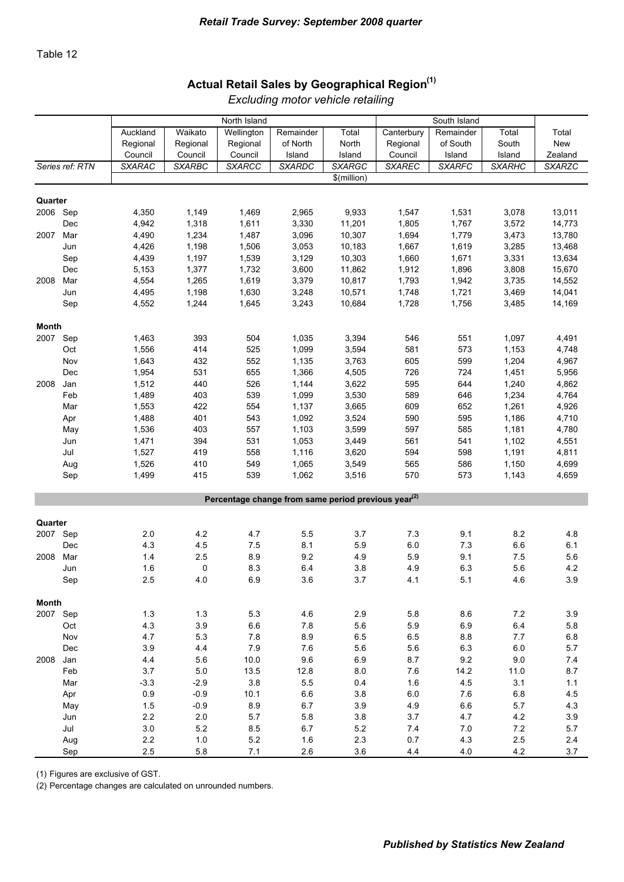### Actual Retail Sales by Geographical Region<sup>(1)</sup>

|              |                 |                |               | North Island                                                    |                |                |               | South Island  |               |                |
|--------------|-----------------|----------------|---------------|-----------------------------------------------------------------|----------------|----------------|---------------|---------------|---------------|----------------|
|              |                 | Auckland       | Waikato       | Wellington                                                      | Remainder      | Total          | Canterbury    | Remainder     | Total         | Total          |
|              |                 | Regional       | Regional      | Regional                                                        | of North       | North          | Regional      | of South      | South         | <b>New</b>     |
|              |                 | Council        | Council       | Council                                                         | Island         | Island         | Council       | Island        | Island        | Zealand        |
|              | Series ref: RTN | <b>SXARAC</b>  | <b>SXARBC</b> | <b>SXARCC</b>                                                   | <b>SXARDC</b>  | <b>SXARGC</b>  | <b>SXAREC</b> | <b>SXARFC</b> | <b>SXARHC</b> | <b>SXARZC</b>  |
|              |                 |                |               |                                                                 |                | \$(million)    |               |               |               |                |
|              |                 |                |               |                                                                 |                |                |               |               |               |                |
| Quarter      |                 |                |               |                                                                 |                |                |               |               |               |                |
| 2006         | Sep             | 4,350          | 1,149         | 1,469                                                           | 2,965          | 9,933          | 1,547         | 1,531         | 3,078         | 13,011         |
|              | Dec             | 4,942          | 1,318         | 1,611                                                           | 3,330          | 11,201         | 1,805         | 1,767         | 3,572         | 14,773         |
| 2007         | Mar             | 4,490          | 1,234         | 1,487                                                           | 3,096          | 10,307         | 1,694         | 1,779         | 3,473         | 13,780         |
|              | Jun             | 4,426          | 1,198         | 1,506                                                           | 3,053          | 10,183         | 1,667         | 1,619         | 3,285         | 13,468         |
|              | Sep             | 4,439          | 1,197         | 1,539                                                           | 3,129          | 10,303         | 1,660         | 1,671         | 3,331         | 13,634         |
|              | Dec             | 5,153          | 1,377         | 1,732                                                           | 3,600          | 11,862         | 1,912         | 1,896         | 3,808         | 15,670         |
| 2008         | Mar             | 4,554          | 1,265         | 1,619                                                           | 3,379          | 10,817         | 1,793         | 1,942         | 3,735         | 14,552         |
|              | Jun             | 4,495          | 1,198         | 1,630                                                           | 3,248          | 10,571         | 1,748         | 1,721         | 3,469         | 14,041         |
|              | Sep             | 4,552          | 1,244         | 1,645                                                           | 3,243          | 10,684         | 1,728         | 1,756         | 3,485         | 14,169         |
|              |                 |                |               |                                                                 |                |                |               |               |               |                |
| <b>Month</b> |                 |                |               |                                                                 |                |                |               |               |               |                |
| 2007         | Sep             | 1,463          | 393           | 504                                                             | 1,035          | 3,394          | 546           | 551           | 1,097         | 4,491          |
|              | Oct             | 1,556          | 414           | 525                                                             | 1,099          | 3,594          | 581           | 573           | 1,153         | 4,748          |
|              | Nov             | 1,643          | 432           | 552                                                             | 1,135          | 3,763          | 605           | 599           | 1,204         | 4,967          |
|              | Dec             | 1,954          | 531           | 655                                                             | 1,366          | 4,505          | 726           | 724           | 1,451         | 5,956          |
| 2008         | Jan             | 1,512          | 440           | 526                                                             | 1,144          | 3,622          | 595           | 644           | 1,240         | 4,862          |
|              | Feb             | 1,489          | 403           | 539                                                             | 1,099          | 3,530          | 589           | 646           | 1,234         | 4,764          |
|              | Mar             | 1,553          | 422           | 554                                                             | 1,137          | 3,665          | 609           | 652           | 1,261         | 4,926          |
|              | Apr             | 1,488          | 401           | 543                                                             | 1,092          | 3,524          | 590           | 595           | 1,186         | 4,710          |
|              | May             | 1,536          | 403           | 557                                                             | 1,103          | 3,599          | 597           | 585           | 1,181         | 4,780          |
|              | Jun             | 1,471          | 394           | 531                                                             | 1,053          | 3,449          | 561           | 541           | 1,102         | 4,551          |
|              | Jul             | 1,527          | 419           | 558                                                             | 1,116          | 3,620          | 594           | 598           | 1,191         | 4,811          |
|              | Aug             | 1,526<br>1,499 | 410<br>415    | 549<br>539                                                      | 1,065<br>1,062 | 3,549<br>3,516 | 565<br>570    | 586<br>573    | 1,150         | 4,699<br>4,659 |
|              | Sep             |                |               |                                                                 |                |                |               |               | 1,143         |                |
|              |                 |                |               | Percentage change from same period previous year <sup>(2)</sup> |                |                |               |               |               |                |
|              |                 |                |               |                                                                 |                |                |               |               |               |                |
| Quarter      |                 |                |               |                                                                 |                |                |               |               |               |                |
| 2007 Sep     |                 | 2.0            | 4.2           | 4.7                                                             | 5.5            | 3.7            | 7.3           | 9.1           | 8.2           | 4.8            |
|              | Dec             | 4.3            | 4.5           | 7.5                                                             | 8.1            | 5.9            | $6.0\,$       | 7.3           | 6.6           | 6.1            |
| 2008         | Mar             | 1.4            | 2.5           | 8.9                                                             | 9.2            | 4.9            | 5.9           | 9.1           | 7.5           | 5.6            |
|              | Jun             | 1.6            | 0             | 8.3                                                             | 6.4            | 3.8            | 4.9           | 6.3           | 5.6           | 4.2            |
|              | Sep             | 2.5            | 4.0           | 6.9                                                             | 3.6            | 3.7            | 4.1           | 5.1           | 4.6           | 3.9            |
|              |                 |                |               |                                                                 |                |                |               |               |               |                |
| <b>Month</b> |                 |                |               |                                                                 |                |                |               |               |               |                |
| 2007 Sep     |                 | $1.3$          | $1.3$         | 5.3                                                             | 4.6            | 2.9            | 5.8           | 8.6           | 7.2           | 3.9            |
|              | Oct             | 4.3            | 3.9           | 6.6                                                             | 7.8            | 5.6            | 5.9           | 6.9           | $6.4\,$       | 5.8            |
|              | Nov             | 4.7            | 5.3           | 7.8                                                             | 8.9            | 6.5            | 6.5           | 8.8           | 7.7           | 6.8            |
|              | Dec             | 3.9            | 4.4           | 7.9                                                             | 7.6            | 5.6            | 5.6           | $6.3\,$       | $6.0\,$       | 5.7            |
| 2008         | Jan             | 4.4            | 5.6           | 10.0                                                            | 9.6            | $6.9\,$        | 8.7           | 9.2           | $9.0\,$       | 7.4            |
|              | Feb             | 3.7            | $5.0\,$       | 13.5                                                            | 12.8           | 8.0            | 7.6           | 14.2          | 11.0          | 8.7            |
|              | Mar             | $-3.3$         | $-2.9$        | 3.8                                                             | 5.5            | 0.4            | 1.6           | 4.5           | 3.1           | 1.1            |
|              | Apr             | 0.9            | $-0.9$        | 10.1                                                            | $6.6\,$        | 3.8            | $6.0\,$       | 7.6           | $6.8\,$       | 4.5            |
|              | May             | 1.5            | $-0.9$        | 8.9                                                             | 6.7            | 3.9            | 4.9           | $6.6\,$       | 5.7           | 4.3            |
|              | Jun             | $2.2\,$        | $2.0\,$       | 5.7                                                             | 5.8            | 3.8            | $3.7\,$       | 4.7           | 4.2           | 3.9            |
|              | Jul             | 3.0            | 5.2           | 8.5                                                             | 6.7            | 5.2            | 7.4           | $7.0\,$       | $7.2\,$       | 5.7            |
|              | Aug             | 2.2            | 1.0           | 5.2                                                             | 1.6            | 2.3            | 0.7           | 4.3           | $2.5\,$       | 2.4            |
|              | Sep             | 2.5            | 5.8           | 7.1                                                             | 2.6            | 3.6            | 4.4           | $4.0$         | $4.2\,$       | 3.7            |

*Excluding motor vehicle retailing*

(1) Figures are exclusive of GST.

(2) Percentage changes are calculated on unrounded numbers.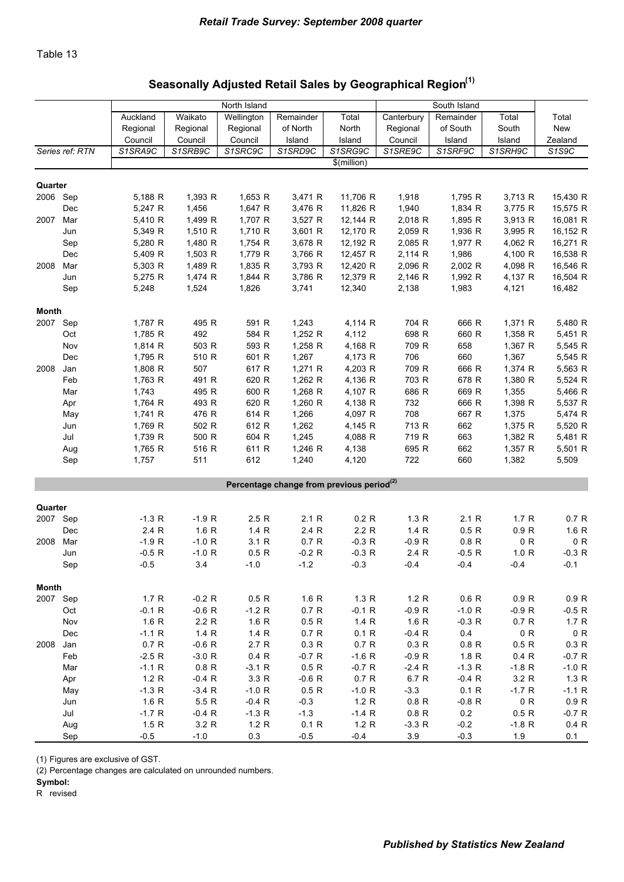## Seasonally Adjusted Retail Sales by Geographical Region<sup>(1)</sup>

|              |                 |          |          | North Island |           |                                                       |            | South Island |          |                                 |
|--------------|-----------------|----------|----------|--------------|-----------|-------------------------------------------------------|------------|--------------|----------|---------------------------------|
|              |                 | Auckland | Waikato  | Wellington   | Remainder | Total                                                 | Canterbury | Remainder    | Total    | Total                           |
|              |                 | Regional | Regional | Regional     | of North  | North                                                 | Regional   | of South     | South    | New                             |
|              |                 | Council  | Council  | Council      | Island    | Island                                                | Council    | Island       | Island   | Zealand                         |
|              | Series ref: RTN | S1SRA9C  | S1SRB9C  | S1SRC9C      | S1SRD9C   | S1SRG9C                                               | S1SRE9C    | S1SRF9C      | S1SRH9C  | S <sub>1</sub> S <sub>9</sub> C |
|              |                 |          |          |              |           | \$(million)                                           |            |              |          |                                 |
| Quarter      |                 |          |          |              |           |                                                       |            |              |          |                                 |
| 2006 Sep     |                 | 5,188 R  | 1,393 R  | 1,653 R      | 3,471 R   | 11,706 R                                              | 1,918      | 1,795 R      | 3,713 R  | 15,430 R                        |
|              | Dec             | 5,247 R  | 1,456    | 1,647 R      | 3,476 R   | 11,826 R                                              | 1,940      | 1,834 R      | 3,775 R  | 15,575 R                        |
| 2007         | Mar             | 5,410 R  | 1,499 R  | 1,707 R      | 3,527 R   | 12,144 R                                              | 2,018 R    | 1,895 R      | 3,913 R  | 16,081 R                        |
|              | Jun             | 5,349 R  | 1,510 R  | 1,710 R      | 3,601 R   | 12,170 R                                              | 2,059 R    | 1,936 R      | 3,995 R  | 16,152 R                        |
|              | Sep             | 5,280 R  | 1,480 R  | 1,754 R      | 3,678 R   | 12,192 R                                              | 2,085 R    | 1,977 R      | 4,062 R  | 16,271 R                        |
|              | Dec             | 5,409 R  | 1,503 R  | 1,779 R      | 3,766 R   | 12,457 R                                              | 2,114 R    | 1,986        | 4,100 R  | 16,538 R                        |
| 2008         | Mar             | 5,303 R  | 1,489 R  | 1,835 R      | 3,793 R   | 12,420 R                                              | 2,096 R    | 2,002 R      | 4,098 R  | 16,546 R                        |
|              | Jun             | 5,275 R  | 1,474 R  | 1,844 R      | 3,786 R   | 12,379 R                                              | 2,146 R    | 1,992 R      | 4,137 R  | 16,504 R                        |
|              | Sep             | 5,248    | 1,524    | 1,826        | 3,741     | 12,340                                                | 2,138      | 1,983        | 4,121    | 16,482                          |
|              |                 |          |          |              |           |                                                       |            |              |          |                                 |
| <b>Month</b> |                 |          |          |              |           |                                                       |            |              |          |                                 |
| 2007 Sep     |                 | 1,787 R  | 495 R    | 591 R        | 1,243     | 4,114 R                                               | 704 R      | 666 R        | 1,371 R  | 5,480 R                         |
|              | Oct             | 1,785 R  | 492      | 584 R        | 1,252 R   | 4,112                                                 | 698 R      | 660 R        | 1,358 R  | 5,451 R                         |
|              | Nov             | 1,814 R  | 503 R    | 593 R        | $1,258$ R | 4,168 R                                               | 709 R      | 658          | 1,367 R  | 5,545 R                         |
|              | Dec             | 1,795 R  | 510 R    | 601 R        | 1,267     | 4,173 R                                               | 706        | 660          | 1,367    | 5,545 R                         |
| 2008         | Jan             | 1,808 R  | 507      | 617 R        | 1,271 R   | 4,203 R                                               | 709 R      | 666 R        | 1,374 R  | 5,563 R                         |
|              | Feb             | 1,763 R  | 491 R    | 620 R        | 1,262 R   | 4,136 R                                               | 703 R      | 678 R        | 1,380 R  | 5,524 R                         |
|              | Mar             | 1,743    | 495 R    | 600 R        | 1,268 R   | 4,107 R                                               | 686 R      | 669 R        | 1,355    | 5,466 R                         |
|              | Apr             | 1,764 R  | 493 R    | 620 R        | 1,260 R   | 4,138 R                                               | 732        | 666 R        | 1,398 R  | 5,537 R                         |
|              | May             | 1,741 R  | 476 R    | 614 R        | 1,266     | 4,097 R                                               | 708        | 667 R        | 1,375    | 5,474 R                         |
|              | Jun             | 1,769 R  | 502 R    | 612 R        | 1,262     | 4,145 R                                               | 713 R      | 662          | 1,375 R  | 5,520 R                         |
|              | Jul             | 1,739 R  | 500 R    | 604 R        | 1,245     | 4,088 R                                               | 719 R      | 663          | 1,382 R  | 5,481 R                         |
|              | Aug             | 1,765 R  | 516 R    | 611 R        | 1,246 R   | 4,138                                                 | 695 R      | 662          | 1,357 R  | 5,501 R                         |
|              | Sep             | 1,757    | 511      | 612          | 1,240     | 4,120                                                 | 722        | 660          | 1,382    | 5,509                           |
|              |                 |          |          |              |           | Percentage change from previous period <sup>(2)</sup> |            |              |          |                                 |
|              |                 |          |          |              |           |                                                       |            |              |          |                                 |
| Quarter      |                 |          |          |              |           |                                                       |            |              |          |                                 |
| 2007 Sep     |                 | $-1.3 R$ | $-1.9 R$ | 2.5R         | 2.1 R     | 0.2 R                                                 | 1.3 R      | 2.1 R        | 1.7 R    | 0.7 R                           |
|              | Dec             | 2.4 R    | 1.6 R    | 1.4 R        | 2.4 R     | 2.2 R                                                 | 1.4 R      | 0.5 R        | 0.9 R    | 1.6 R                           |
| 2008         | Mar             | $-1.9 R$ | $-1.0 R$ | 3.1 R        | 0.7 R     | $-0.3 R$                                              | $-0.9 R$   | 0.8 R        | 0 R      | 0 R                             |
|              | Jun             | $-0.5 R$ | $-1.0 R$ | 0.5R         | $-0.2 R$  | $-0.3 R$                                              | 2.4 R      | $-0.5 R$     | 1.0 R    | $-0.3 R$                        |
|              | Sep             | $-0.5$   | 3.4      | $-1.0$       | $-1.2$    | $-0.3$                                                | -0.4       | -0.4         | -0.4     | -0.1                            |
| <b>Month</b> |                 |          |          |              |           |                                                       |            |              |          |                                 |
| 2007 Sep     |                 | 1.7R     | $-0.2 R$ | 0.5 R        | 1.6 R     | 1.3 R                                                 | 1.2 R      | 0.6 R        | 0.9 R    | 0.9 R                           |
|              | Oct             | $-0.1 R$ | $-0.6 R$ | $-1.2 R$     | 0.7 R     | $-0.1 R$                                              | $-0.9 R$   | $-1.0 R$     | $-0.9 R$ | $-0.5 R$                        |
|              | Nov             | 1.6 R    | 2.2 R    | 1.6 R        | 0.5 R     | 1.4 R                                                 | 1.6 R      | $-0.3 R$     | 0.7R     | 1.7 R                           |
|              | Dec             | $-1.1 R$ | 1.4 R    | 1.4R         | 0.7 R     | 0.1 R                                                 | $-0.4 R$   | 0.4          | 0 R      | 0 R                             |
| 2008         | Jan             | 0.7 R    | $-0.6 R$ | 2.7R         | 0.3 R     | 0.7 R                                                 | 0.3 R      | 0.8 R        | 0.5 R    | 0.3 R                           |
|              | Feb             | $-2.5 R$ | $-3.0 R$ | 0.4 R        | $-0.7 R$  | $-1.6 R$                                              | $-0.9 R$   | 1.8 R        | 0.4 R    | $-0.7 R$                        |
|              | Mar             | $-1.1 R$ | 0.8 R    | $-3.1 R$     | 0.5 R     | $-0.7 R$                                              | $-2.4 R$   | $-1.3 R$     | $-1.8 R$ | $-1.0 R$                        |
|              | Apr             | 1.2 R    | $-0.4 R$ | 3.3 R        | $-0.6 R$  | 0.7 R                                                 | 6.7 R      | $-0.4 R$     | 3.2 R    | 1.3 R                           |
|              | May             | $-1.3 R$ | $-3.4 R$ | $-1.0 R$     | 0.5 R     | $-1.0 R$                                              | $-3.3$     | 0.1 R        | $-1.7 R$ | $-1.1 R$                        |
|              | Jun             | 1.6 R    | 5.5 R    | $-0.4 R$     | $-0.3$    | 1.2 R                                                 | 0.8 R      | $-0.8 R$     | 0 R      | 0.9 R                           |
|              | Jul             | $-1.7 R$ | $-0.4 R$ | $-1.3 R$     | $-1.3$    | $-1.4 R$                                              | 0.8 R      | 0.2          | 0.5R     | $-0.7 R$                        |
|              | Aug             | 1.5 R    | 3.2 R    | 1.2 R        | 0.1 R     | 1.2 R                                                 | $-3.3 R$   | $-0.2$       | $-1.8 R$ | 0.4 R                           |
|              | Sep             | $-0.5$   | $-1.0$   | 0.3          | $-0.5$    | $-0.4$                                                | 3.9        | $-0.3$       | 1.9      | 0.1                             |

(1) Figures are exclusive of GST.

(2) Percentage changes are calculated on unrounded numbers.

#### Symbol: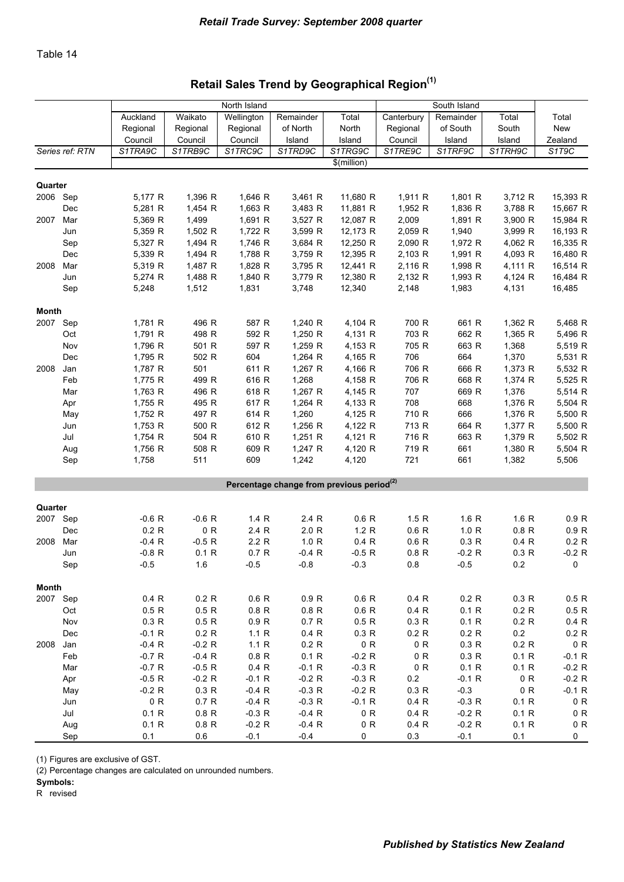### Retail Sales Trend by Geographical Region<sup>(1)</sup>

|              |                 |          |          | North Island |                                                       |                    |            | South Island |              |                          |
|--------------|-----------------|----------|----------|--------------|-------------------------------------------------------|--------------------|------------|--------------|--------------|--------------------------|
|              |                 | Auckland | Waikato  | Wellington   | Remainder                                             | Total              | Canterbury | Remainder    | Total        | Total                    |
|              |                 | Regional | Regional | Regional     | of North                                              | North              | Regional   | of South     | South        | New                      |
|              |                 | Council  | Council  | Council      | Island                                                | Island             | Council    | Island       | Island       | Zealand                  |
|              | Series ref: RTN | S1TRA9C  | S1TRB9C  | S1TRC9C      | S1TRD9C                                               | S1TRG9C            | S1TRE9C    | S1TRF9C      | S1TRH9C      | S1T9C                    |
|              |                 |          |          |              |                                                       | \$(million)        |            |              |              |                          |
| Quarter      |                 |          |          |              |                                                       |                    |            |              |              |                          |
| 2006 Sep     |                 | 5,177 R  | 1,396 R  | 1,646 R      | 3,461 R                                               | 11,680 R           | 1,911 R    | 1,801 R      | 3,712 R      | 15,393 R                 |
|              | Dec             | 5,281 R  | 1,454 R  | 1,663 R      | 3,483 R                                               | 11,881 R           | 1,952 R    | 1,836 R      | 3,788 R      | 15,667 R                 |
| 2007         | Mar             | 5,369 R  | 1,499    | 1,691 R      | 3,527 R                                               | 12,087 R           | 2,009      | 1,891 R      | 3,900 R      | 15,984 R                 |
|              | Jun             | 5,359 R  | 1,502 R  | 1,722 R      | 3,599 R                                               | 12,173 R           | 2,059 R    | 1,940        | 3,999 R      | 16,193 R                 |
|              | Sep             | 5,327 R  | 1,494 R  | 1,746 R      | 3,684 R                                               | 12,250 R           | 2,090 R    | 1,972 R      | 4,062 R      | 16,335 R                 |
|              | Dec             | 5,339 R  | 1,494 R  | 1,788 R      | 3,759 R                                               | 12,395 R           | 2,103 R    | 1,991 R      | 4,093 R      | 16,480 R                 |
| 2008         | Mar             | 5,319 R  | 1,487 R  | 1,828 R      | 3,795 R                                               | 12,441 R           | 2,116 R    | 1,998 R      | 4,111 R      | 16,514 R                 |
|              | Jun             | 5,274 R  | 1,488 R  | 1,840 R      | 3,779 R                                               | 12,380 R           | 2,132 R    | 1,993 R      | 4,124 R      | 16,484 R                 |
|              | Sep             | 5,248    | 1,512    | 1,831        | 3,748                                                 | 12,340             | 2,148      | 1,983        | 4,131        | 16,485                   |
|              |                 |          |          |              |                                                       |                    |            |              |              |                          |
| <b>Month</b> |                 |          |          |              |                                                       |                    |            |              |              |                          |
| 2007 Sep     |                 | 1,781 R  | 496 R    | 587 R        | 1,240 R                                               | 4,104 R            | 700 R      | 661 R        | 1,362 R      | 5,468 R                  |
|              | Oct             | 1,791 R  | 498 R    | 592 R        | 1,250 R                                               | 4,131 R            | 703 R      | 662 R        | 1,365 R      | 5,496 R                  |
|              | Nov             | 1,796 R  | 501 R    | 597 R        | 1,259 R                                               | 4,153 R            | 705 R      | 663 R        | 1,368        | 5,519 R                  |
|              | Dec             | 1,795 R  | 502 R    | 604          | 1,264 $R$                                             | 4,165 R            | 706        | 664          | 1,370        | 5,531 R                  |
| 2008         | Jan             | 1,787 R  | 501      | 611 R        | 1,267 R                                               | 4,166 R            | 706 R      | 666 R        | 1,373 R      | 5,532 R                  |
|              | Feb             | 1,775 R  | 499 R    | 616 R        | 1,268                                                 | 4,158 R            | 706 R      | 668 R        | 1,374 R      | 5,525 R                  |
|              | Mar             | 1,763 R  | 496 R    | 618 R        | 1,267 R                                               | 4,145 R            | 707        | 669 R        | 1,376        | 5,514 R                  |
|              | Apr             | 1,755 R  | 495 R    | 617 R        | $1,264$ R                                             | 4,133 R            | 708        | 668          | 1,376 R      | 5,504 R                  |
|              | May             | 1,752 R  | 497 R    | 614 R        | 1,260                                                 | 4,125 R            | 710 R      | 666          | 1,376 R      | 5,500 R                  |
|              | Jun             | 1,753 R  | 500 R    | 612 R        | 1,256 R                                               | 4,122 R            | 713 R      | 664 R        | 1,377 R      | 5,500 R                  |
|              | Jul             | 1,754 R  | 504 R    | 610 R        | 1,251 R                                               | 4,121 R            | 716 R      | 663 R        | 1,379 R      | 5,502 R                  |
|              | Aug             | 1,756 R  | 508 R    | 609 R        | 1,247 R                                               | 4,120 R            | 719 R      | 661          | 1,380 R      | 5,504 R                  |
|              | Sep             | 1,758    | 511      | 609          | 1,242                                                 | 4,120              | 721        | 661          | 1,382        | 5,506                    |
|              |                 |          |          |              | Percentage change from previous period <sup>(2)</sup> |                    |            |              |              |                          |
|              |                 |          |          |              |                                                       |                    |            |              |              |                          |
| Quarter      |                 |          |          |              |                                                       |                    |            |              |              |                          |
| 2007 Sep     |                 | $-0.6 R$ | $-0.6 R$ | 1.4 R        | 2.4 R                                                 | 0.6 R              | 1.5 R      | 1.6 R        | 1.6 R        | 0.9 R                    |
|              | Dec             | 0.2 R    | 0 R      | 2.4 R        | 2.0 R                                                 | 1.2 R              | 0.6 R      | 1.0 R        | 0.8 R        | 0.9 R                    |
| 2008         | Mar             | $-0.4 R$ | $-0.5 R$ | 2.2 R        | 1.0 R                                                 | 0.4 R              | 0.6 R      | 0.3 R        | 0.4 R        | 0.2 R                    |
|              | Jun             | $-0.8 R$ | 0.1 R    | 0.7R         | $-0.4 R$<br>$-0.8$                                    | $-0.5 R$<br>$-0.3$ | 0.8 R      | $-0.2 R$     | 0.3 R<br>0.2 | $-0.2 R$<br>$\mathbf{0}$ |
|              | ${\sf Sep}$     | $-0.5$   | 1.6      | $-0.5$       |                                                       |                    | 0.8        | $-0.5$       |              |                          |
| <b>Month</b> |                 |          |          |              |                                                       |                    |            |              |              |                          |
| 2007 Sep     |                 | 0.4 R    | 0.2 R    | 0.6 R        | 0.9 R                                                 | 0.6 R              | 0.4 R      | 0.2 R        | 0.3 R        | 0.5 R                    |
|              | Oct             | 0.5 R    | 0.5 R    | $0.8\,$ R    | 0.8 R                                                 | 0.6 R              | 0.4 R      | 0.1 R        | 0.2 R        | 0.5 R                    |
|              | Nov             | 0.3 R    | 0.5 R    | 0.9 R        | 0.7 R                                                 | 0.5 R              | 0.3 R      | 0.1 R        | 0.2 R        | 0.4 R                    |
|              | Dec             | $-0.1 R$ | 0.2 R    | 1.1 R        | 0.4 R                                                 | 0.3 R              | 0.2 R      | 0.2 R        | 0.2          | 0.2 R                    |
| 2008         | Jan             | $-0.4 R$ | $-0.2 R$ | 1.1 R        | 0.2 R                                                 | 0 R                | 0 R        | 0.3 R        | 0.2 R        | 0 R                      |
|              | Feb             | $-0.7 R$ | $-0.4 R$ | 0.8 R        | 0.1 R                                                 | $-0.2 R$           | 0 R        | 0.3 R        | 0.1 R        | $-0.1 R$                 |
|              | Mar             | $-0.7 R$ | $-0.5 R$ | 0.4 R        | $-0.1 R$                                              | $-0.3 R$           | 0 R        | 0.1 R        | 0.1 R        | $-0.2 R$                 |
|              | Apr             | $-0.5 R$ | $-0.2 R$ | $-0.1 R$     | $-0.2 R$                                              | $-0.3 R$           | 0.2        | $-0.1 R$     | 0 R          | $-0.2 R$                 |
|              | May             | $-0.2 R$ | 0.3 R    | $-0.4 R$     | $-0.3 R$                                              | $-0.2 R$           | 0.3 R      | $-0.3$       | 0 R          | $-0.1 R$                 |
|              | Jun             | 0 R      | 0.7 R    | $-0.4 R$     | $-0.3 R$                                              | $-0.1 R$           | 0.4 R      | $-0.3 R$     | 0.1 R        | 0 R                      |
|              | Jul             | 0.1 R    | 0.8 R    | $-0.3 R$     | $-0.4 R$                                              | 0 R                | 0.4 R      | $-0.2 R$     | 0.1 R        | 0 R                      |
|              | Aug             | 0.1 R    | 0.8 R    | $-0.2 R$     | $-0.4 R$                                              | 0 R                | 0.4 R      | $-0.2 R$     | 0.1 R        | 0 R                      |
|              | Sep             | 0.1      | 0.6      | $-0.1$       | $-0.4$                                                | 0                  | 0.3        | $-0.1$       | 0.1          | $\mathsf{O}$             |

(1) Figures are exclusive of GST.

(2) Percentage changes are calculated on unrounded numbers.

Symbols: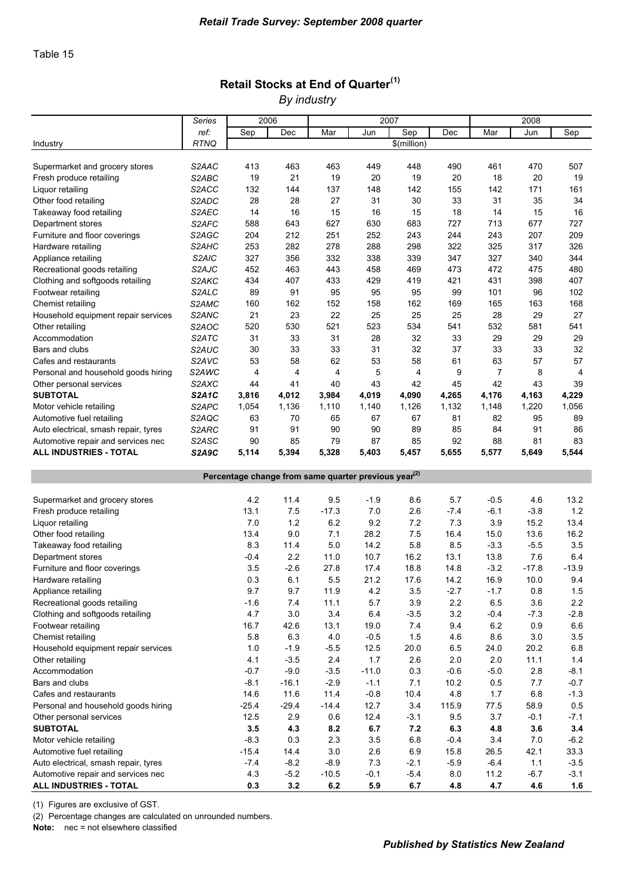### Retail Stocks at End of Quarter<sup>(1)</sup>

*By industry*

|                                                                            | <b>Series</b>      | 2006                                                             |                  |                   | 2007          |                  |               |                | 2008            |                  |
|----------------------------------------------------------------------------|--------------------|------------------------------------------------------------------|------------------|-------------------|---------------|------------------|---------------|----------------|-----------------|------------------|
|                                                                            | ref:               | Sep                                                              | Dec              | Mar               | Jun           | Sep              | Dec           | Mar            | Jun             | Sep              |
| Industry                                                                   | <b>RTNQ</b>        |                                                                  |                  |                   |               | \$(million)      |               |                |                 |                  |
|                                                                            |                    |                                                                  |                  |                   |               |                  |               |                |                 |                  |
| Supermarket and grocery stores                                             | S2AAC              | 413                                                              | 463              | 463               | 449           | 448              | 490           | 461            | 470             | 507              |
| Fresh produce retailing                                                    | S2ABC              | 19                                                               | 21               | 19                | 20            | 19               | 20            | 18             | 20              | 19               |
| Liquor retailing                                                           | S2ACC              | 132                                                              | 144              | 137               | 148           | 142              | 155           | 142            | 171             | 161              |
| Other food retailing                                                       | S2ADC              | 28                                                               | 28               | 27                | 31            | 30               | 33            | 31             | 35              | 34               |
| Takeaway food retailing                                                    | S2AEC              | 14                                                               | 16               | 15                | 16            | 15               | 18            | 14             | 15              | 16               |
| Department stores                                                          | S2AFC              | 588                                                              | 643              | 627               | 630           | 683              | 727           | 713            | 677             | 727              |
| Furniture and floor coverings                                              | S2AGC              | 204                                                              | 212              | 251               | 252           | 243              | 244           | 243            | 207             | 209              |
| Hardware retailing                                                         | S2AHC              | 253                                                              | 282              | 278               | 288           | 298              | 322           | 325            | 317             | 326              |
| Appliance retailing                                                        | S <sub>2</sub> AIC | 327                                                              | 356              | 332               | 338           | 339              | 347           | 327            | 340             | 344              |
| Recreational goods retailing                                               | S2AJC              | 452                                                              | 463              | 443               | 458           | 469              | 473           | 472            | 475             | 480              |
| Clothing and softgoods retailing                                           | S2AKC              | 434                                                              | 407              | 433               | 429           | 419              | 421           | 431            | 398             | 407              |
| Footwear retailing                                                         | S2ALC              | 89                                                               | 91               | 95                | 95            | 95               | 99            | 101            | 96              | 102              |
| Chemist retailing                                                          | S2AMC              | 160                                                              | 162              | 152               | 158           | 162              | 169           | 165            | 163             | 168              |
| Household equipment repair services                                        | S2ANC              | 21                                                               | 23               | 22                | 25            | 25               | 25            | 28             | 29              | 27               |
| Other retailing                                                            | S <sub>2</sub> AOC | 520                                                              | 530              | 521               | 523           | 534              | 541           | 532            | 581             | 541              |
| Accommodation                                                              | S <sub>2</sub> ATC | 31                                                               | 33               | 31                | 28            | 32               | 33            | 29             | 29              | 29               |
| Bars and clubs                                                             | S2AUC              | 30                                                               | 33               | 33                | 31            | 32               | 37            | 33             | 33              | 32               |
| Cafes and restaurants                                                      | S2AVC              | 53                                                               | 58               | 62                | 53            | 58               | 61            | 63             | 57              | 57               |
| Personal and household goods hiring                                        | S2AWC              | 4                                                                | 4                | 4                 | 5             | $\overline{4}$   | 9             | 7              | 8               | 4                |
| Other personal services                                                    | S2AXC              | 44                                                               | 41               | 40                | 43            | 42               | 45            | 42             | 43              | 39               |
| <b>SUBTOTAL</b>                                                            | <b>S2A1C</b>       | 3,816                                                            | 4,012            | 3,984             | 4,019         | 4,090            | 4,265         | 4,176          | 4,163           | 4,229            |
| Motor vehicle retailing                                                    | S2APC              | 1,054                                                            | 1,136            | 1,110             | 1,140         | 1,126            | 1,132         | 1,148          | 1,220           | 1,056            |
| Automotive fuel retailing                                                  | S2AQC              | 63                                                               | 70               | 65                | 67            | 67               | 81            | 82             | 95              | 89               |
|                                                                            |                    | 91                                                               | 91               | 90                |               | 89               | 85            |                | 91              |                  |
| Auto electrical, smash repair, tyres                                       | S2ARC              |                                                                  |                  |                   | 90            |                  |               | 84             |                 | 86               |
| Automotive repair and services nec                                         | S2ASC              | 90                                                               | 85               | 79                | 87            | 85               | 92            | 88             | 81              | 83               |
| ALL INDUSTRIES - TOTAL                                                     | S2A9C              | 5,114                                                            | 5,394            | 5,328             | 5,403         | 5,457            | 5,655         | 5,577          | 5,649           | 5,544            |
|                                                                            |                    |                                                                  |                  |                   |               |                  |               |                |                 |                  |
|                                                                            |                    |                                                                  |                  |                   |               |                  |               |                |                 |                  |
|                                                                            |                    | Percentage change from same quarter previous year <sup>(2)</sup> |                  |                   |               |                  |               |                |                 |                  |
|                                                                            |                    |                                                                  |                  |                   |               |                  |               |                |                 |                  |
| Supermarket and grocery stores                                             |                    | 4.2                                                              | 11.4             | 9.5               | $-1.9$        | 8.6              | 5.7           | $-0.5$         | 4.6             | 13.2             |
| Fresh produce retailing                                                    |                    | 13.1                                                             | 7.5              | $-17.3$           | 7.0           | 2.6              | $-7.4$        | $-6.1$         | $-3.8$          | 1.2              |
| Liquor retailing                                                           |                    | 7.0                                                              | 1.2              | 6.2               | 9.2           | 7.2              | 7.3           | 3.9            | 15.2            | 13.4             |
| Other food retailing                                                       |                    | 13.4                                                             | 9.0              | 7.1               | 28.2          | 7.5              | 16.4          | 15.0           | 13.6            | 16.2             |
| Takeaway food retailing                                                    |                    | 8.3                                                              | 11.4             | 5.0               | 14.2          | 5.8              | 8.5           | $-3.3$         | $-5.5$          | 3.5              |
| Department stores                                                          |                    | -0.4                                                             | 2.2              | 11.0              | 10.7          | 16.2             | 13.1          | 13.8           | 7.6             | 6.4              |
| Furniture and floor coverings                                              |                    | 3.5                                                              | $-2.6$           | 27.8              | 17.4          | 18.8             | 14.8          | $-3.2$         | $-17.8$         | $-13.9$          |
| Hardware retailing                                                         |                    | 0.3                                                              | 6.1              | 5.5               | 21.2          | 17.6             | 14.2          | 16.9           | 10.0            | 9.4              |
| Appliance retailing                                                        |                    | 9.7                                                              | 9.7              | 11.9              | 4.2           | 3.5              | $-2.7$        | $-1.7$         | 0.8             | 1.5              |
| Recreational goods retailing                                               |                    | $-1.6$                                                           | 7.4              | 11.1              | 5.7           | 3.9              | 2.2           | 6.5            | 3.6             | 2.2              |
| Clothing and softgoods retailing                                           |                    | 4.7                                                              | 3.0              | 3.4               | 6.4           | $-3.5$           | 3.2           | $-0.4$         | $-7.3$          | $-2.8$           |
| Footwear retailing                                                         |                    | 16.7                                                             | 42.6             | 13.1              | 19.0          | 7.4              | 9.4           | 6.2            | 0.9             | 6.6              |
| Chemist retailing                                                          |                    | 5.8                                                              | 6.3              | 4.0               | $-0.5$        | 1.5              | 4.6           | 8.6            | 3.0             | 3.5              |
| Household equipment repair services                                        |                    | 1.0                                                              | $-1.9$           | $-5.5$            | 12.5          | 20.0             | 6.5           | 24.0           | 20.2            | 6.8              |
| Other retailing                                                            |                    | 4.1                                                              | $-3.5$           | 2.4               | 1.7           | 2.6              | 2.0           | 2.0            | 11.1            | $1.4$            |
| Accommodation                                                              |                    | $-0.7$                                                           | $-9.0$           | $-3.5$            | $-11.0$       | 0.3              | $-0.6$        | $-5.0$         | 2.8             | $-8.1$           |
| Bars and clubs                                                             |                    | $-8.1$                                                           | $-16.1$          | $-2.9$            | $-1.1$        | 7.1              | 10.2          | 0.5            | 7.7             | $-0.7$           |
| Cafes and restaurants                                                      |                    | 14.6                                                             | 11.6             | 11.4              | $-0.8$        | 10.4             | 4.8           | 1.7            | 6.8             | $-1.3$           |
| Personal and household goods hiring                                        |                    | $-25.4$                                                          | $-29.4$          | $-14.4$           | 12.7          | 3.4              | 115.9         | 77.5           | 58.9            | 0.5              |
|                                                                            |                    | 12.5                                                             | 2.9              |                   | 12.4          |                  | 9.5           | 3.7            | $-0.1$          | $-7.1$           |
| Other personal services                                                    |                    |                                                                  |                  | 0.6               |               | $-3.1$           |               |                |                 |                  |
| <b>SUBTOTAL</b>                                                            |                    | 3.5                                                              | 4.3              | 8.2               | 6.7           | 7.2              | 6.3           | 4.8            | 3.6             | 3.4              |
| Motor vehicle retailing                                                    |                    | $-8.3$                                                           | 0.3              | 2.3               | 3.5           | 6.8              | $-0.4$        | 3.4            | 7.0             | $-6.2$           |
| Automotive fuel retailing                                                  |                    | $-15.4$                                                          | 14.4             | $3.0\,$           | 2.6           | 6.9              | 15.8          | 26.5           | 42.1            | 33.3             |
| Auto electrical, smash repair, tyres<br>Automotive repair and services nec |                    | $-7.4$<br>4.3                                                    | $-8.2$<br>$-5.2$ | $-8.9$<br>$-10.5$ | 7.3<br>$-0.1$ | $-2.1$<br>$-5.4$ | $-5.9$<br>8.0 | $-6.4$<br>11.2 | $1.1$<br>$-6.7$ | $-3.5$<br>$-3.1$ |

(1) Figures are exclusive of GST.

(2) Percentage changes are calculated on unrounded numbers.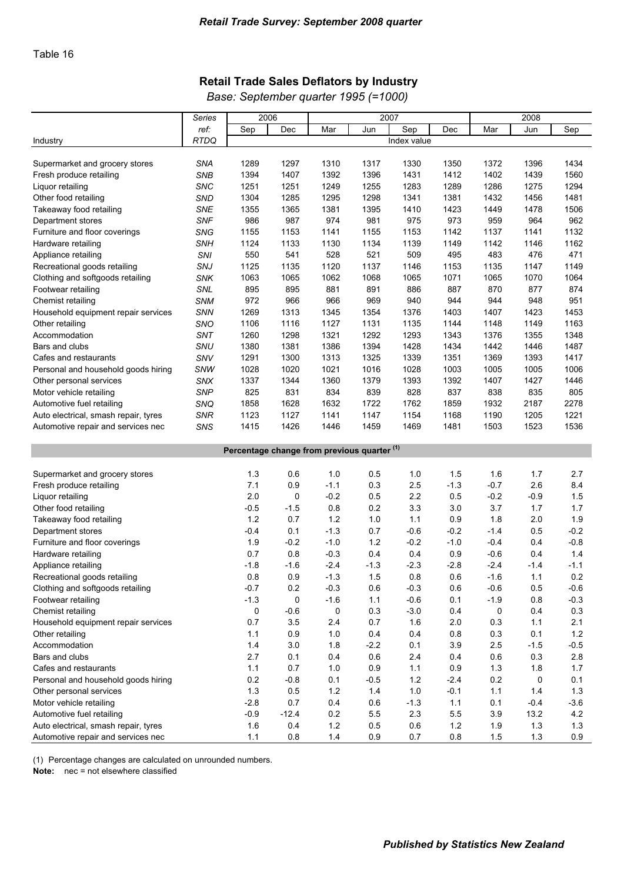### Retail Trade Sales Deflators by Industry

*Base: September quarter 1995 (=1000)*

|                                      | <b>Series</b> | 2007<br>2006 |                                                        |        |      |             |        | 2008   |      |      |
|--------------------------------------|---------------|--------------|--------------------------------------------------------|--------|------|-------------|--------|--------|------|------|
|                                      | ref:          | Sep          | Dec                                                    | Mar    | Jun  | Sep         | Dec    | Mar    | Jun  | Sep  |
| Industry                             | <b>RTDQ</b>   |              |                                                        |        |      | Index value |        |        |      |      |
|                                      |               |              |                                                        |        |      |             |        |        |      |      |
| Supermarket and grocery stores       | <b>SNA</b>    | 1289         | 1297                                                   | 1310   | 1317 | 1330        | 1350   | 1372   | 1396 | 1434 |
| Fresh produce retailing              | <b>SNB</b>    | 1394         | 1407                                                   | 1392   | 1396 | 1431        | 1412   | 1402   | 1439 | 1560 |
| Liquor retailing                     | <b>SNC</b>    | 1251         | 1251                                                   | 1249   | 1255 | 1283        | 1289   | 1286   | 1275 | 1294 |
| Other food retailing                 | SND           | 1304         | 1285                                                   | 1295   | 1298 | 1341        | 1381   | 1432   | 1456 | 1481 |
| Takeaway food retailing              | <b>SNE</b>    | 1355         | 1365                                                   | 1381   | 1395 | 1410        | 1423   | 1449   | 1478 | 1506 |
| Department stores                    | <b>SNF</b>    | 986          | 987                                                    | 974    | 981  | 975         | 973    | 959    | 964  | 962  |
| Furniture and floor coverings        | <b>SNG</b>    | 1155         | 1153                                                   | 1141   | 1155 | 1153        | 1142   | 1137   | 1141 | 1132 |
| Hardware retailing                   | <b>SNH</b>    | 1124         | 1133                                                   | 1130   | 1134 | 1139        | 1149   | 1142   | 1146 | 1162 |
| Appliance retailing                  | <b>SNI</b>    | 550          | 541                                                    | 528    | 521  | 509         | 495    | 483    | 476  | 471  |
| Recreational goods retailing         | SNJ           | 1125         | 1135                                                   | 1120   | 1137 | 1146        | 1153   | 1135   | 1147 | 1149 |
| Clothing and softgoods retailing     | <b>SNK</b>    | 1063         | 1065                                                   | 1062   | 1068 | 1065        | 1071   | 1065   | 1070 | 1064 |
| Footwear retailing                   | SNL           | 895          | 895                                                    | 881    | 891  | 886         | 887    | 870    | 877  | 874  |
| Chemist retailing                    | <b>SNM</b>    | 972          | 966                                                    | 966    | 969  | 940         | 944    | 944    | 948  | 951  |
| Household equipment repair services  | <b>SNN</b>    | 1269         | 1313                                                   | 1345   | 1354 | 1376        | 1403   | 1407   | 1423 | 1453 |
| Other retailing                      | SNO           | 1106         | 1116                                                   | 1127   | 1131 | 1135        | 1144   | 1148   | 1149 | 1163 |
| Accommodation                        | SNT           | 1260         | 1298                                                   | 1321   | 1292 | 1293        | 1343   | 1376   | 1355 | 1348 |
| Bars and clubs                       | SNU           | 1380         | 1381                                                   | 1386   | 1394 | 1428        | 1434   | 1442   | 1446 | 1487 |
| Cafes and restaurants                | SNV           | 1291         | 1300                                                   | 1313   | 1325 | 1339        | 1351   | 1369   | 1393 | 1417 |
| Personal and household goods hiring  | SNW           | 1028         | 1020                                                   | 1021   | 1016 | 1028        | 1003   | 1005   | 1005 | 1006 |
| Other personal services              | SNX           | 1337         | 1344                                                   | 1360   | 1379 | 1393        | 1392   | 1407   | 1427 | 1446 |
| Motor vehicle retailing              | <b>SNP</b>    | 825          | 831                                                    | 834    | 839  | 828         | 837    | 838    | 835  | 805  |
| Automotive fuel retailing            | SNQ           | 1858         | 1628                                                   | 1632   | 1722 | 1762        | 1859   | 1932   | 2187 | 2278 |
| Auto electrical, smash repair, tyres | <b>SNR</b>    | 1123         | 1127                                                   | 1141   | 1147 | 1154        | 1168   | 1190   | 1205 | 1221 |
| Automotive repair and services nec   | SNS           | 1415         | 1426                                                   | 1446   | 1459 | 1469        | 1481   | 1503   | 1523 | 1536 |
|                                      |               |              |                                                        |        |      |             |        |        |      |      |
|                                      |               |              | Percentage change from previous quarter <sup>(1)</sup> |        |      |             |        |        |      |      |
| Supermarket and grocery stores       |               | 1.3          | 0.6                                                    | 1.0    | 0.5  | 1.0         | 1.5    | 1.6    | 1.7  | 2.7  |
| Fresh produce retailing              |               | 7.1          | 0.9                                                    | $-1.1$ | 0.3  | 2.5         | $-1.3$ | $-0.7$ | 2.6  | 8.4  |
|                                      |               |              |                                                        |        |      |             |        |        |      |      |

| Oupcritiantel and grocery slores     | ن. ا   | v.v     | 1.V    | ∪.∪    | <b>.U</b> | ن. ا   | <b></b> U | $\mathbf{1} \cdot \mathbf{I}$ |        |
|--------------------------------------|--------|---------|--------|--------|-----------|--------|-----------|-------------------------------|--------|
| Fresh produce retailing              | 7.1    | 0.9     | $-1.1$ | 0.3    | 2.5       | $-1.3$ | $-0.7$    | 2.6                           | 8.4    |
| Liquor retailing                     | 2.0    | 0       | $-0.2$ | 0.5    | 2.2       | 0.5    | $-0.2$    | $-0.9$                        | 1.5    |
| Other food retailing                 | $-0.5$ | $-1.5$  | 0.8    | 0.2    | 3.3       | 3.0    | 3.7       | 1.7                           | 1.7    |
| Takeaway food retailing              | 1.2    | 0.7     | 1.2    | 1.0    | 1.1       | 0.9    | 1.8       | 2.0                           | 1.9    |
| Department stores                    | $-0.4$ | 0.1     | $-1.3$ | 0.7    | $-0.6$    | $-0.2$ | $-1.4$    | 0.5                           | $-0.2$ |
| Furniture and floor coverings        | 1.9    | $-0.2$  | $-1.0$ | 1.2    | $-0.2$    | $-1.0$ | $-0.4$    | 0.4                           | $-0.8$ |
| Hardware retailing                   | 0.7    | 0.8     | $-0.3$ | 0.4    | 0.4       | 0.9    | $-0.6$    | 0.4                           | 1.4    |
| Appliance retailing                  | $-1.8$ | -1.6    | $-2.4$ | $-1.3$ | $-2.3$    | $-2.8$ | $-2.4$    | $-1.4$                        | $-1.1$ |
| Recreational goods retailing         | 0.8    | 0.9     | $-1.3$ | 1.5    | 0.8       | 0.6    | $-1.6$    | 1.1                           | 0.2    |
| Clothing and softgoods retailing     | $-0.7$ | 0.2     | $-0.3$ | 0.6    | $-0.3$    | 0.6    | $-0.6$    | 0.5                           | $-0.6$ |
| Footwear retailing                   | $-1.3$ | 0       | $-1.6$ | 1.1    | $-0.6$    | 0.1    | $-1.9$    | 0.8                           | $-0.3$ |
| Chemist retailing                    | 0      | $-0.6$  | 0      | 0.3    | -3.0      | 0.4    | 0         | 0.4                           | 0.3    |
| Household equipment repair services  | 0.7    | 3.5     | 2.4    | 0.7    | 1.6       | 2.0    | 0.3       | 1.1                           | 2.1    |
| Other retailing                      | 1.1    | 0.9     | 1.0    | 0.4    | 0.4       | 0.8    | 0.3       | 0.1                           | 1.2    |
| Accommodation                        | 1.4    | 3.0     | 1.8    | $-2.2$ | 0.1       | 3.9    | 2.5       | $-1.5$                        | $-0.5$ |
| Bars and clubs                       | 2.7    | 0.1     | 0.4    | 0.6    | 2.4       | 0.4    | 0.6       | 0.3                           | 2.8    |
| Cafes and restaurants                | 1.1    | 0.7     | 1.0    | 0.9    | 1.1       | 0.9    | 1.3       | 1.8                           | 1.7    |
| Personal and household goods hiring  | 0.2    | $-0.8$  | 0.1    | $-0.5$ | 1.2       | $-2.4$ | 0.2       | 0                             | 0.1    |
| Other personal services              | 1.3    | 0.5     | 1.2    | 1.4    | 1.0       | $-0.1$ | 1.1       | 1.4                           | 1.3    |
| Motor vehicle retailing              | $-2.8$ | 0.7     | 0.4    | 0.6    | $-1.3$    | 1.1    | 0.1       | $-0.4$                        | $-3.6$ |
| Automotive fuel retailing            | $-0.9$ | $-12.4$ | 0.2    | 5.5    | 2.3       | 5.5    | 3.9       | 13.2                          | 4.2    |
| Auto electrical, smash repair, tyres | 1.6    | 0.4     | 1.2    | 0.5    | 0.6       | 1.2    | 1.9       | 1.3                           | 1.3    |
| Automotive repair and services nec   | 1.1    | 0.8     | 1.4    | 0.9    | 0.7       | 0.8    | 1.5       | 1.3                           | 0.9    |

(1) Percentage changes are calculated on unrounded numbers.